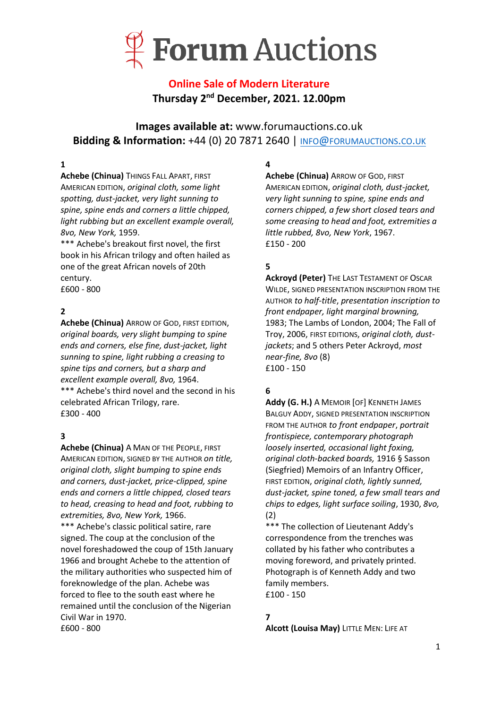

## **Online Sale of Modern Literature Thursday 2 nd December, 2021. 12.00pm**

**Images available at:** www.forumauctions.co.uk **Bidding & Information:** +44 (0) 20 7871 2640 | INFO@[FORUMAUCTIONS](mailto:info@forumauctions.co.uk).CO.UK

## **1**

**Achebe (Chinua) THINGS FALL APART, FIRST** AMERICAN EDITION, *original cloth, some light spotting, dust-jacket, very light sunning to spine, spine ends and corners a little chipped, light rubbing but an excellent example overall, 8vo, New York,* 1959.

\*\*\* Achebe's breakout first novel, the first book in his African trilogy and often hailed as one of the great African novels of 20th century. £600 - 800

## **2**

**Achebe (Chinua)** ARROW OF GOD, FIRST EDITION, *original boards, very slight bumping to spine ends and corners, else fine, dust-jacket, light sunning to spine, light rubbing a creasing to spine tips and corners, but a sharp and excellent example overall, 8vo,* 1964. \*\*\* Achebe's third novel and the second in his celebrated African Trilogy, rare. £300 - 400

### **3**

**Achebe (Chinua)** A MAN OF THE PEOPLE, FIRST AMERICAN EDITION, SIGNED BY THE AUTHOR *on title, original cloth, slight bumping to spine ends and corners, dust-jacket, price-clipped, spine ends and corners a little chipped, closed tears to head, creasing to head and foot, rubbing to extremities, 8vo, New York,* 1966. \*\*\* Achebe's classic political satire, rare signed. The coup at the conclusion of the novel foreshadowed the coup of 15th January 1966 and brought Achebe to the attention of the military authorities who suspected him of foreknowledge of the plan. Achebe was forced to flee to the south east where he remained until the conclusion of the Nigerian Civil War in 1970. £600 - 800

#### **4**

**Achebe (Chinua)** ARROW OF GOD, FIRST AMERICAN EDITION, *original cloth, dust-jacket, very light sunning to spine, spine ends and corners chipped, a few short closed tears and some creasing to head and foot, extremities a little rubbed, 8vo, New York*, 1967. £150 - 200

## **5**

**Ackroyd (Peter)** THE LAST TESTAMENT OF OSCAR WILDE, SIGNED PRESENTATION INSCRIPTION FROM THE AUTHOR *to half-title*, *presentation inscription to front endpaper, light marginal browning,*  1983; The Lambs of London, 2004; The Fall of Troy, 2006, FIRST EDITIONS, *original cloth, dustjackets*; and 5 others Peter Ackroyd, *most near-fine, 8vo* (8) £100 - 150

## **6**

**Addy (G. H.)** A MEMOIR [OF] KENNETH JAMES BALGUY ADDY, SIGNED PRESENTATION INSCRIPTION FROM THE AUTHOR *to front endpaper*, *portrait frontispiece, contemporary photograph loosely inserted, occasional light foxing, original cloth-backed boards,* 1916 § Sasson (Siegfried) Memoirs of an Infantry Officer, FIRST EDITION, *original cloth, lightly sunned, dust-jacket, spine toned, a few small tears and chips to edges, light surface soiling*, 1930, *8vo,*  (2)

\*\*\* The collection of Lieutenant Addy's correspondence from the trenches was collated by his father who contributes a moving foreword, and privately printed. Photograph is of Kenneth Addy and two family members. £100 - 150

### **7**

**Alcott (Louisa May)** LITTLE MEN: LIFE AT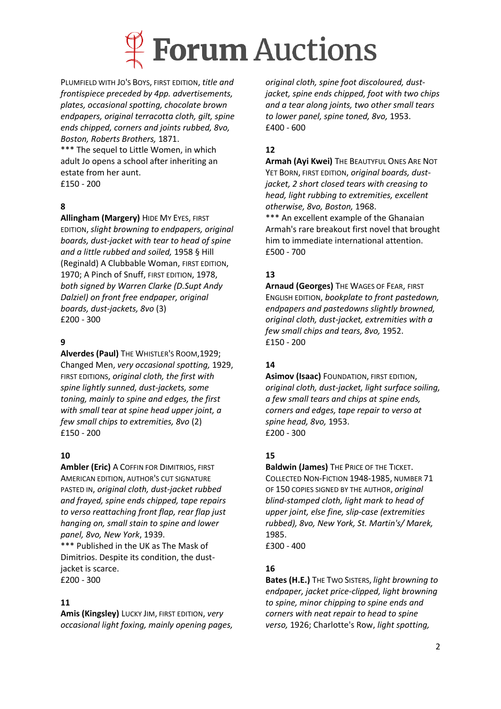

PLUMFIELD WITH JO'S BOYS, FIRST EDITION, *title and frontispiece preceded by 4pp. advertisements, plates, occasional spotting, chocolate brown endpapers, original terracotta cloth, gilt, spine ends chipped, corners and joints rubbed, 8vo, Boston, Roberts Brothers,* 1871.

\*\*\* The sequel to Little Women, in which adult Jo opens a school after inheriting an estate from her aunt. £150 - 200

## **8**

**Allingham (Margery)** HIDE MY EYES, FIRST

EDITION, *slight browning to endpapers, original boards, dust-jacket with tear to head of spine and a little rubbed and soiled,* 1958 § Hill (Reginald) A Clubbable Woman, FIRST EDITION, 1970; A Pinch of Snuff, FIRST EDITION, 1978, *both signed by Warren Clarke (D.Supt Andy Dalziel) on front free endpaper, original boards, dust-jackets, 8vo* (3) £200 - 300

## **9**

**Alverdes (Paul)** THE WHISTLER'S ROOM,1929; Changed Men, *very occasional spotting,* 1929, FIRST EDITIONS, *original cloth, the first with spine lightly sunned, dust-jackets, some toning, mainly to spine and edges, the first with small tear at spine head upper joint, a few small chips to extremities, 8vo* (2) £150 - 200

### **10**

**Ambler (Eric)** A COFFIN FOR DIMITRIOS, FIRST AMERICAN EDITION, AUTHOR'S CUT SIGNATURE PASTED IN, *original cloth, dust-jacket rubbed and frayed, spine ends chipped, tape repairs to verso reattaching front flap, rear flap just hanging on, small stain to spine and lower panel, 8vo, New York*, 1939.

\*\*\* Published in the UK as The Mask of Dimitrios. Despite its condition, the dustjacket is scarce. £200 - 300

### **11**

**Amis (Kingsley)** LUCKY JIM, FIRST EDITION, *very occasional light foxing, mainly opening pages,* 

*original cloth, spine foot discoloured, dustjacket, spine ends chipped, foot with two chips and a tear along joints, two other small tears to lower panel, spine toned, 8vo,* 1953. £400 - 600

## **12**

**Armah (Ayi Kwei)** THE BEAUTYFUL ONES ARE NOT YET BORN, FIRST EDITION, *original boards, dustjacket, 2 short closed tears with creasing to head, light rubbing to extremities, excellent otherwise, 8vo, Boston,* 1968.

\*\*\* An excellent example of the Ghanaian Armah's rare breakout first novel that brought him to immediate international attention. £500 - 700

## **13**

**Arnaud (Georges)** THE WAGES OF FEAR, FIRST ENGLISH EDITION, *bookplate to front pastedown, endpapers and pastedowns slightly browned, original cloth, dust-jacket, extremities with a few small chips and tears, 8vo,* 1952. £150 - 200

## **14**

**Asimov (Isaac)** FOUNDATION, FIRST EDITION, *original cloth, dust-jacket, light surface soiling, a few small tears and chips at spine ends, corners and edges, tape repair to verso at spine head, 8vo,* 1953. £200 - 300

## **15**

**Baldwin (James)** THE PRICE OF THE TICKET. COLLECTED NON-FICTION 1948-1985, NUMBER 71 OF 150 COPIES SIGNED BY THE AUTHOR, *original blind-stamped cloth, light mark to head of upper joint, else fine, slip-case (extremities rubbed), 8vo, New York, St. Martin's/ Marek,*  1985. £300 - 400

## **16**

**Bates (H.E.)** THE TWO SISTERS, *light browning to endpaper, jacket price-clipped, light browning to spine, minor chipping to spine ends and corners with neat repair to head to spine verso,* 1926; Charlotte's Row, *light spotting,*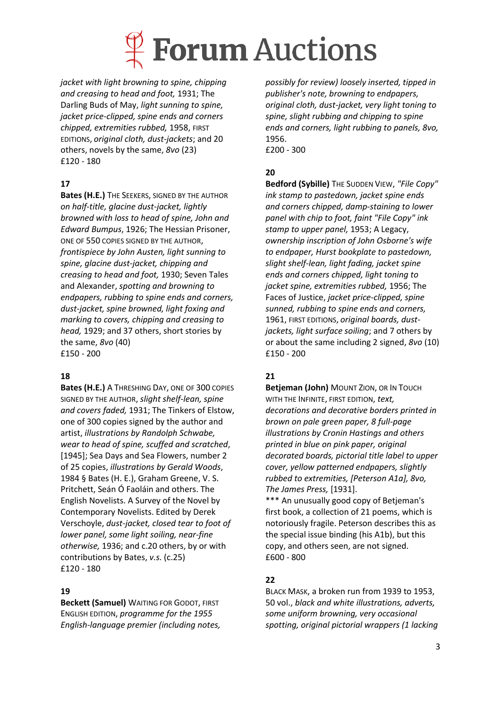

*jacket with light browning to spine, chipping and creasing to head and foot,* 1931; The Darling Buds of May, *light sunning to spine, jacket price-clipped, spine ends and corners chipped, extremities rubbed,* 1958, FIRST EDITIONS, *original cloth, dust-jackets*; and 20 others, novels by the same, *8vo* (23) £120 - 180

## **17**

**Bates (H.E.)** THE SEEKERS, SIGNED BY THE AUTHOR *on half-title, glacine dust-jacket, lightly browned with loss to head of spine, John and Edward Bumpus*, 1926; The Hessian Prisoner, ONE OF 550 COPIES SIGNED BY THE AUTHOR, *frontispiece by John Austen, light sunning to spine, glacine dust-jacket, chipping and creasing to head and foot,* 1930; Seven Tales and Alexander, *spotting and browning to endpapers, rubbing to spine ends and corners, dust-jacket, spine browned, light foxing and marking to covers, chipping and creasing to head,* 1929; and 37 others, short stories by the same, *8vo* (40) £150 - 200

### **18**

**Bates (H.E.)** A THRESHING DAY, ONE OF 300 COPIES SIGNED BY THE AUTHOR, *slight shelf-lean, spine and covers faded,* 1931; The Tinkers of Elstow, one of 300 copies signed by the author and artist, *illustrations by Randolph Schwabe, wear to head of spine, scuffed and scratched*, [1945]; Sea Days and Sea Flowers, number 2 of 25 copies, *illustrations by Gerald Woods*, 1984 § Bates (H. E.), Graham Greene, V. S. Pritchett, Seán Ó Faoláin and others. The English Novelists. A Survey of the Novel by Contemporary Novelists. Edited by Derek Verschoyle, *dust-jacket, closed tear to foot of lower panel, some light soiling, near-fine otherwise,* 1936; and c.20 others, by or with contributions by Bates, *v.s.* (c.25) £120 - 180

### **19**

**Beckett (Samuel)** WAITING FOR GODOT, FIRST ENGLISH EDITION, *programme for the 1955 English-language premier (including notes,*  *possibly for review) loosely inserted, tipped in publisher's note, browning to endpapers, original cloth, dust-jacket, very light toning to spine, slight rubbing and chipping to spine ends and corners, light rubbing to panels, 8vo,* 1956.

£200 - 300

### **20**

**Bedford (Sybille)** THE SUDDEN VIEW, *"File Copy" ink stamp to pastedown, jacket spine ends and corners chipped, damp-staining to lower panel with chip to foot, faint "File Copy" ink stamp to upper panel,* 1953; A Legacy, *ownership inscription of John Osborne's wife to endpaper, Hurst bookplate to pastedown, slight shelf-lean, light fading, jacket spine ends and corners chipped, light toning to jacket spine, extremities rubbed,* 1956; The Faces of Justice, *jacket price-clipped, spine sunned, rubbing to spine ends and corners,*  1961, FIRST EDITIONS, *original boards, dustjackets, light surface soiling*; and 7 others by or about the same including 2 signed, *8vo* (10) £150 - 200

### **21**

**Betjeman (John)** MOUNT ZION, OR IN TOUCH WITH THE INFINITE, FIRST EDITION, *text, decorations and decorative borders printed in brown on pale green paper, 8 full-page illustrations by Cronin Hastings and others printed in blue on pink paper, original decorated boards, pictorial title label to upper cover, yellow patterned endpapers, slightly rubbed to extremities, [Peterson A1a], 8vo, The James Press,* [1931].

\*\*\* An unusually good copy of Betjeman's first book, a collection of 21 poems, which is notoriously fragile. Peterson describes this as the special issue binding (his A1b), but this copy, and others seen, are not signed. £600 - 800

## **22**

BLACK MASK, a broken run from 1939 to 1953, 50 vol., *black and white illustrations, adverts, some uniform browning, very occasional spotting, original pictorial wrappers (1 lacking*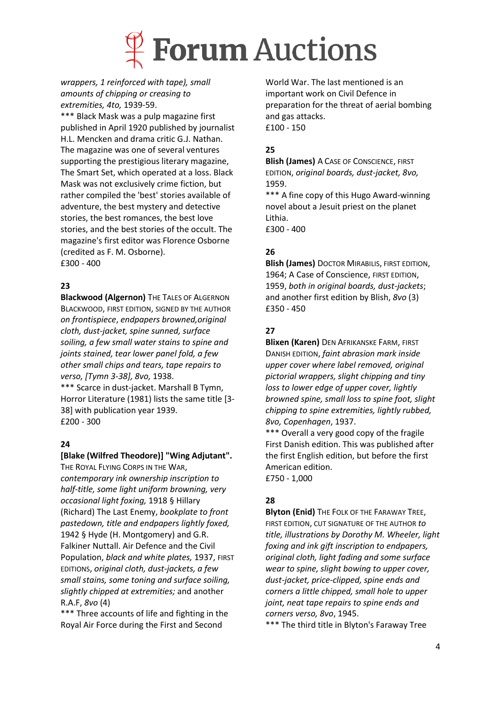

*wrappers, 1 reinforced with tape), small amounts of chipping or creasing to extremities, 4to,* 1939-59.

\*\*\* Black Mask was a pulp magazine first published in April 1920 published by journalist H.L. Mencken and drama critic G.J. Nathan. The magazine was one of several ventures supporting the prestigious literary magazine, The Smart Set, which operated at a loss. Black Mask was not exclusively crime fiction, but rather compiled the 'best' stories available of adventure, the best mystery and detective stories, the best romances, the best love stories, and the best stories of the occult. The magazine's first editor was Florence Osborne (credited as F. M. Osborne). £300 - 400

### **23**

**Blackwood (Algernon)** THE TALES OF ALGERNON BLACKWOOD, FIRST EDITION, SIGNED BY THE AUTHOR *on frontispiece*, *endpapers browned,original cloth, dust-jacket, spine sunned, surface soiling, a few small water stains to spine and joints stained, tear lower panel fold, a few other small chips and tears, tape repairs to verso, [Tymn 3-38], 8vo,* 1938. \*\*\* Scarce in dust-jacket. Marshall B Tymn, Horror Literature (1981) lists the same title [3-

38] with publication year 1939. £200 - 300

## **24**

### **[Blake (Wilfred Theodore)] "Wing Adjutant".**

THE ROYAL FLYING CORPS IN THE WAR, *contemporary ink ownership inscription to half-title, some light uniform browning, very occasional light foxing,* 1918 § Hillary (Richard) The Last Enemy, *bookplate to front pastedown, title and endpapers lightly foxed,* 1942 § Hyde (H. Montgomery) and G.R. Falkiner Nuttall. Air Defence and the Civil Population, *black and white plates,* 1937, FIRST EDITIONS, *original cloth, dust-jackets, a few small stains, some toning and surface soiling, slightly chipped at extremities;* and another R.A.F, *8vo* (4)

\*\*\* Three accounts of life and fighting in the Royal Air Force during the First and Second

World War. The last mentioned is an important work on Civil Defence in preparation for the threat of aerial bombing and gas attacks. £100 - 150

## **25**

**Blish (James)** A CASE OF CONSCIENCE, FIRST EDITION, *original boards, dust-jacket, 8vo,*  1959.

\*\*\* A fine copy of this Hugo Award-winning novel about a Jesuit priest on the planet Lithia.

£300 - 400

## **26**

**Blish (James)** DOCTOR MIRABILIS, FIRST EDITION, 1964; A Case of Conscience, FIRST EDITION, 1959, *both in original boards, dust-jackets*; and another first edition by Blish, *8vo* (3) £350 - 450

## **27**

**Blixen (Karen)** DEN AFRIKANSKE FARM, FIRST DANISH EDITION, *faint abrasion mark inside upper cover where label removed, original pictorial wrappers, slight chipping and tiny loss to lower edge of upper cover, lightly browned spine, small loss to spine foot, slight chipping to spine extremities, lightly rubbed, 8vo, Copenhagen*, 1937.

\*\*\* Overall a very good copy of the fragile First Danish edition. This was published after the first English edition, but before the first American edition.

£750 - 1,000

## **28**

**Blyton (Enid)** THE FOLK OF THE FARAWAY TREE, FIRST EDITION, CUT SIGNATURE OF THE AUTHOR *to title, illustrations by Dorothy M. Wheeler, light foxing and ink gift inscription to endpapers, original cloth, light fading and some surface wear to spine, slight bowing to upper cover, dust-jacket, price-clipped, spine ends and corners a little chipped, small hole to upper joint, neat tape repairs to spine ends and corners verso, 8vo*, 1945.

\*\*\* The third title in Blyton's Faraway Tree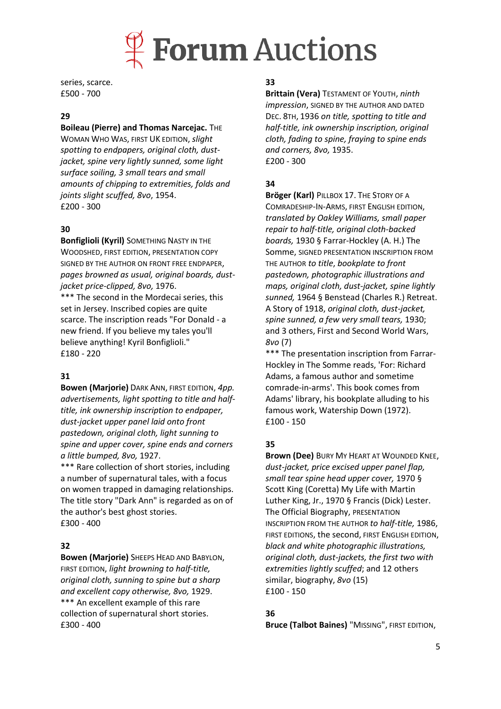

series, scarce. £500 - 700

#### **29**

#### **Boileau (Pierre) and Thomas Narcejac.** THE

WOMAN WHO WAS, FIRST UK EDITION, *slight spotting to endpapers, original cloth, dustjacket, spine very lightly sunned, some light surface soiling, 3 small tears and small amounts of chipping to extremities, folds and joints slight scuffed, 8vo*, 1954. £200 - 300

#### **30**

**Bonfiglioli (Kyril)** SOMETHING NASTY IN THE WOODSHED, FIRST EDITION, PRESENTATION COPY SIGNED BY THE AUTHOR ON FRONT FREE ENDPAPER, *pages browned as usual, original boards, dustjacket price-clipped, 8vo,* 1976. \*\*\* The second in the Mordecai series, this set in Jersey. Inscribed copies are quite scarce. The inscription reads "For Donald - a new friend. If you believe my tales you'll believe anything! Kyril Bonfiglioli."

£180 - 220

#### **31**

**Bowen (Marjorie)** DARK ANN, FIRST EDITION, *4pp. advertisements, light spotting to title and halftitle, ink ownership inscription to endpaper, dust-jacket upper panel laid onto front pastedown, original cloth, light sunning to spine and upper cover, spine ends and corners a little bumped, 8vo,* 1927.

\*\*\* Rare collection of short stories, including a number of supernatural tales, with a focus on women trapped in damaging relationships. The title story "Dark Ann" is regarded as on of the author's best ghost stories. £300 - 400

#### **32**

**Bowen (Marjorie)** SHEEPS HEAD AND BABYLON, FIRST EDITION, *light browning to half-title, original cloth, sunning to spine but a sharp and excellent copy otherwise, 8vo,* 1929. \*\*\* An excellent example of this rare collection of supernatural short stories. £300 - 400

#### **33**

**Brittain (Vera)** TESTAMENT OF YOUTH, *ninth impression*, SIGNED BY THE AUTHOR AND DATED DEC. 8TH, 1936 *on title, spotting to title and half-title, ink ownership inscription, original cloth, fading to spine, fraying to spine ends and corners, 8vo,* 1935. £200 - 300

#### **34**

**Bröger (Karl)** PILLBOX 17. THE STORY OF A COMRADESHIP-IN-ARMS, FIRST ENGLISH EDITION, *translated by Oakley Williams, small paper repair to half-title, original cloth-backed boards,* 1930 § Farrar-Hockley (A. H.) The Somme, SIGNED PRESENTATION INSCRIPTION FROM THE AUTHOR *to title*, *bookplate to front pastedown, photographic illustrations and maps, original cloth, dust-jacket, spine lightly sunned,* 1964 § Benstead (Charles R.) Retreat. A Story of 1918, *original cloth, dust-jacket, spine sunned, a few very small tears,* 1930; and 3 others, First and Second World Wars, *8vo* (7)

\*\*\* The presentation inscription from Farrar-Hockley in The Somme reads, 'For: Richard Adams, a famous author and sometime comrade-in-arms'. This book comes from Adams' library, his bookplate alluding to his famous work, Watership Down (1972). £100 - 150

### **35**

**Brown (Dee)** BURY MY HEART AT WOUNDED KNEE, *dust-jacket, price excised upper panel flap, small tear spine head upper cover,* 1970 § Scott King (Coretta) My Life with Martin Luther King, Jr., 1970 § Francis (Dick) Lester. The Official Biography, PRESENTATION INSCRIPTION FROM THE AUTHOR *to half-title,* 1986, FIRST EDITIONS, the second, FIRST ENGLISH EDITION, *black and white photographic illustrations, original cloth, dust-jackets, the first two with extremities lightly scuffed*; and 12 others similar, biography, *8vo* (15) £100 - 150

#### **36**

**Bruce (Talbot Baines)** "MISSING", FIRST EDITION,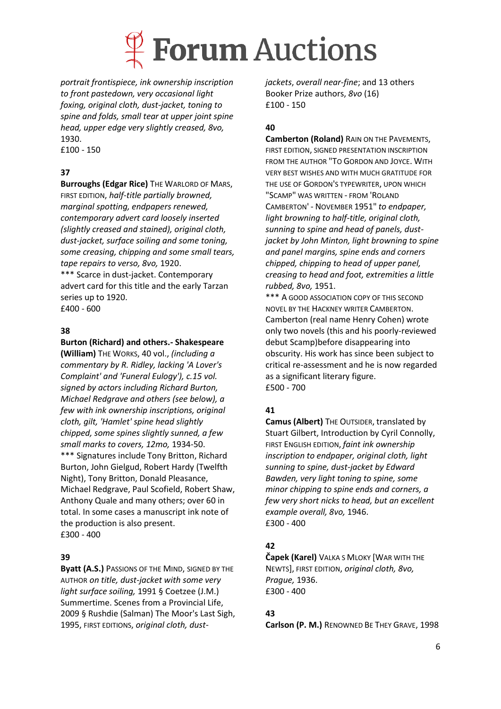

*portrait frontispiece, ink ownership inscription to front pastedown, very occasional light foxing, original cloth, dust-jacket, toning to spine and folds, small tear at upper joint spine head, upper edge very slightly creased, 8vo,*  1930.

£100 - 150

## **37**

**Burroughs (Edgar Rice)** THE WARLORD OF MARS. FIRST EDITION, *half-title partially browned, marginal spotting, endpapers renewed, contemporary advert card loosely inserted (slightly creased and stained), original cloth, dust-jacket, surface soiling and some toning, some creasing, chipping and some small tears, tape repairs to verso, 8vo,* 1920. \*\*\* Scarce in dust-jacket. Contemporary advert card for this title and the early Tarzan series up to 1920. £400 - 600

**38**

#### **Burton (Richard) and others.- Shakespeare**

**(William)** THE WORKS, 40 vol., *(including a commentary by R. Ridley, lacking 'A Lover's Complaint' and 'Funeral Eulogy'), c.15 vol. signed by actors including Richard Burton, Michael Redgrave and others (see below), a few with ink ownership inscriptions, original cloth, gilt, 'Hamlet' spine head slightly chipped, some spines slightly sunned, a few small marks to covers, 12mo,* 1934-50. \*\*\* Signatures include Tony Britton, Richard Burton, John Gielgud, Robert Hardy (Twelfth Night), Tony Britton, Donald Pleasance, Michael Redgrave, Paul Scofield, Robert Shaw, Anthony Quale and many others; over 60 in total. In some cases a manuscript ink note of the production is also present. £300 - 400

### **39**

**Byatt (A.S.)** PASSIONS OF THE MIND, SIGNED BY THE AUTHOR *on title, dust-jacket with some very light surface soiling,* 1991 § Coetzee (J.M.) Summertime. Scenes from a Provincial Life, 2009 § Rushdie (Salman) The Moor's Last Sigh, 1995, FIRST EDITIONS, *original cloth, dust-* *jackets*, *overall near-fine*; and 13 others Booker Prize authors, *8vo* (16) £100 - 150

### **40**

**Camberton (Roland)** RAIN ON THE PAVEMENTS, FIRST EDITION, SIGNED PRESENTATION INSCRIPTION FROM THE AUTHOR "TO GORDON AND JOYCE. WITH VERY BEST WISHES AND WITH MUCH GRATITUDE FOR THE USE OF GORDON'S TYPEWRITER, UPON WHICH "SCAMP" WAS WRITTEN - FROM 'ROLAND CAMBERTON' - NOVEMBER 1951" *to endpaper, light browning to half-title, original cloth, sunning to spine and head of panels, dustjacket by John Minton, light browning to spine and panel margins, spine ends and corners chipped, chipping to head of upper panel, creasing to head and foot, extremities a little rubbed, 8vo,* 1951.

\*\*\* A GOOD ASSOCIATION COPY OF THIS SECOND NOVEL BY THE HACKNEY WRITER CAMBERTON. Camberton (real name Henry Cohen) wrote only two novels (this and his poorly-reviewed debut Scamp)before disappearing into obscurity. His work has since been subject to critical re-assessment and he is now regarded as a significant literary figure. £500 - 700

## **41**

**Camus (Albert)** THE OUTSIDER, translated by Stuart Gilbert, Introduction by Cyril Connolly, FIRST ENGLISH EDITION, *faint ink ownership inscription to endpaper, original cloth, light sunning to spine, dust-jacket by Edward Bawden, very light toning to spine, some minor chipping to spine ends and corners, a few very short nicks to head, but an excellent example overall, 8vo,* 1946. £300 - 400

## **42**

**Čapek (Karel)** VALKA S MLOKY [WAR WITH THE NEWTS], FIRST EDITION, *original cloth, 8vo, Prague,* 1936. £300 - 400

## **43**

**Carlson (P. M.)** RENOWNED BE THEY GRAVE, 1998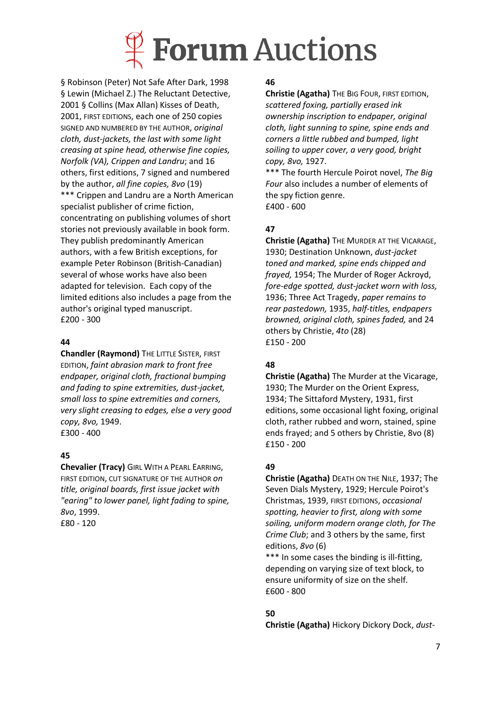

§ Robinson (Peter) Not Safe After Dark, 1998 § Lewin (Michael Z.) The Reluctant Detective, 2001 § Collins (Max Allan) Kisses of Death, 2001, FIRST EDITIONS, each one of 250 copies SIGNED AND NUMBERED BY THE AUTHOR, *original cloth, dust-jackets, the last with some light creasing at spine head, otherwise fine copies, Norfolk (VA), Crippen and Landru*; and 16 others, first editions, 7 signed and numbered by the author, *all fine copies, 8vo* (19) \*\*\* Crippen and Landru are a North American specialist publisher of crime fiction, concentrating on publishing volumes of short stories not previously available in book form. They publish predominantly American authors, with a few British exceptions, for example Peter Robinson (British-Canadian) several of whose works have also been adapted for television. Each copy of the limited editions also includes a page from the author's original typed manuscript. £200 - 300

#### **44**

**Chandler (Raymond)** THE LITTLE SISTER, FIRST EDITION, *faint abrasion mark to front free endpaper, original cloth, fractional bumping and fading to spine extremities, dust-jacket, small loss to spine extremities and corners, very slight creasing to edges, else a very good copy, 8vo,* 1949. £300 - 400

### **45**

**Chevalier (Tracy)** GIRL WITH A PEARL EARRING, FIRST EDITION, CUT SIGNATURE OF THE AUTHOR *on title, original boards, first issue jacket with "earing" to lower panel, light fading to spine, 8vo*, 1999. £80 - 120

#### **46**

**Christie (Agatha)** THE BIG FOUR, FIRST EDITION, *scattered foxing, partially erased ink ownership inscription to endpaper, original cloth, light sunning to spine, spine ends and corners a little rubbed and bumped, light soiling to upper cover, a very good, bright copy, 8vo,* 1927.

\*\*\* The fourth Hercule Poirot novel, *The Big Four* also includes a number of elements of the spy fiction genre. £400 - 600

## **47**

**Christie (Agatha)** THE MURDER AT THE VICARAGE, 1930; Destination Unknown, *dust-jacket toned and marked, spine ends chipped and frayed,* 1954; The Murder of Roger Ackroyd, *fore-edge spotted, dust-jacket worn with loss,*  1936; Three Act Tragedy, *paper remains to rear pastedown,* 1935, *half-titles, endpapers browned, original cloth, spines faded,* and 24 others by Christie, *4to* (28) £150 - 200

## **48**

**Christie (Agatha)** The Murder at the Vicarage, 1930; The Murder on the Orient Express, 1934; The Sittaford Mystery, 1931, first editions, some occasional light foxing, original cloth, rather rubbed and worn, stained, spine ends frayed; and 5 others by Christie, 8vo (8) £150 - 200

## **49**

**Christie (Agatha)** DEATH ON THE NILE, 1937; The Seven Dials Mystery, 1929; Hercule Poirot's Christmas, 1939, FIRST EDITIONS, *occasional spotting, heavier to first, along with some soiling, uniform modern orange cloth, for The Crime Club*; and 3 others by the same, first editions, *8vo* (6)

\*\*\* In some cases the binding is ill-fitting, depending on varying size of text block, to ensure uniformity of size on the shelf. £600 - 800

## **50**

**Christie (Agatha)** Hickory Dickory Dock, *dust-*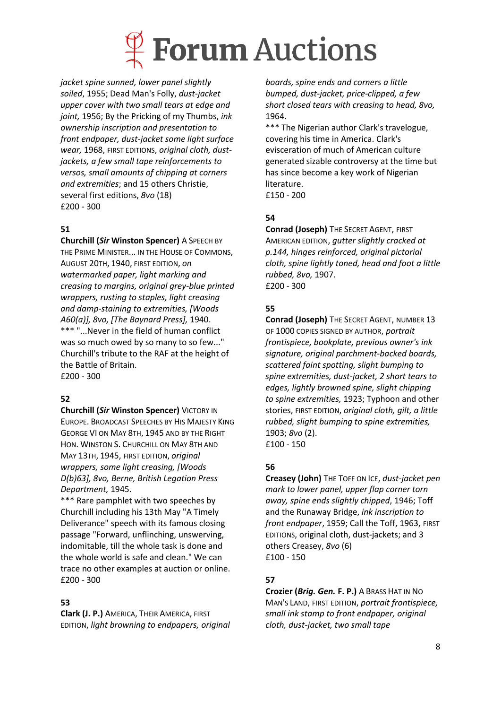

*jacket spine sunned, lower panel slightly soiled*, 1955; Dead Man's Folly, *dust-jacket upper cover with two small tears at edge and joint,* 1956; By the Pricking of my Thumbs, *ink ownership inscription and presentation to front endpaper, dust-jacket some light surface wear,* 1968, FIRST EDITIONS, *original cloth, dustjackets, a few small tape reinforcements to versos, small amounts of chipping at corners and extremities*; and 15 others Christie, several first editions, *8vo* (18) £200 - 300

## **51**

**Churchill (***Sir* **Winston Spencer)** A SPEECH BY THE PRIME MINISTER... IN THE HOUSE OF COMMONS, AUGUST 20TH, 1940, FIRST EDITION, *on watermarked paper, light marking and creasing to margins, original grey-blue printed wrappers, rusting to staples, light creasing and damp-staining to extremities, [Woods A60(a)], 8vo, [The Baynard Press],* 1940. \*\*\* "...Never in the field of human conflict was so much owed by so many to so few..." Churchill's tribute to the RAF at the height of the Battle of Britain. £200 - 300

## **52**

**Churchill (***Sir* **Winston Spencer)** VICTORY IN EUROPE. BROADCAST SPEECHES BY HIS MAJESTY KING GEORGE VI ON MAY 8TH, 1945 AND BY THE RIGHT HON. WINSTON S. CHURCHILL ON MAY 8TH AND MAY 13TH, 1945, FIRST EDITION, *original wrappers, some light creasing, [Woods D(b)63], 8vo, Berne, British Legation Press Department,* 1945.

\*\*\* Rare pamphlet with two speeches by Churchill including his 13th May "A Timely Deliverance" speech with its famous closing passage "Forward, unflinching, unswerving, indomitable, till the whole task is done and the whole world is safe and clean." We can trace no other examples at auction or online. £200 - 300

## **53**

**Clark (J. P.)** AMERICA, THEIR AMERICA, FIRST EDITION, *light browning to endpapers, original*  *boards, spine ends and corners a little bumped, dust-jacket, price-clipped, a few short closed tears with creasing to head, 8vo,*  1964.

\*\*\* The Nigerian author Clark's travelogue, covering his time in America. Clark's evisceration of much of American culture generated sizable controversy at the time but has since become a key work of Nigerian literature.

£150 - 200

## **54**

**Conrad (Joseph)** THE SECRET AGENT, FIRST AMERICAN EDITION, *gutter slightly cracked at p.144, hinges reinforced, original pictorial cloth, spine lightly toned, head and foot a little rubbed, 8vo,* 1907. £200 - 300

## **55**

**Conrad (Joseph)** THE SECRET AGENT, NUMBER 13 OF 1000 COPIES SIGNED BY AUTHOR, *portrait frontispiece, bookplate, previous owner's ink signature, original parchment-backed boards, scattered faint spotting, slight bumping to spine extremities, dust-jacket, 2 short tears to edges, lightly browned spine, slight chipping to spine extremities,* 1923; Typhoon and other stories, FIRST EDITION, *original cloth, gilt, a little rubbed, slight bumping to spine extremities,* 1903; *8vo* (2). £100 - 150

## **56**

**Creasey (John)** THE TOFF ON ICE, *dust-jacket pen mark to lower panel, upper flap corner torn away, spine ends slightly chipped*, 1946; Toff and the Runaway Bridge, *ink inscription to front endpaper*, 1959; Call the Toff, 1963, FIRST EDITIONS, original cloth, dust-jackets; and 3 others Creasey, *8vo* (6) £100 - 150

## **57**

**Crozier (***Brig. Gen.* **F. P.)** A BRASS HAT IN NO MAN'S LAND, FIRST EDITION, *portrait frontispiece, small ink stamp to front endpaper, original cloth, dust-jacket, two small tape*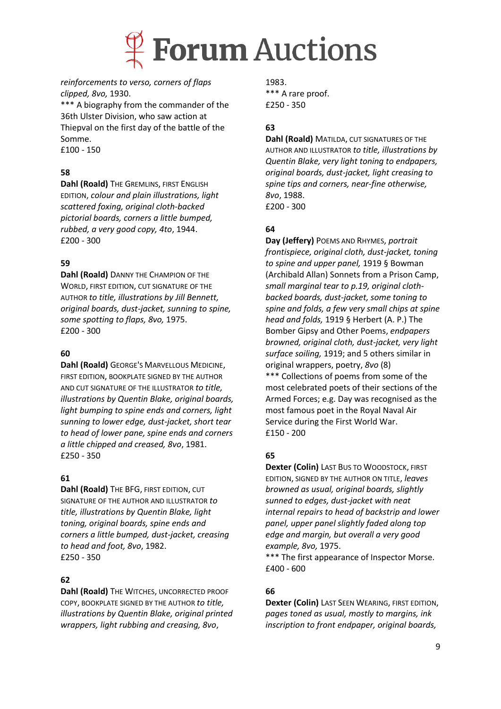

#### *reinforcements to verso, corners of flaps clipped, 8vo,* 1930.

\*\*\* A biography from the commander of the 36th Ulster Division, who saw action at Thiepval on the first day of the battle of the Somme.

£100 - 150

## **58**

**Dahl (Roald)** THE GREMLINS, FIRST ENGLISH EDITION, *colour and plain illustrations, light scattered foxing, original cloth-backed pictorial boards, corners a little bumped, rubbed, a very good copy, 4to*, 1944. £200 - 300

## **59**

**Dahl (Roald)** DANNY THE CHAMPION OF THE WORLD, FIRST EDITION, CUT SIGNATURE OF THE AUTHOR *to title, illustrations by Jill Bennett, original boards, dust-jacket, sunning to spine, some spotting to flaps, 8vo,* 1975. £200 - 300

## **60**

**Dahl (Roald)** GEORGE'S MARVELLOUS MEDICINE, FIRST EDITION, BOOKPLATE SIGNED BY THE AUTHOR AND CUT SIGNATURE OF THE ILLUSTRATOR *to title, illustrations by Quentin Blake, original boards, light bumping to spine ends and corners, light sunning to lower edge, dust-jacket, short tear to head of lower pane, spine ends and corners a little chipped and creased, 8vo*, 1981. £250 - 350

### **61**

**Dahl (Roald)** THE BFG, FIRST EDITION, CUT SIGNATURE OF THE AUTHOR AND ILLUSTRATOR *to title, illustrations by Quentin Blake, light toning, original boards, spine ends and corners a little bumped, dust-jacket, creasing to head and foot, 8vo*, 1982. £250 - 350

### **62**

**Dahl (Roald)** THE WITCHES, UNCORRECTED PROOF COPY, BOOKPLATE SIGNED BY THE AUTHOR *to title, illustrations by Quentin Blake, original printed wrappers, light rubbing and creasing, 8vo*,

1983. \*\*\* A rare proof. £250 - 350

## **63**

**Dahl (Roald)** MATILDA, CUT SIGNATURES OF THE AUTHOR AND ILLUSTRATOR *to title, illustrations by Quentin Blake, very light toning to endpapers, original boards, dust-jacket, light creasing to spine tips and corners, near-fine otherwise, 8vo*, 1988. £200 - 300

### **64**

**Day (Jeffery)** POEMS AND RHYMES, *portrait frontispiece, original cloth, dust-jacket, toning to spine and upper panel,* 1919 § Bowman (Archibald Allan) Sonnets from a Prison Camp, *small marginal tear to p.19, original clothbacked boards, dust-jacket, some toning to spine and folds, a few very small chips at spine head and folds,* 1919 § Herbert (A. P.) The Bomber Gipsy and Other Poems, *endpapers browned, original cloth, dust-jacket, very light surface soiling,* 1919; and 5 others similar in original wrappers, poetry, *8vo* (8) \*\*\* Collections of poems from some of the most celebrated poets of their sections of the Armed Forces; e.g. Day was recognised as the most famous poet in the Royal Naval Air Service during the First World War. £150 - 200

## **65**

**Dexter (Colin)** LAST BUS TO WOODSTOCK, FIRST EDITION, SIGNED BY THE AUTHOR ON TITLE, *leaves browned as usual, original boards, slightly sunned to edges, dust-jacket with neat internal repairs to head of backstrip and lower panel, upper panel slightly faded along top edge and margin, but overall a very good example, 8vo,* 1975.

\*\*\* The first appearance of Inspector Morse. £400 - 600

## **66**

**Dexter (Colin)** LAST SEEN WEARING, FIRST EDITION, *pages toned as usual, mostly to margins, ink inscription to front endpaper, original boards,*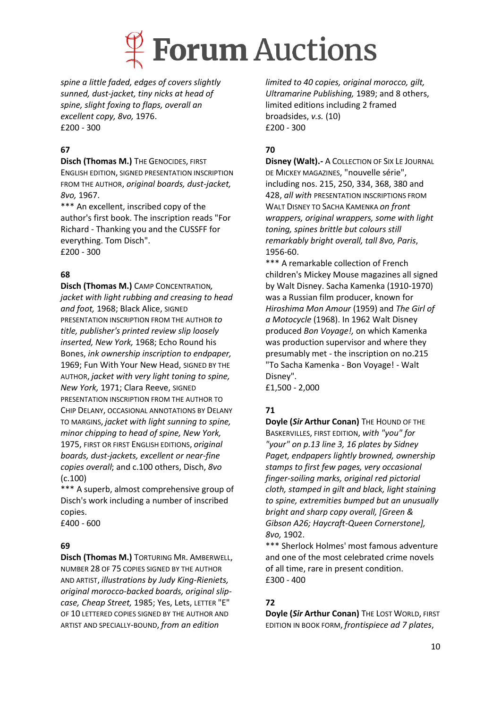

*spine a little faded, edges of covers slightly sunned, dust-jacket, tiny nicks at head of spine, slight foxing to flaps, overall an excellent copy, 8vo,* 1976. £200 - 300

## **67**

**Disch (Thomas M.)** THE GENOCIDES, FIRST

ENGLISH EDITION, SIGNED PRESENTATION INSCRIPTION FROM THE AUTHOR, *original boards, dust-jacket, 8vo,* 1967.

\*\*\* An excellent, inscribed copy of the author's first book. The inscription reads "For Richard - Thanking you and the CUSSFF for everything. Tom Disch". £200 - 300

## **68**

**Disch (Thomas M.)** CAMP CONCENTRATION*, jacket with light rubbing and creasing to head and foot,* 1968; Black Alice, SIGNED PRESENTATION INSCRIPTION FROM THE AUTHOR *to title, publisher's printed review slip loosely inserted, New York,* 1968; Echo Round his Bones, *ink ownership inscription to endpaper,*  1969; Fun With Your New Head, SIGNED BY THE AUTHOR, *jacket with very light toning to spine, New York,* 1971; Clara Reeve, SIGNED PRESENTATION INSCRIPTION FROM THE AUTHOR TO CHIP DELANY, OCCASIONAL ANNOTATIONS BY DELANY TO MARGINS, *jacket with light sunning to spine, minor chipping to head of spine, New York,*  1975, FIRST OR FIRST ENGLISH EDITIONS, *original boards, dust-jackets, excellent or near-fine copies overall*; and c.100 others, Disch, *8vo*  (c.100)

\*\*\* A superb, almost comprehensive group of Disch's work including a number of inscribed copies.

£400 - 600

## **69**

**Disch (Thomas M.)** TORTURING MR. AMBERWELL, NUMBER 28 OF 75 COPIES SIGNED BY THE AUTHOR AND ARTIST, *illustrations by Judy King-Rieniets, original morocco-backed boards, original slipcase, Cheap Street,* 1985; Yes, Lets, LETTER "E" OF 10 LETTERED COPIES SIGNED BY THE AUTHOR AND ARTIST AND SPECIALLY-BOUND, *from an edition* 

*limited to 40 copies, original morocco, gilt, Ultramarine Publishing,* 1989; and 8 others, limited editions including 2 framed broadsides, *v.s.* (10) £200 - 300

## **70**

**Disney (Walt).-** A COLLECTION OF SIX LE JOURNAL DE MICKEY MAGAZINES, "nouvelle série", including nos. 215, 250, 334, 368, 380 and 428, *all with* PRESENTATION INSCRIPTIONS FROM WALT DISNEY TO SACHA KAMENKA *on front wrappers, original wrappers, some with light toning, spines brittle but colours still remarkably bright overall, tall 8vo, Paris*, 1956-60.

\*\*\* A remarkable collection of French children's Mickey Mouse magazines all signed by Walt Disney. Sacha Kamenka (1910-1970) was a Russian film producer, known for *Hiroshima Mon Amour* (1959) and *The Girl of a Motocycle* (1968). In 1962 Walt Disney produced *Bon Voyage!,* on which Kamenka was production supervisor and where they presumably met - the inscription on no.215 "To Sacha Kamenka - Bon Voyage! - Walt Disney".

£1,500 - 2,000

## **71**

**Doyle (Sir Arthur Conan)** THE HOUND OF THE BASKERVILLES, FIRST EDITION, *with "you" for "your" on p.13 line 3, 16 plates by Sidney Paget, endpapers lightly browned, ownership stamps to first few pages, very occasional finger-soiling marks, original red pictorial cloth, stamped in gilt and black, light staining to spine, extremities bumped but an unusually bright and sharp copy overall, [Green & Gibson A26; Haycraft-Queen Cornerstone], 8vo,* 1902.

\*\*\* Sherlock Holmes' most famous adventure and one of the most celebrated crime novels of all time, rare in present condition. £300 - 400

## **72**

**Doyle (***Sir* **Arthur Conan)** THE LOST WORLD, FIRST EDITION IN BOOK FORM, *frontispiece ad 7 plates*,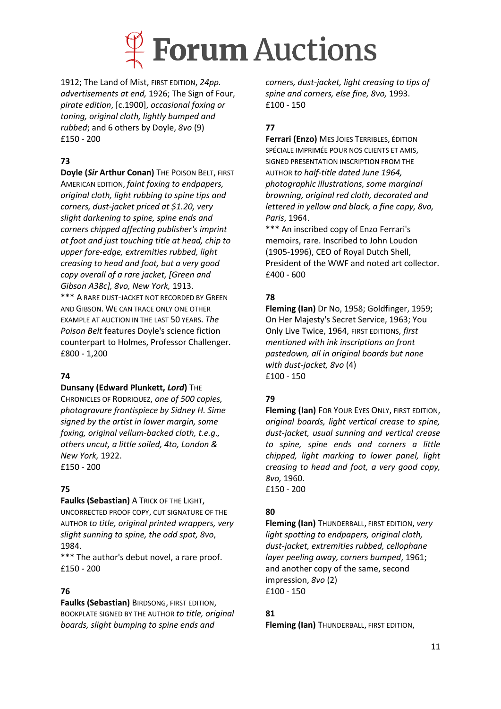

1912; The Land of Mist, FIRST EDITION, *24pp. advertisements at end,* 1926; The Sign of Four, *pirate edition*, [c.1900], *occasional foxing or toning, original cloth, lightly bumped and rubbed*; and 6 others by Doyle, *8vo* (9) £150 - 200

## **73**

**Doyle (***Sir* **Arthur Conan)** THE POISON BELT, FIRST AMERICAN EDITION, *faint foxing to endpapers, original cloth, light rubbing to spine tips and corners, dust-jacket priced at \$1.20, very slight darkening to spine, spine ends and corners chipped affecting publisher's imprint at foot and just touching title at head, chip to upper fore-edge, extremities rubbed, light creasing to head and foot, but a very good copy overall of a rare jacket, [Green and Gibson A38c], 8vo, New York,* 1913. \*\*\* A RARE DUST-JACKET NOT RECORDED BY GREEN AND GIBSON. WE CAN TRACE ONLY ONE OTHER EXAMPLE AT AUCTION IN THE LAST 50 YEARS. *The Poison Belt* features Doyle's science fiction counterpart to Holmes, Professor Challenger. £800 - 1,200

### **74**

#### **Dunsany (Edward Plunkett,** *Lord***)** THE

CHRONICLES OF RODRIQUEZ, *one of 500 copies, photogravure frontispiece by Sidney H. Sime signed by the artist in lower margin, some foxing, original vellum-backed cloth, t.e.g., others uncut, a little soiled, 4to, London & New York,* 1922. £150 - 200

## **75**

**Faulks (Sebastian)** A TRICK OF THE LIGHT,

UNCORRECTED PROOF COPY, CUT SIGNATURE OF THE AUTHOR *to title, original printed wrappers, very slight sunning to spine, the odd spot, 8vo*, 1984.

\*\*\* The author's debut novel, a rare proof. £150 - 200

## **76**

**Faulks (Sebastian)** BIRDSONG, FIRST EDITION, BOOKPLATE SIGNED BY THE AUTHOR *to title, original boards, slight bumping to spine ends and* 

*corners, dust-jacket, light creasing to tips of spine and corners, else fine, 8vo,* 1993. £100 - 150

## **77**

**Ferrari (Enzo)** MES JOIES TERRIBLES, ÉDITION SPÉCIALE IMPRIMÉE POUR NOS CLIENTS ET AMIS, SIGNED PRESENTATION INSCRIPTION FROM THE AUTHOR *to half-title dated June 1964, photographic illustrations, some marginal browning, original red cloth, decorated and lettered in yellow and black, a fine copy, 8vo, Paris*, 1964.

\*\*\* An inscribed copy of Enzo Ferrari's memoirs, rare. Inscribed to John Loudon (1905-1996), CEO of Royal Dutch Shell, President of the WWF and noted art collector. £400 - 600

## **78**

**Fleming (Ian)** Dr No, 1958; Goldfinger, 1959; On Her Majesty's Secret Service, 1963; You Only Live Twice, 1964, FIRST EDITIONS, *first mentioned with ink inscriptions on front pastedown, all in original boards but none with dust-jacket, 8vo* (4) £100 - 150

## **79**

**Fleming (Ian)** FOR YOUR EYES ONLY, FIRST EDITION, *original boards, light vertical crease to spine, dust-jacket, usual sunning and vertical crease to spine, spine ends and corners a little chipped, light marking to lower panel, light creasing to head and foot, a very good copy, 8vo,* 1960. £150 - 200

## **80**

**Fleming (Ian)** THUNDERBALL, FIRST EDITION, *very light spotting to endpapers, original cloth, dust-jacket, extremities rubbed, cellophane layer peeling away, corners bumped*, 1961; and another copy of the same, second impression, *8vo* (2) £100 - 150

## **81**

**Fleming (Ian)** THUNDERBALL, FIRST EDITION,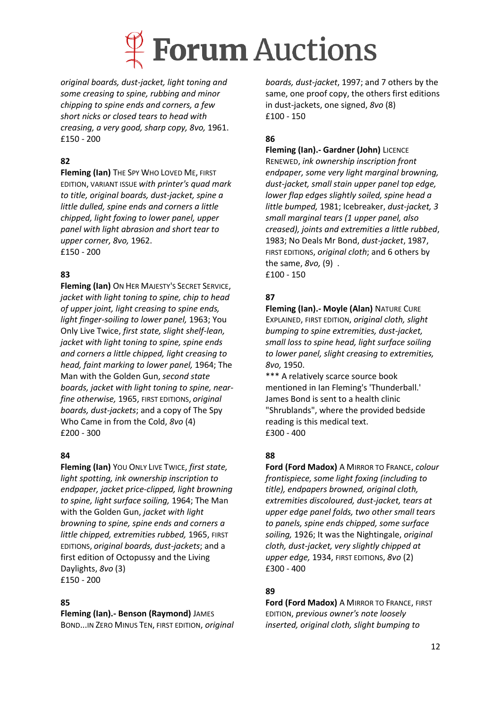

*original boards, dust-jacket, light toning and some creasing to spine, rubbing and minor chipping to spine ends and corners, a few short nicks or closed tears to head with creasing, a very good, sharp copy, 8vo,* 1961. £150 - 200

## **82**

**Fleming (Ian)** THE SPY WHO LOVED ME, FIRST EDITION, VARIANT ISSUE *with printer's quad mark to title, original boards, dust-jacket, spine a little dulled, spine ends and corners a little chipped, light foxing to lower panel, upper panel with light abrasion and short tear to upper corner, 8vo,* 1962. £150 - 200

## **83**

**Fleming (Ian)** ON HER MAJESTY'S SECRET SERVICE, *jacket with light toning to spine, chip to head of upper joint, light creasing to spine ends, light finger-soiling to lower panel,* 1963; You Only Live Twice, *first state, slight shelf-lean, jacket with light toning to spine, spine ends and corners a little chipped, light creasing to head, faint marking to lower panel,* 1964; The Man with the Golden Gun, *second state boards, jacket with light toning to spine, nearfine otherwise,* 1965, FIRST EDITIONS, *original boards, dust-jackets*; and a copy of The Spy Who Came in from the Cold, *8vo* (4) £200 - 300

## **84**

**Fleming (Ian)** YOU ONLY LIVE TWICE, *first state, light spotting, ink ownership inscription to endpaper, jacket price-clipped, light browning to spine, light surface soiling,* 1964; The Man with the Golden Gun, *jacket with light browning to spine, spine ends and corners a little chipped, extremities rubbed,* 1965, FIRST EDITIONS, *original boards, dust-jackets*; and a first edition of Octopussy and the Living Daylights, *8vo* (3) £150 - 200

### **85**

**Fleming (Ian).- Benson (Raymond)** JAMES

BOND...IN ZERO MINUS TEN, FIRST EDITION, *original* 

*boards, dust-jacket*, 1997; and 7 others by the same, one proof copy, the others first editions in dust-jackets, one signed, *8vo* (8) £100 - 150

## **86**

**Fleming (Ian).- Gardner (John)** LICENCE RENEWED, *ink ownership inscription front* 

*endpaper, some very light marginal browning, dust-jacket, small stain upper panel top edge, lower flap edges slightly soiled, spine head a little bumped,* 1981; Icebreaker, *dust-jacket, 3 small marginal tears (1 upper panel, also creased), joints and extremities a little rubbed*, 1983; No Deals Mr Bond, *dust-jacket*, 1987, FIRST EDITIONS, *original cloth*; and 6 others by the same, *8vo,* (9) . £100 - 150

## **87**

**Fleming (Ian).- Moyle (Alan)** NATURE CURE EXPLAINED, FIRST EDITION, *original cloth, slight bumping to spine extremities, dust-jacket, small loss to spine head, light surface soiling to lower panel, slight creasing to extremities, 8vo,* 1950.

\*\*\* A relatively scarce source book mentioned in Ian Fleming's 'Thunderball.' James Bond is sent to a health clinic "Shrublands", where the provided bedside reading is this medical text. £300 - 400

## **88**

**Ford (Ford Madox)** A MIRROR TO FRANCE, *colour frontispiece, some light foxing (including to title), endpapers browned, original cloth, extremities discoloured, dust-jacket, tears at upper edge panel folds, two other small tears to panels, spine ends chipped, some surface soiling,* 1926; It was the Nightingale, *original cloth, dust-jacket, very slightly chipped at upper edge,* 1934, FIRST EDITIONS, *8vo* (2) £300 - 400

## **89**

**Ford (Ford Madox)** A MIRROR TO FRANCE, FIRST EDITION, *previous owner's note loosely inserted, original cloth, slight bumping to*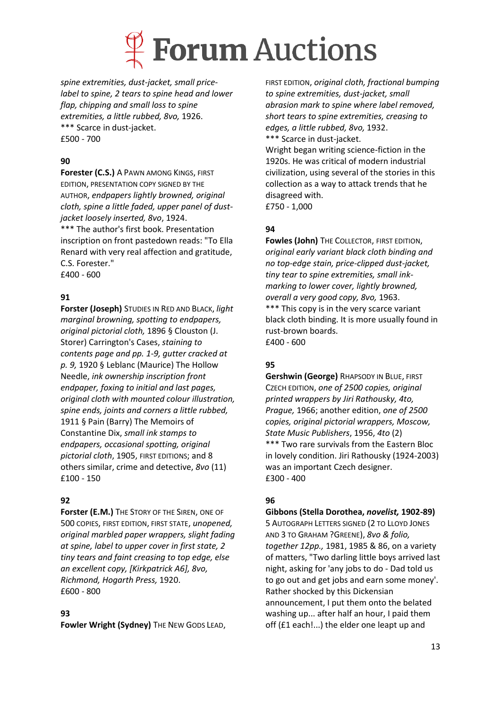

*spine extremities, dust-jacket, small pricelabel to spine, 2 tears to spine head and lower flap, chipping and small loss to spine extremities, a little rubbed, 8vo,* 1926. \*\*\* Scarce in dust-jacket. £500 - 700

## **90**

**Forester (C.S.)** A PAWN AMONG KINGS, FIRST EDITION, PRESENTATION COPY SIGNED BY THE AUTHOR, *endpapers lightly browned, original cloth, spine a little faded, upper panel of dustjacket loosely inserted, 8vo*, 1924. \*\*\* The author's first book. Presentation inscription on front pastedown reads: "To Ella Renard with very real affection and gratitude, C.S. Forester." £400 - 600

**91**

**Forster (Joseph)** STUDIES IN RED AND BLACK, *light marginal browning, spotting to endpapers, original pictorial cloth,* 1896 § Clouston (J. Storer) Carrington's Cases, *staining to contents page and pp. 1-9, gutter cracked at p. 9,* 1920 § Leblanc (Maurice) The Hollow Needle, *ink ownership inscription front endpaper, foxing to initial and last pages, original cloth with mounted colour illustration, spine ends, joints and corners a little rubbed,*  1911 § Pain (Barry) The Memoirs of Constantine Dix, *small ink stamps to endpapers, occasional spotting, original pictorial cloth*, 1905, FIRST EDITIONS; and 8 others similar, crime and detective, *8vo* (11) £100 - 150

### **92**

**Forster (E.M.)** THE STORY OF THE SIREN, ONE OF 500 COPIES, FIRST EDITION, FIRST STATE, *unopened, original marbled paper wrappers, slight fading at spine, label to upper cover in first state, 2 tiny tears and faint creasing to top edge, else an excellent copy, [Kirkpatrick A6], 8vo, Richmond, Hogarth Press,* 1920. £600 - 800

### **93**

**Fowler Wright (Sydney)** THE NEW GODS LEAD,

FIRST EDITION, *original cloth, fractional bumping to spine extremities, dust-jacket, small abrasion mark to spine where label removed, short tears to spine extremities, creasing to edges, a little rubbed, 8vo,* 1932. \*\*\* Scarce in dust-jacket.

Wright began writing science-fiction in the 1920s. He was critical of modern industrial civilization, using several of the stories in this collection as a way to attack trends that he disagreed with. £750 - 1,000

## **94**

**Fowles (John)** THE COLLECTOR, FIRST EDITION, *original early variant black cloth binding and no top-edge stain, price-clipped dust-jacket, tiny tear to spine extremities, small inkmarking to lower cover, lightly browned, overall a very good copy, 8vo,* 1963. \*\*\* This copy is in the very scarce variant black cloth binding. It is more usually found in rust-brown boards. £400 - 600

## **95**

**Gershwin (George)** RHAPSODY IN BLUE, FIRST CZECH EDITION, *one of 2500 copies, original printed wrappers by Jiri Rathousky, 4to, Prague,* 1966; another edition, *one of 2500 copies, original pictorial wrappers, Moscow, State Music Publishers*, 1956, *4to* (2) \*\*\* Two rare survivals from the Eastern Bloc in lovely condition. Jiri Rathousky (1924-2003) was an important Czech designer. £300 - 400

## **96**

#### **Gibbons (Stella Dorothea,** *novelist,* **1902-89)**

5 AUTOGRAPH LETTERS SIGNED (2 TO LLOYD JONES AND 3 TO GRAHAM ?GREENE), *8vo & folio, together 12pp.,* 1981, 1985 & 86, on a variety of matters, "Two darling little boys arrived last night, asking for 'any jobs to do - Dad told us to go out and get jobs and earn some money'. Rather shocked by this Dickensian announcement, I put them onto the belated washing up... after half an hour, I paid them off (£1 each!...) the elder one leapt up and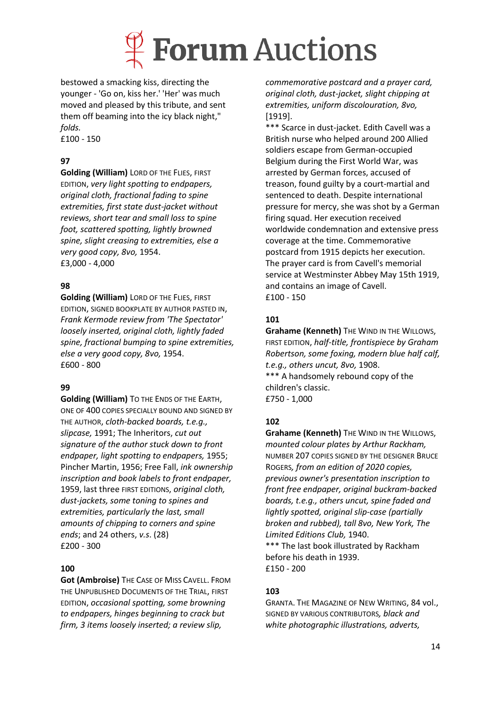

bestowed a smacking kiss, directing the younger - 'Go on, kiss her.' 'Her' was much moved and pleased by this tribute, and sent them off beaming into the icy black night," *folds.*

£100 - 150

## **97**

**Golding (William)** LORD OF THE FLIES, FIRST EDITION, *very light spotting to endpapers, original cloth, fractional fading to spine extremities, first state dust-jacket without reviews, short tear and small loss to spine foot, scattered spotting, lightly browned spine, slight creasing to extremities, else a very good copy, 8vo,* 1954. £3,000 - 4,000

## **98**

**Golding (William)** LORD OF THE FLIES, FIRST EDITION, SIGNED BOOKPLATE BY AUTHOR PASTED IN, *Frank Kermode review from 'The Spectator' loosely inserted, original cloth, lightly faded spine, fractional bumping to spine extremities, else a very good copy, 8vo,* 1954. £600 - 800

### **99**

**Golding (William)** TO THE ENDS OF THE EARTH, ONE OF 400 COPIES SPECIALLY BOUND AND SIGNED BY THE AUTHOR, *cloth-backed boards, t.e.g., slipcase,* 1991; The Inheritors, *cut out signature of the author stuck down to front endpaper, light spotting to endpapers,* 1955; Pincher Martin, 1956; Free Fall, *ink ownership inscription and book labels to front endpaper,* 1959, last three FIRST EDITIONS, *original cloth, dust-jackets, some toning to spines and extremities, particularly the last, small amounts of chipping to corners and spine ends*; and 24 others, *v.s*. (28) £200 - 300

### **100**

**Got (Ambroise)** THE CASE OF MISS CAVELL. FROM THE UNPUBLISHED DOCUMENTS OF THE TRIAL, FIRST EDITION, *occasional spotting, some browning to endpapers, hinges beginning to crack but firm, 3 items loosely inserted; a review slip,* 

*commemorative postcard and a prayer card, original cloth, dust-jacket, slight chipping at extremities, uniform discolouration, 8vo,* [1919].

\*\*\* Scarce in dust-jacket. Edith Cavell was a British nurse who helped around 200 Allied soldiers escape from German-occupied Belgium during the First World War, was arrested by German forces, accused of treason, found guilty by a court-martial and sentenced to death. Despite international pressure for mercy, she was shot by a German firing squad. Her execution received worldwide condemnation and extensive press coverage at the time. Commemorative postcard from 1915 depicts her execution. The prayer card is from Cavell's memorial service at Westminster Abbey May 15th 1919, and contains an image of Cavell. £100 - 150

## **101**

**Grahame (Kenneth)** THE WIND IN THE WILLOWS, FIRST EDITION, *half-title, frontispiece by Graham Robertson, some foxing, modern blue half calf, t.e.g., others uncut, 8vo,* 1908. \*\*\* A handsomely rebound copy of the children's classic. £750 - 1,000

### **102**

**Grahame (Kenneth)** THE WIND IN THE WILLOWS, *mounted colour plates by Arthur Rackham,*  NUMBER 207 COPIES SIGNED BY THE DESIGNER BRUCE ROGERS*, from an edition of 2020 copies, previous owner's presentation inscription to front free endpaper, original buckram-backed boards, t.e.g., others uncut, spine faded and lightly spotted, original slip-case (partially broken and rubbed), tall 8vo, New York, The Limited Editions Club,* 1940. \*\*\* The last book illustrated by Rackham

before his death in 1939. £150 - 200

### **103**

GRANTA. THE MAGAZINE OF NEW WRITING, 84 vol., SIGNED BY VARIOUS CONTRIBUTORS*, black and white photographic illustrations, adverts,*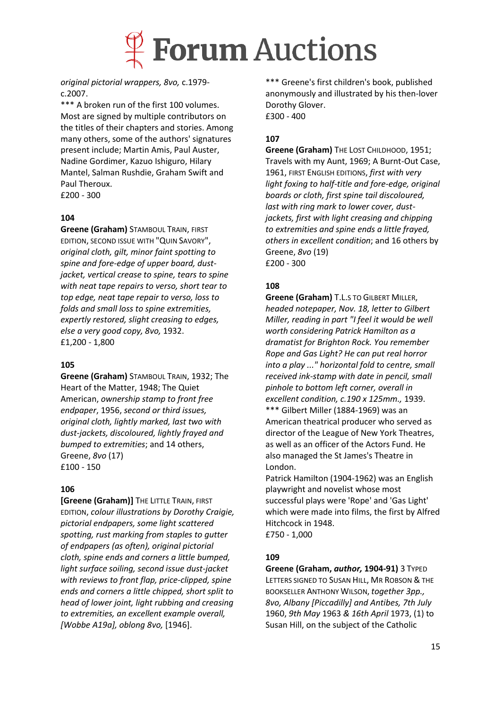

*original pictorial wrappers, 8vo,* c.1979 c.2007.

\*\*\* A broken run of the first 100 volumes. Most are signed by multiple contributors on the titles of their chapters and stories. Among many others, some of the authors' signatures present include; Martin Amis, Paul Auster, Nadine Gordimer, Kazuo Ishiguro, Hilary Mantel, Salman Rushdie, Graham Swift and Paul Theroux. £200 - 300

#### **104**

**Greene (Graham)** STAMBOUL TRAIN, FIRST EDITION, SECOND ISSUE WITH "QUIN SAVORY", *original cloth, gilt, minor faint spotting to spine and fore-edge of upper board, dustjacket, vertical crease to spine, tears to spine with neat tape repairs to verso, short tear to top edge, neat tape repair to verso, loss to folds and small loss to spine extremities, expertly restored, slight creasing to edges, else a very good copy, 8vo,* 1932. £1,200 - 1,800

#### **105**

**Greene (Graham)** STAMBOUL TRAIN, 1932; The Heart of the Matter, 1948; The Quiet American, *ownership stamp to front free endpaper*, 1956, *second or third issues, original cloth, lightly marked, last two with dust-jackets, discoloured, lightly frayed and bumped to extremities*; and 14 others, Greene, *8vo* (17) £100 - 150

#### **106**

**[Greene (Graham)]** THE LITTLE TRAIN, FIRST EDITION, *colour illustrations by Dorothy Craigie, pictorial endpapers, some light scattered spotting, rust marking from staples to gutter of endpapers (as often), original pictorial cloth, spine ends and corners a little bumped, light surface soiling, second issue dust-jacket with reviews to front flap, price-clipped, spine ends and corners a little chipped, short split to head of lower joint, light rubbing and creasing to extremities, an excellent example overall, [Wobbe A19a], oblong 8vo,* [1946].

\*\*\* Greene's first children's book, published anonymously and illustrated by his then-lover Dorothy Glover. £300 - 400

#### **107**

**Greene (Graham)** THE LOST CHILDHOOD, 1951; Travels with my Aunt, 1969; A Burnt-Out Case, 1961, FIRST ENGLISH EDITIONS, *first with very light foxing to half-title and fore-edge, original boards or cloth, first spine tail discoloured, last with ring mark to lower cover, dustjackets, first with light creasing and chipping to extremities and spine ends a little frayed, others in excellent condition*; and 16 others by Greene, *8vo* (19) £200 - 300

#### **108**

**Greene (Graham)** T.L.S TO GILBERT MILLER, *headed notepaper, Nov. 18, letter to Gilbert Miller, reading in part "I feel it would be well worth considering Patrick Hamilton as a dramatist for Brighton Rock. You remember Rope and Gas Light? He can put real horror into a play ..." horizontal fold to centre, small received ink-stamp with date in pencil, small pinhole to bottom left corner, overall in excellent condition, c.190 x 125mm.,* 1939. \*\*\* Gilbert Miller (1884-1969) was an American theatrical producer who served as director of the League of New York Theatres, as well as an officer of the Actors Fund. He also managed the St James's Theatre in London.

Patrick Hamilton (1904-1962) was an English playwright and novelist whose most successful plays were 'Rope' and 'Gas Light' which were made into films, the first by Alfred Hitchcock in 1948. £750 - 1,000

#### **109**

**Greene (Graham,** *author,* **1904-91)** 3 TYPED LETTERS SIGNED TO SUSAN HILL, MR ROBSON & THE BOOKSELLER ANTHONY WILSON, *together 3pp., 8vo, Albany [Piccadilly] and Antibes, 7th July*  1960, *9th May* 1963 *& 16th April* 1973, (1) to Susan Hill, on the subject of the Catholic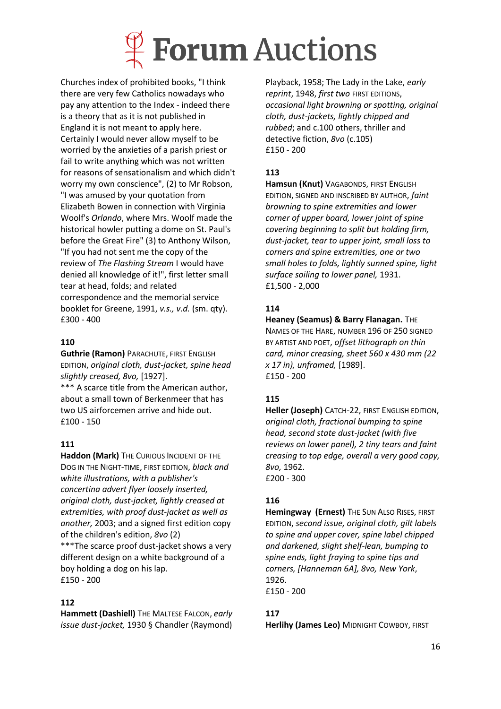

Churches index of prohibited books, "I think there are very few Catholics nowadays who pay any attention to the Index - indeed there is a theory that as it is not published in England it is not meant to apply here. Certainly I would never allow myself to be worried by the anxieties of a parish priest or fail to write anything which was not written for reasons of sensationalism and which didn't worry my own conscience", (2) to Mr Robson, "I was amused by your quotation from Elizabeth Bowen in connection with Virginia Woolf's *Orlando*, where Mrs. Woolf made the historical howler putting a dome on St. Paul's before the Great Fire" (3) to Anthony Wilson, "If you had not sent me the copy of the review of *The Flashing Stream* I would have denied all knowledge of it!", first letter small tear at head, folds; and related correspondence and the memorial service booklet for Greene, 1991, *v.s., v.d.* (sm. qty). £300 - 400

## **110**

**Guthrie (Ramon)** PARACHUTE, FIRST ENGLISH EDITION, *original cloth, dust-jacket, spine head slightly creased, 8vo,* [1927].

\*\*\* A scarce title from the American author, about a small town of Berkenmeer that has two US airforcemen arrive and hide out. £100 - 150

## **111**

**Haddon (Mark)** THE CURIOUS INCIDENT OF THE DOG IN THE NIGHT-TIME, FIRST EDITION, *black and white illustrations, with a publisher's concertina advert flyer loosely inserted, original cloth, dust-jacket, lightly creased at extremities, with proof dust-jacket as well as another,* 2003; and a signed first edition copy of the children's edition, *8vo* (2) \*\*\*The scarce proof dust-jacket shows a very different design on a white background of a boy holding a dog on his lap. £150 - 200

### **112**

**Hammett (Dashiell)** THE MALTESE FALCON, *early issue dust-jacket,* 1930 § Chandler (Raymond)

Playback, 1958; The Lady in the Lake, *early reprint*, 1948, *first two* FIRST EDITIONS, *occasional light browning or spotting, original cloth, dust-jackets, lightly chipped and rubbed*; and c.100 others, thriller and detective fiction, *8vo* (c.105) £150 - 200

## **113**

**Hamsun (Knut)** VAGABONDS, FIRST ENGLISH EDITION, SIGNED AND INSCRIBED BY AUTHOR, *faint browning to spine extremities and lower corner of upper board, lower joint of spine covering beginning to split but holding firm, dust-jacket, tear to upper joint, small loss to corners and spine extremities, one or two small holes to folds, lightly sunned spine, light surface soiling to lower panel,* 1931. £1,500 - 2,000

### **114**

**Heaney (Seamus) & Barry Flanagan.** THE NAMES OF THE HARE, NUMBER 196 OF 250 SIGNED BY ARTIST AND POET, *offset lithograph on thin card, minor creasing, sheet 560 x 430 mm (22 x 17 in), unframed,* [1989]. £150 - 200

## **115**

**Heller (Joseph)** CATCH-22, FIRST ENGLISH EDITION, *original cloth, fractional bumping to spine head, second state dust-jacket (with five reviews on lower panel), 2 tiny tears and faint creasing to top edge, overall a very good copy, 8vo,* 1962. £200 - 300

## **116**

**Hemingway (Ernest)** THE SUN ALSO RISES, FIRST EDITION, *second issue, original cloth, gilt labels to spine and upper cover, spine label chipped and darkened, slight shelf-lean, bumping to spine ends, light fraying to spine tips and corners, [Hanneman 6A], 8vo, New York*, 1926. £150 - 200

### **117**

**Herlihy (James Leo)** MIDNIGHT COWBOY, FIRST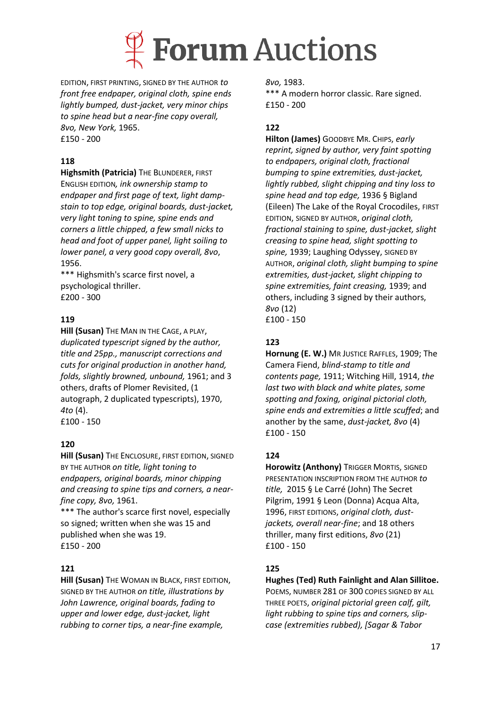

EDITION, FIRST PRINTING, SIGNED BY THE AUTHOR *to front free endpaper, original cloth, spine ends lightly bumped, dust-jacket, very minor chips to spine head but a near-fine copy overall, 8vo, New York,* 1965. £150 - 200

## **118**

**Highsmith (Patricia)** THE BLUNDERER, FIRST ENGLISH EDITION*, ink ownership stamp to endpaper and first page of text, light dampstain to top edge, original boards, dust-jacket, very light toning to spine, spine ends and corners a little chipped, a few small nicks to head and foot of upper panel, light soiling to lower panel, a very good copy overall, 8vo*, 1956.

\*\*\* Highsmith's scarce first novel, a psychological thriller. £200 - 300

## **119**

**Hill (Susan)** THE MAN IN THE CAGE, A PLAY, *duplicated typescript signed by the author, title and 25pp., manuscript corrections and cuts for original production in another hand, folds, slightly browned, unbound,* 1961; and 3 others, drafts of Plomer Revisited, (1 autograph, 2 duplicated typescripts), 1970, *4to* (4). £100 - 150

### **120**

**Hill (Susan)** THE ENCLOSURE, FIRST EDITION, SIGNED BY THE AUTHOR *on title, light toning to endpapers, original boards, minor chipping and creasing to spine tips and corners, a nearfine copy, 8vo,* 1961.

\*\*\* The author's scarce first novel, especially so signed; written when she was 15 and published when she was 19. £150 - 200

### **121**

**Hill (Susan)** THE WOMAN IN BLACK, FIRST EDITION, SIGNED BY THE AUTHOR *on title, illustrations by John Lawrence, original boards, fading to upper and lower edge, dust-jacket, light rubbing to corner tips, a near-fine example,* 

*8vo,* 1983.

\*\*\* A modern horror classic. Rare signed. £150 - 200

## **122**

**Hilton (James)** GOODBYE MR. CHIPS, *early reprint, signed by author, very faint spotting to endpapers, original cloth, fractional bumping to spine extremities, dust-jacket, lightly rubbed, slight chipping and tiny loss to spine head and top edge,* 1936 § Bigland (Eileen) The Lake of the Royal Crocodiles, FIRST EDITION, SIGNED BY AUTHOR, *original cloth, fractional staining to spine, dust-jacket, slight creasing to spine head, slight spotting to spine,* 1939; Laughing Odyssey, SIGNED BY AUTHOR, *original cloth, slight bumping to spine extremities, dust-jacket, slight chipping to spine extremities, faint creasing,* 1939; and others, including 3 signed by their authors, *8vo* (12) £100 - 150

### **123**

**Hornung (E. W.)** MR JUSTICE RAFFLES, 1909; The Camera Fiend, *blind-stamp to title and contents page,* 1911; Witching Hill, 1914, *the last two with black and white plates, some spotting and foxing, original pictorial cloth, spine ends and extremities a little scuffed*; and another by the same, *dust-jacket, 8vo* (4) £100 - 150

### **124**

**Horowitz (Anthony)** TRIGGER MORTIS, SIGNED PRESENTATION INSCRIPTION FROM THE AUTHOR *to title,* 2015 § Le Carré (John) The Secret Pilgrim, 1991 § Leon (Donna) Acqua Alta, 1996, FIRST EDITIONS, *original cloth, dustjackets, overall near-fine*; and 18 others thriller, many first editions, *8vo* (21) £100 - 150

### **125**

#### **Hughes (Ted) Ruth Fainlight and Alan Sillitoe.**

POEMS, NUMBER 281 OF 300 COPIES SIGNED BY ALL THREE POETS, *original pictorial green calf, gilt, light rubbing to spine tips and corners, slipcase (extremities rubbed), [Sagar & Tabor*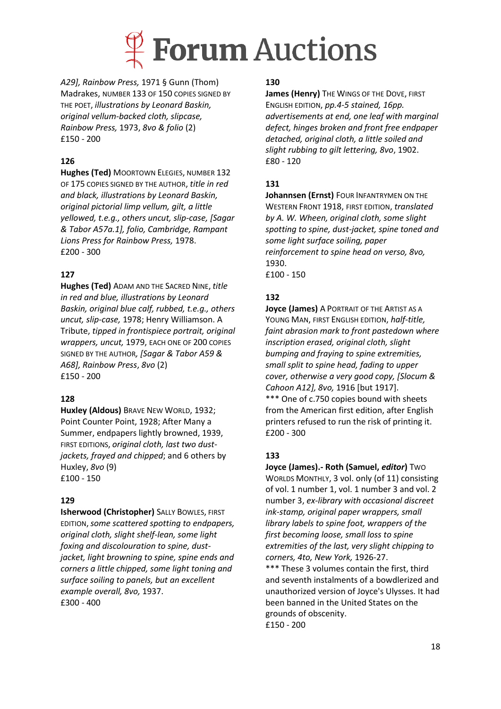

*A29], Rainbow Press,* 1971 § Gunn (Thom) Madrakes, NUMBER 133 OF 150 COPIES SIGNED BY THE POET, *illustrations by Leonard Baskin, original vellum-backed cloth, slipcase, Rainbow Press,* 1973, *8vo & folio* (2) £150 - 200

## **126**

**Hughes (Ted)** MOORTOWN ELEGIES, NUMBER 132 OF 175 COPIES SIGNED BY THE AUTHOR, *title in red and black, illustrations by Leonard Baskin, original pictorial limp vellum, gilt, a little yellowed, t.e.g., others uncut, slip-case, [Sagar & Tabor A57a.1], folio, Cambridge, Rampant Lions Press for Rainbow Press,* 1978. £200 - 300

### **127**

**Hughes (Ted)** ADAM AND THE SACRED NINE, *title in red and blue, illustrations by Leonard Baskin, original blue calf, rubbed, t.e.g., others uncut, slip-case,* 1978; Henry Williamson. A Tribute, *tipped in frontispiece portrait, original wrappers, uncut,* 1979, EACH ONE OF 200 COPIES SIGNED BY THE AUTHOR*, [Sagar & Tabor A59 & A68], Rainbow Press*, *8vo* (2) £150 - 200

### **128**

**Huxley (Aldous)** BRAVE NEW WORLD, 1932; Point Counter Point, 1928; After Many a Summer, endpapers lightly browned, 1939, FIRST EDITIONS, *original cloth, last two dustjackets, frayed and chipped*; and 6 others by Huxley, *8vo* (9) £100 - 150

### **129**

**Isherwood (Christopher)** SALLY BOWLES, FIRST EDITION,*some scattered spotting to endpapers, original cloth, slight shelf-lean, some light foxing and discolouration to spine, dustjacket, light browning to spine, spine ends and corners a little chipped, some light toning and surface soiling to panels, but an excellent example overall, 8vo,* 1937. £300 - 400

#### **130**

**James (Henry)** THE WINGS OF THE DOVE, FIRST ENGLISH EDITION, *pp.4-5 stained, 16pp. advertisements at end, one leaf with marginal defect, hinges broken and front free endpaper detached, original cloth, a little soiled and slight rubbing to gilt lettering, 8vo*, 1902. £80 - 120

## **131**

**Johannsen (Ernst)** FOUR INFANTRYMEN ON THE WESTERN FRONT 1918, FIRST EDITION, *translated by A. W. Wheen, original cloth, some slight spotting to spine, dust-jacket, spine toned and some light surface soiling, paper reinforcement to spine head on verso, 8vo,*  1930. £100 - 150

## **132**

**Joyce (James)** A PORTRAIT OF THE ARTIST AS A YOUNG MAN, FIRST ENGLISH EDITION, *half-title, faint abrasion mark to front pastedown where inscription erased, original cloth, slight bumping and fraying to spine extremities, small split to spine head, fading to upper cover, otherwise a very good copy, [Slocum & Cahoon A12], 8vo,* 1916 [but 1917]. \*\*\* One of c.750 copies bound with sheets from the American first edition, after English printers refused to run the risk of printing it.

**133**

£200 - 300

**Joyce (James).- Roth (Samuel,** *editor***)** TWO WORLDS MONTHLY, 3 vol. only (of 11) consisting of vol. 1 number 1, vol. 1 number 3 and vol. 2 number 3, *ex-library with occasional discreet ink-stamp, original paper wrappers, small library labels to spine foot, wrappers of the first becoming loose, small loss to spine extremities of the last, very slight chipping to corners, 4to, New York,* 1926-27. \*\*\* These 3 volumes contain the first, third and seventh instalments of a bowdlerized and unauthorized version of Joyce's Ulysses. It had been banned in the United States on the grounds of obscenity. £150 - 200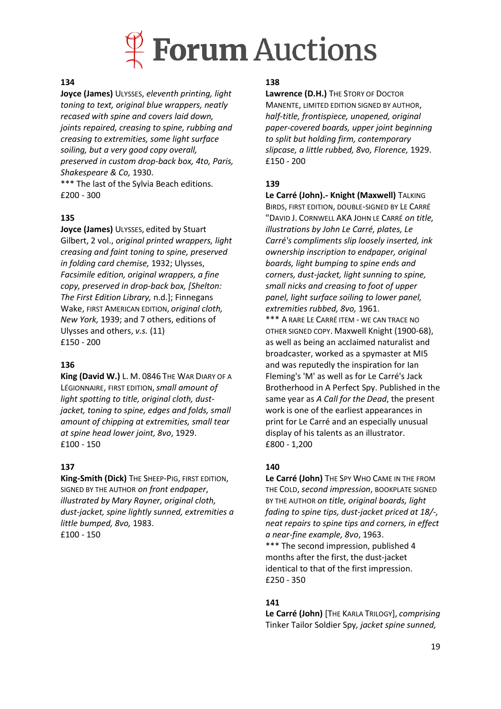

#### **134**

**Joyce (James)** ULYSSES, *eleventh printing, light toning to text, original blue wrappers, neatly recased with spine and covers laid down, joints repaired, creasing to spine, rubbing and creasing to extremities, some light surface soiling, but a very good copy overall, preserved in custom drop-back box, 4to, Paris, Shakespeare & Co,* 1930.

\*\*\* The last of the Sylvia Beach editions. £200 - 300

#### **135**

**Joyce (James)** ULYSSES, edited by Stuart Gilbert, 2 vol., *original printed wrappers, light creasing and faint toning to spine, preserved in folding card chemise,* 1932; Ulysses, *Facsimile edition, original wrappers, a fine copy, preserved in drop-back box, [Shelton: The First Edition Library,* n.d.]; Finnegans Wake, FIRST AMERICAN EDITION, *original cloth, New York,* 1939; and 7 others, editions of Ulysses and others, *v.s.* (11) £150 - 200

#### **136**

**King (David W.)** L. M. 0846 THE WAR DIARY OF A LÉGIONNAIRE, FIRST EDITION,*small amount of light spotting to title, original cloth, dustjacket, toning to spine, edges and folds, small amount of chipping at extremities, small tear at spine head lower joint, 8vo*, 1929. £100 - 150

#### **137**

**King-Smith (Dick)** THE SHEEP-PIG, FIRST EDITION, SIGNED BY THE AUTHOR *on front endpaper*, *illustrated by Mary Rayner, original cloth, dust-jacket, spine lightly sunned, extremities a little bumped, 8vo,* 1983. £100 - 150

#### **138**

**Lawrence (D.H.)** THE STORY OF DOCTOR MANENTE, LIMITED EDITION SIGNED BY AUTHOR, *half-title, frontispiece, unopened, original paper-covered boards, upper joint beginning to split but holding firm, contemporary slipcase, a little rubbed, 8vo, Florence,* 1929. £150 - 200

#### **139**

**Le Carré (John).- Knight (Maxwell)** TALKING BIRDS, FIRST EDITION, DOUBLE-SIGNED BY LE CARRÉ "DAVID J. CORNWELL AKA JOHN LE CARRÉ *on title, illustrations by John Le Carré, plates, Le Carré's compliments slip loosely inserted, ink ownership inscription to endpaper, original boards, light bumping to spine ends and corners, dust-jacket, light sunning to spine, small nicks and creasing to foot of upper panel, light surface soiling to lower panel, extremities rubbed, 8vo,* 1961. \*\*\* A RARE LE CARRÉ ITEM - WE CAN TRACE NO OTHER SIGNED COPY. Maxwell Knight (1900-68), as well as being an acclaimed naturalist and broadcaster, worked as a spymaster at MI5

and was reputedly the inspiration for Ian Fleming's 'M' as well as for Le Carré's Jack Brotherhood in A Perfect Spy. Published in the same year as *A Call for the Dead*, the present work is one of the earliest appearances in print for Le Carré and an especially unusual display of his talents as an illustrator. £800 - 1,200

#### **140**

**Le Carré (John)** THE SPY WHO CAME IN THE FROM THE COLD, *second impression*, BOOKPLATE SIGNED BY THE AUTHOR *on title, original boards, light fading to spine tips, dust-jacket priced at 18/-, neat repairs to spine tips and corners, in effect a near-fine example, 8vo*, 1963.

\*\*\* The second impression, published 4 months after the first, the dust-jacket identical to that of the first impression. £250 - 350

#### **141**

**Le Carré (John)** [THE KARLA TRILOGY], *comprising*  Tinker Tailor Soldier Spy*, jacket spine sunned,*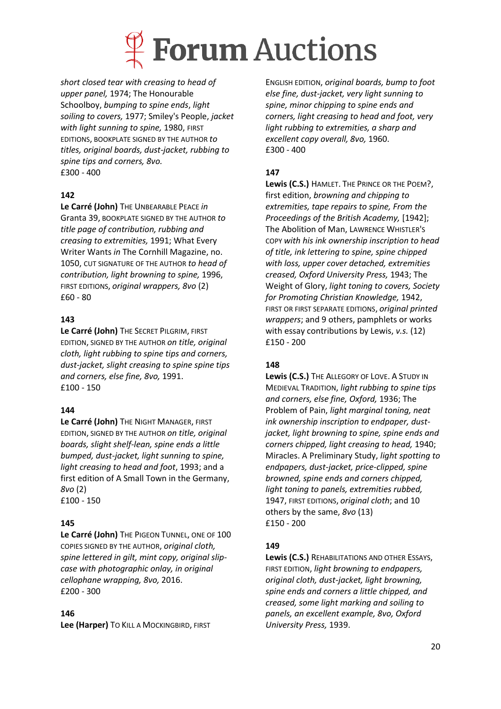

*short closed tear with creasing to head of upper panel,* 1974; The Honourable Schoolboy, *bumping to spine ends*, *light soiling to covers,* 1977; Smiley's People, *jacket with light sunning to spine,* 1980, FIRST EDITIONS, BOOKPLATE SIGNED BY THE AUTHOR *to titles, original boards, dust-jacket, rubbing to spine tips and corners, 8vo.* £300 - 400

### **142**

**Le Carré (John)** THE UNBEARABLE PEACE *in* Granta 39, BOOKPLATE SIGNED BY THE AUTHOR *to title page of contribution, rubbing and creasing to extremities,* 1991; What Every Writer Wants *in* The Cornhill Magazine, no. 1050, CUT SIGNATURE OF THE AUTHOR *to head of contribution, light browning to spine,* 1996, FIRST EDITIONS, *original wrappers, 8vo* (2) £60 - 80

#### **143**

**Le Carré (John)** THE SECRET PILGRIM, FIRST EDITION, SIGNED BY THE AUTHOR *on title, original cloth, light rubbing to spine tips and corners, dust-jacket, slight creasing to spine spine tips and corners, else fine, 8vo,* 1991. £100 - 150

#### **144**

Le Carré (John) THE NIGHT MANAGER, FIRST EDITION, SIGNED BY THE AUTHOR *on title, original boards, slight shelf-lean, spine ends a little bumped, dust-jacket, light sunning to spine, light creasing to head and foot*, 1993; and a first edition of A Small Town in the Germany, *8vo* (2) £100 - 150

#### **145**

**Le Carré (John)** THE PIGEON TUNNEL, ONE OF 100 COPIES SIGNED BY THE AUTHOR, *original cloth, spine lettered in gilt, mint copy, original slipcase with photographic onlay, in original cellophane wrapping, 8vo,* 2016. £200 - 300

#### **146**

**Lee (Harper)** TO KILL A MOCKINGBIRD, FIRST

ENGLISH EDITION, *original boards, bump to foot else fine, dust-jacket, very light sunning to spine, minor chipping to spine ends and corners, light creasing to head and foot, very light rubbing to extremities, a sharp and excellent copy overall, 8vo,* 1960. £300 - 400

#### **147**

**Lewis (C.S.)** HAMLET. THE PRINCE OR THE POEM?, first edition, *browning and chipping to extremities, tape repairs to spine, From the Proceedings of the British Academy,* [1942]; The Abolition of Man, LAWRENCE WHISTLER'S COPY *with his ink ownership inscription to head of title, ink lettering to spine, spine chipped with loss, upper cover detached, extremities creased, Oxford University Press,* 1943; The Weight of Glory, *light toning to covers, Society for Promoting Christian Knowledge,* 1942, FIRST OR FIRST SEPARATE EDITIONS, *original printed wrappers*; and 9 others, pamphlets or works with essay contributions by Lewis, *v.s.* (12) £150 - 200

#### **148**

**Lewis (C.S.)** THE ALLEGORY OF LOVE. A STUDY IN MEDIEVAL TRADITION, *light rubbing to spine tips and corners, else fine, Oxford,* 1936; The Problem of Pain, *light marginal toning, neat ink ownership inscription to endpaper, dustjacket, light browning to spine, spine ends and corners chipped, light creasing to head,* 1940; Miracles. A Preliminary Study, *light spotting to endpapers, dust-jacket, price-clipped, spine browned, spine ends and corners chipped, light toning to panels, extremities rubbed,*  1947, FIRST EDITIONS, *original cloth*; and 10 others by the same, *8vo* (13) £150 - 200

#### **149**

**Lewis (C.S.)** REHABILITATIONS AND OTHER ESSAYS, FIRST EDITION, *light browning to endpapers, original cloth, dust-jacket, light browning, spine ends and corners a little chipped, and creased, some light marking and soiling to panels, an excellent example, 8vo, Oxford University Press,* 1939.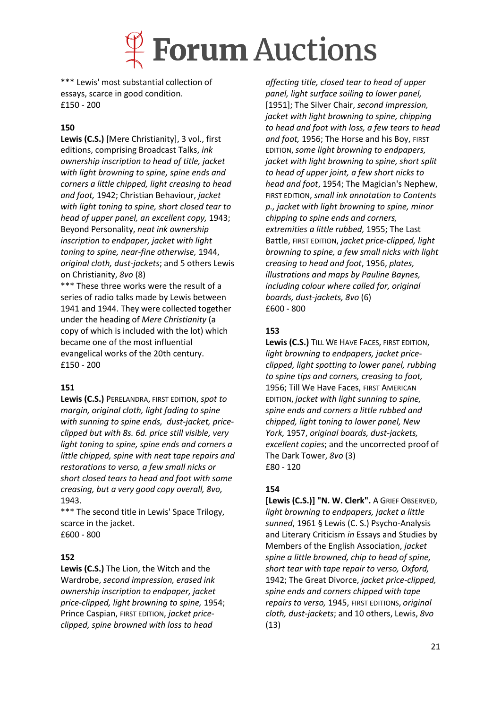## **Forum Auctions**

\*\*\* Lewis' most substantial collection of essays, scarce in good condition. £150 - 200

## **150**

**Lewis (C.S.)** [Mere Christianity], 3 vol., first editions, comprising Broadcast Talks, *ink ownership inscription to head of title, jacket with light browning to spine, spine ends and corners a little chipped, light creasing to head and foot,* 1942; Christian Behaviour, *jacket with light toning to spine, short closed tear to head of upper panel, an excellent copy,* 1943; Beyond Personality, *neat ink ownership inscription to endpaper, jacket with light toning to spine, near-fine otherwise,* 1944, *original cloth, dust-jackets*; and 5 others Lewis on Christianity, *8vo* (8)

\*\*\* These three works were the result of a series of radio talks made by Lewis between 1941 and 1944. They were collected together under the heading of *Mere Christianity* (a copy of which is included with the lot) which became one of the most influential evangelical works of the 20th century. £150 - 200

### **151**

**Lewis (C.S.)** PERELANDRA, FIRST EDITION, *spot to margin, original cloth, light fading to spine with sunning to spine ends, dust-jacket, priceclipped but with 8s. 6d. price still visible, very light toning to spine, spine ends and corners a little chipped, spine with neat tape repairs and restorations to verso, a few small nicks or short closed tears to head and foot with some creasing, but a very good copy overall, 8vo,*  1943.

\*\*\* The second title in Lewis' Space Trilogy, scarce in the jacket. £600 - 800

### **152**

**Lewis (C.S.)** The Lion, the Witch and the Wardrobe, *second impression, erased ink ownership inscription to endpaper, jacket price-clipped, light browning to spine,* 1954; Prince Caspian, FIRST EDITION, *jacket priceclipped, spine browned with loss to head* 

*affecting title, closed tear to head of upper panel, light surface soiling to lower panel,*  [1951]; The Silver Chair, *second impression, jacket with light browning to spine, chipping to head and foot with loss, a few tears to head and foot,* 1956; The Horse and his Boy, FIRST EDITION,*some light browning to endpapers, jacket with light browning to spine, short split to head of upper joint, a few short nicks to head and foot*, 1954; The Magician's Nephew, FIRST EDITION, *small ink annotation to Contents p., jacket with light browning to spine, minor chipping to spine ends and corners, extremities a little rubbed,* 1955; The Last Battle, FIRST EDITION, *jacket price-clipped, light browning to spine, a few small nicks with light creasing to head and foot*, 1956, *plates, illustrations and maps by Pauline Baynes, including colour where called for, original boards, dust-jackets, 8vo* (6) £600 - 800

## **153**

**Lewis (C.S.)** TILL WE HAVE FACES, FIRST EDITION, *light browning to endpapers, jacket priceclipped, light spotting to lower panel, rubbing to spine tips and corners, creasing to foot,* 1956; Till We Have Faces, FIRST AMERICAN EDITION, *jacket with light sunning to spine, spine ends and corners a little rubbed and chipped, light toning to lower panel, New York,* 1957, *original boards, dust-jackets, excellent copies*; and the uncorrected proof of The Dark Tower, *8vo* (3) £80 - 120

## **154**

**[Lewis (C.S.)] "N. W. Clerk".** A GRIEF OBSERVED, *light browning to endpapers, jacket a little sunned*, 1961 § Lewis (C. S.) Psycho-Analysis and Literary Criticism *in* Essays and Studies by Members of the English Association, *jacket spine a little browned, chip to head of spine, short tear with tape repair to verso, Oxford,*  1942; The Great Divorce, *jacket price-clipped, spine ends and corners chipped with tape repairs to verso,* 1945, FIRST EDITIONS, *original cloth, dust-jackets*; and 10 others, Lewis, *8vo*  (13)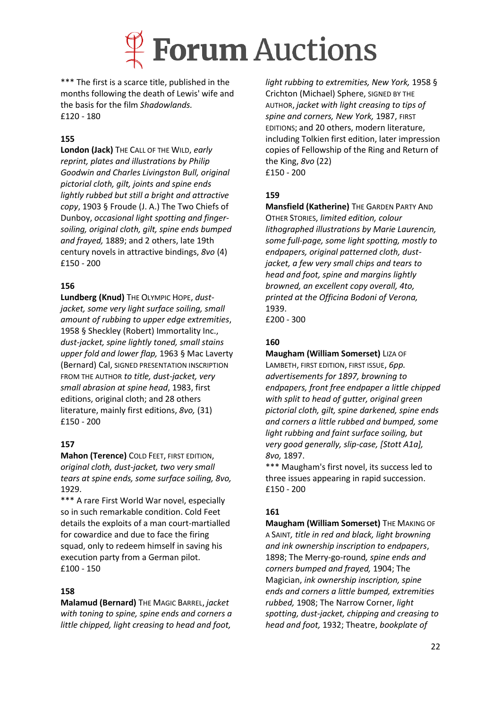

\*\*\* The first is a scarce title, published in the months following the death of Lewis' wife and the basis for the film *Shadowlands.* £120 - 180

#### **155**

**London (Jack)** THE CALL OF THE WILD, *early reprint, plates and illustrations by Philip Goodwin and Charles Livingston Bull, original pictorial cloth, gilt, joints and spine ends lightly rubbed but still a bright and attractive copy*, 1903 § Froude (J. A.) The Two Chiefs of Dunboy, *occasional light spotting and fingersoiling, original cloth, gilt, spine ends bumped and frayed,* 1889; and 2 others, late 19th century novels in attractive bindings, *8vo* (4) £150 - 200

#### **156**

**Lundberg (Knud)** THE OLYMPIC HOPE, *dustjacket, some very light surface soiling, small amount of rubbing to upper edge extremities*, 1958 § Sheckley (Robert) Immortality Inc., *dust-jacket, spine lightly toned, small stains upper fold and lower flap,* 1963 § Mac Laverty (Bernard) Cal, SIGNED PRESENTATION INSCRIPTION FROM THE AUTHOR *to title, dust-jacket, very small abrasion at spine head*, 1983, first editions, original cloth; and 28 others literature, mainly first editions, *8vo,* (31) £150 - 200

### **157**

**Mahon (Terence)** COLD FEET, FIRST EDITION, *original cloth, dust-jacket, two very small tears at spine ends, some surface soiling, 8vo,* 1929.

\*\*\* A rare First World War novel, especially so in such remarkable condition. Cold Feet details the exploits of a man court-martialled for cowardice and due to face the firing squad, only to redeem himself in saving his execution party from a German pilot. £100 - 150

#### **158**

**Malamud (Bernard)** THE MAGIC BARREL, *jacket with toning to spine, spine ends and corners a little chipped, light creasing to head and foot,* 

*light rubbing to extremities, New York,* 1958 § Crichton (Michael) Sphere, SIGNED BY THE AUTHOR, *jacket with light creasing to tips of spine and corners, New York,* 1987, FIRST EDITIONS; and 20 others, modern literature, including Tolkien first edition, later impression copies of Fellowship of the Ring and Return of the King, *8vo* (22) £150 - 200

#### **159**

**Mansfield (Katherine)** THE GARDEN PARTY AND OTHER STORIES, *limited edition, colour lithographed illustrations by Marie Laurencin, some full-page, some light spotting, mostly to endpapers, original patterned cloth, dustjacket, a few very small chips and tears to head and foot, spine and margins lightly browned, an excellent copy overall, 4to, printed at the Officina Bodoni of Verona,*  1939. £200 - 300

#### **160**

#### **Maugham (William Somerset)** LIZA OF

LAMBETH, FIRST EDITION, FIRST ISSUE, *6pp. advertisements for 1897, browning to endpapers, front free endpaper a little chipped with split to head of gutter, original green pictorial cloth, gilt, spine darkened, spine ends and corners a little rubbed and bumped, some light rubbing and faint surface soiling, but very good generally, slip-case, [Stott A1a], 8vo,* 1897.

\*\*\* Maugham's first novel, its success led to three issues appearing in rapid succession. £150 - 200

#### **161**

**Maugham (William Somerset)** THE MAKING OF A SAINT*, title in red and black, light browning and ink ownership inscription to endpapers*, 1898; The Merry-go-round*, spine ends and corners bumped and frayed,* 1904; The Magician, *ink ownership inscription, spine ends and corners a little bumped, extremities rubbed,* 1908; The Narrow Corner, *light spotting, dust-jacket, chipping and creasing to head and foot,* 1932; Theatre, *bookplate of*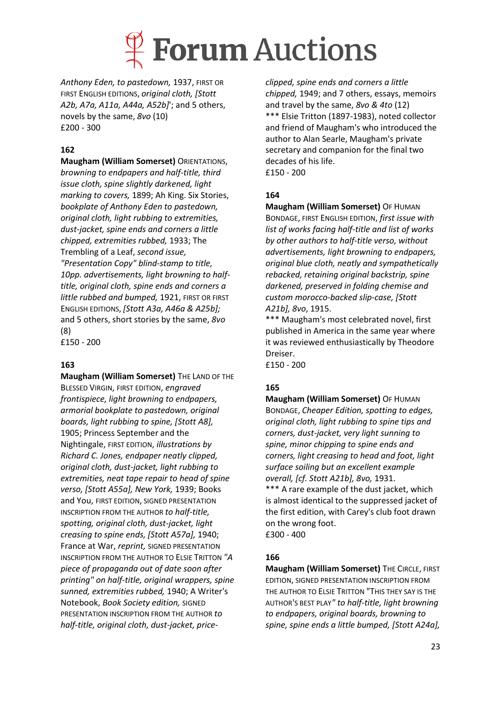

*Anthony Eden, to pastedown,* 1937, FIRST OR FIRST ENGLISH EDITIONS, *original cloth, [Stott A2b, A7a, A11a, A44a, A52b]*'; and 5 others, novels by the same, *8vo* (10) £200 - 300

### **162**

**Maugham (William Somerset)** ORIENTATIONS, *browning to endpapers and half-title, third issue cloth, spine slightly darkened, light marking to covers,* 1899; Ah King. Six Stories, *bookplate of Anthony Eden to pastedown, original cloth, light rubbing to extremities, dust-jacket, spine ends and corners a little chipped, extremities rubbed,* 1933; The Trembling of a Leaf, *second issue, "Presentation Copy" blind-stamp to title, 10pp. advertisements, light browning to halftitle, original cloth, spine ends and corners a little rubbed and bumped,* 1921, FIRST OR FIRST ENGLISH EDITIONS, *[Stott A3a, A46a & A25b];*  and 5 others, short stories by the same, *8vo*  (8)

£150 - 200

### **163**

**Maugham (William Somerset)** THE LAND OF THE BLESSED VIRGIN, FIRST EDITION, *engraved frontispiece, light browning to endpapers, armorial bookplate to pastedown, original boards, light rubbing to spine, [Stott A8],*  1905; Princess September and the Nightingale, FIRST EDITION, *illustrations by Richard C. Jones, endpaper neatly clipped, original cloth, dust-jacket, light rubbing to extremities, neat tape repair to head of spine verso, [Stott A55a], New York,* 1939; Books and You, FIRST EDITION, SIGNED PRESENTATION INSCRIPTION FROM THE AUTHOR *to half-title, spotting, original cloth, dust-jacket, light creasing to spine ends, [Stott A57a],* 1940; France at War, *reprint,* SIGNED PRESENTATION INSCRIPTION FROM THE AUTHOR TO ELSIE TRITTON *"A piece of propaganda out of date soon after printing" on half-title, original wrappers, spine sunned, extremities rubbed,* 1940; A Writer's Notebook, *Book Society edition,* SIGNED PRESENTATION INSCRIPTION FROM THE AUTHOR *to half-title, original cloth, dust-jacket, price-*

*clipped, spine ends and corners a little chipped,* 1949; and 7 others, essays, memoirs and travel by the same, *8vo & 4to* (12) \*\*\* Elsie Tritton (1897-1983), noted collector and friend of Maugham's who introduced the author to Alan Searle, Maugham's private secretary and companion for the final two decades of his life. £150 - 200

### **164**

**Maugham (William Somerset)** OF HUMAN BONDAGE, FIRST ENGLISH EDITION, *first issue with list of works facing half-title and list of works by other authors to half-title verso, without advertisements, light browning to endpapers, original blue cloth, neatly and sympathetically rebacked, retaining original backstrip, spine darkened, preserved in folding chemise and custom morocco-backed slip-case, [Stott A21b], 8vo*, 1915.

\*\*\* Maugham's most celebrated novel, first published in America in the same year where it was reviewed enthusiastically by Theodore Dreiser. £150 - 200

### **165**

**Maugham (William Somerset)** OF HUMAN BONDAGE, *Cheaper Edition, spotting to edges, original cloth, light rubbing to spine tips and corners, dust-jacket, very light sunning to spine, minor chipping to spine ends and corners, light creasing to head and foot, light surface soiling but an excellent example overall, [cf. Stott A21b], 8vo,* 1931.

\*\*\* A rare example of the dust jacket, which is almost identical to the suppressed jacket of the first edition, with Carey's club foot drawn on the wrong foot.

£300 - 400

#### **166**

**Maugham (William Somerset)** THE CIRCLE, FIRST EDITION, SIGNED PRESENTATION INSCRIPTION FROM THE AUTHOR TO ELSIE TRITTON "THIS THEY SAY IS THE AUTHOR'S BEST PLAY*" to half-title, light browning to endpapers, original boards, browning to spine, spine ends a little bumped, [Stott A24a],*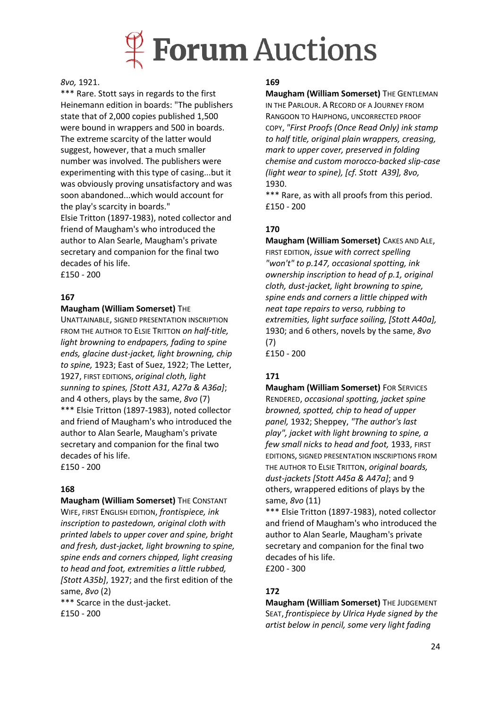

#### *8vo,* 1921.

\*\*\* Rare. Stott says in regards to the first Heinemann edition in boards: "The publishers state that of 2,000 copies published 1,500 were bound in wrappers and 500 in boards. The extreme scarcity of the latter would suggest, however, that a much smaller number was involved. The publishers were experimenting with this type of casing...but it was obviously proving unsatisfactory and was soon abandoned...which would account for the play's scarcity in boards." Elsie Tritton (1897-1983), noted collector and friend of Maugham's who introduced the author to Alan Searle, Maugham's private secretary and companion for the final two decades of his life.

£150 - 200

#### **167**

#### **Maugham (William Somerset)** THE

UNATTAINABLE, SIGNED PRESENTATION INSCRIPTION FROM THE AUTHOR TO ELSIE TRITTON *on half-title, light browning to endpapers, fading to spine ends, glacine dust-jacket, light browning, chip to spine,* 1923; East of Suez, 1922; The Letter, 1927, FIRST EDITIONS, *original cloth, light sunning to spines, [Stott A31, A27a & A36a]*; and 4 others, plays by the same, *8vo* (7) \*\*\* Elsie Tritton (1897-1983), noted collector and friend of Maugham's who introduced the author to Alan Searle, Maugham's private secretary and companion for the final two decades of his life. £150 - 200

#### **168**

**Maugham (William Somerset)** THE CONSTANT WIFE, FIRST ENGLISH EDITION, *frontispiece, ink inscription to pastedown, original cloth with printed labels to upper cover and spine, bright and fresh, dust-jacket, light browning to spine, spine ends and corners chipped, light creasing to head and foot, extremities a little rubbed, [Stott A35b]*, 1927; and the first edition of the same, *8vo* (2)

\*\*\* Scarce in the dust-jacket. £150 - 200

#### **169**

**Maugham (William Somerset)** THE GENTLEMAN IN THE PARLOUR. A RECORD OF A JOURNEY FROM RANGOON TO HAIPHONG, UNCORRECTED PROOF COPY, *"First Proofs (Once Read Only) ink stamp to half title, original plain wrappers, creasing, mark to upper cover, preserved in folding chemise and custom morocco-backed slip-case (light wear to spine), [cf. Stott A39], 8vo,*  1930.

\*\*\* Rare, as with all proofs from this period. £150 - 200

### **170**

**Maugham (William Somerset)** CAKES AND ALE, FIRST EDITION, *issue with correct spelling "won't" to p.147, occasional spotting, ink ownership inscription to head of p.1, original cloth, dust-jacket, light browning to spine, spine ends and corners a little chipped with neat tape repairs to verso, rubbing to extremities, light surface soiling, [Stott A40a],*  1930; and 6 others, novels by the same, *8vo*  (7)

£150 - 200

### **171**

**Maugham (William Somerset)** FOR SERVICES RENDERED, *occasional spotting, jacket spine browned, spotted, chip to head of upper panel,* 1932; Sheppey, *"The author's last play", jacket with light browning to spine, a few small nicks to head and foot,* 1933, FIRST EDITIONS, SIGNED PRESENTATION INSCRIPTIONS FROM THE AUTHOR TO ELSIE TRITTON, *original boards, dust-jackets [Stott A45a & A47a]*; and 9 others, wrappered editions of plays by the same, *8vo* (11)

\*\*\* Elsie Tritton (1897-1983), noted collector and friend of Maugham's who introduced the author to Alan Searle, Maugham's private secretary and companion for the final two decades of his life. £200 - 300

### **172**

**Maugham (William Somerset)** THE JUDGEMENT SEAT, *frontispiece by Ulrica Hyde signed by the artist below in pencil, some very light fading*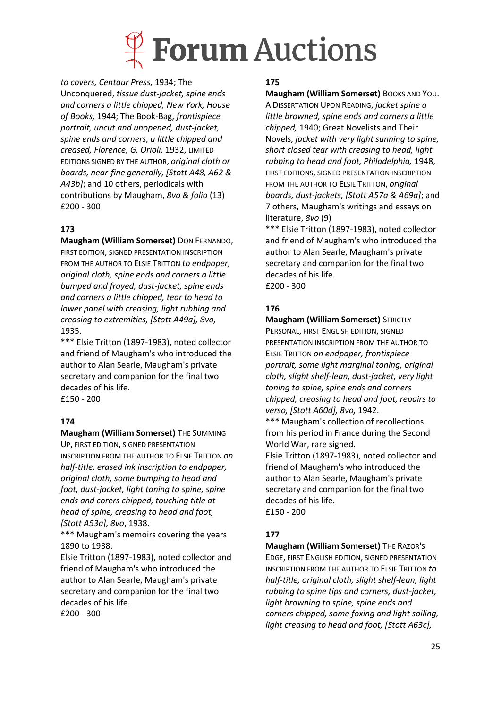

*to covers, Centaur Press,* 1934; The Unconquered, *tissue dust-jacket, spine ends and corners a little chipped, New York, House of Books,* 1944; The Book-Bag, *frontispiece portrait, uncut and unopened, dust-jacket, spine ends and corners, a little chipped and creased, Florence, G. Orioli,* 1932, LIMITED EDITIONS SIGNED BY THE AUTHOR, *original cloth or boards, near-fine generally, [Stott A48, A62 & A43b]*; and 10 others, periodicals with contributions by Maugham, *8vo & folio* (13) £200 - 300

## **173**

**Maugham (William Somerset)** DON FERNANDO, FIRST EDITION, SIGNED PRESENTATION INSCRIPTION FROM THE AUTHOR TO ELSIE TRITTON *to endpaper, original cloth, spine ends and corners a little bumped and frayed, dust-jacket, spine ends and corners a little chipped, tear to head to lower panel with creasing, light rubbing and creasing to extremities, [Stott A49a], 8vo,*  1935.

\*\*\* Elsie Tritton (1897-1983), noted collector and friend of Maugham's who introduced the author to Alan Searle, Maugham's private secretary and companion for the final two decades of his life. £150 - 200

### **174**

**Maugham (William Somerset)** THE SUMMING UP, FIRST EDITION, SIGNED PRESENTATION INSCRIPTION FROM THE AUTHOR TO ELSIE TRITTON *on half-title, erased ink inscription to endpaper, original cloth, some bumping to head and foot, dust-jacket, light toning to spine, spine ends and corers chipped, touching title at head of spine, creasing to head and foot, [Stott A53a], 8vo*, 1938.

\*\*\* Maugham's memoirs covering the years 1890 to 1938.

Elsie Tritton (1897-1983), noted collector and friend of Maugham's who introduced the author to Alan Searle, Maugham's private secretary and companion for the final two decades of his life. £200 - 300

#### **175**

**Maugham (William Somerset)** BOOKS AND YOU. A DISSERTATION UPON READING, *jacket spine a little browned, spine ends and corners a little chipped,* 1940; Great Novelists and Their Novels, *jacket with very light sunning to spine, short closed tear with creasing to head, light rubbing to head and foot, Philadelphia,* 1948, FIRST EDITIONS, SIGNED PRESENTATION INSCRIPTION FROM THE AUTHOR TO ELSIE TRITTON, *original boards, dust-jackets, [Stott A57a & A69a]*; and 7 others, Maugham's writings and essays on literature, *8vo* (9)

\*\*\* Elsie Tritton (1897-1983), noted collector and friend of Maugham's who introduced the author to Alan Searle, Maugham's private secretary and companion for the final two decades of his life. £200 - 300

#### **176**

**Maugham (William Somerset)** STRICTLY PERSONAL, FIRST ENGLISH EDITION, SIGNED PRESENTATION INSCRIPTION FROM THE AUTHOR TO ELSIE TRITTON *on endpaper, frontispiece portrait, some light marginal toning, original cloth, slight shelf-lean, dust-jacket, very light toning to spine, spine ends and corners chipped, creasing to head and foot, repairs to verso, [Stott A60d], 8vo,* 1942.

\*\*\* Maugham's collection of recollections from his period in France during the Second World War, rare signed.

Elsie Tritton (1897-1983), noted collector and friend of Maugham's who introduced the author to Alan Searle, Maugham's private secretary and companion for the final two decades of his life. £150 - 200

### **177**

**Maugham (William Somerset)** THE RAZOR'S EDGE, FIRST ENGLISH EDITION, SIGNED PRESENTATION INSCRIPTION FROM THE AUTHOR TO ELSIE TRITTON *to half-title, original cloth, slight shelf-lean, light rubbing to spine tips and corners, dust-jacket, light browning to spine, spine ends and corners chipped, some foxing and light soiling, light creasing to head and foot, [Stott A63c],*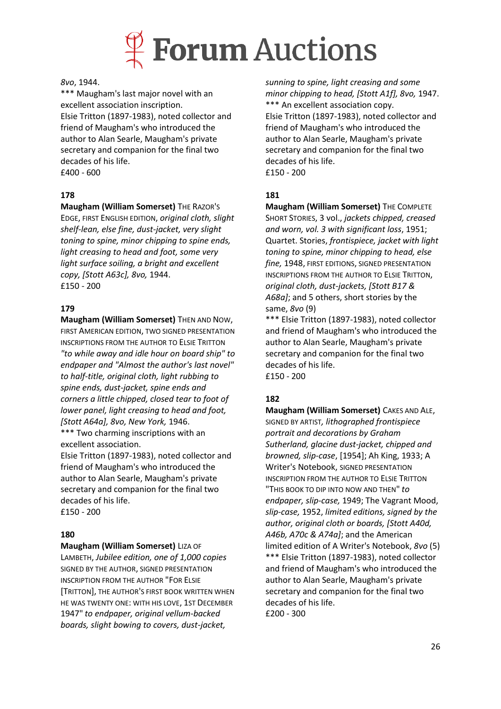

#### *8vo*, 1944.

\*\*\* Maugham's last major novel with an excellent association inscription. Elsie Tritton (1897-1983), noted collector and friend of Maugham's who introduced the author to Alan Searle, Maugham's private secretary and companion for the final two decades of his life. £400 - 600

### **178**

### **Maugham (William Somerset)** THE RAZOR'S

EDGE, FIRST ENGLISH EDITION, *original cloth, slight shelf-lean, else fine, dust-jacket, very slight toning to spine, minor chipping to spine ends, light creasing to head and foot, some very light surface soiling, a bright and excellent copy, [Stott A63c], 8vo,* 1944. £150 - 200

### **179**

**Maugham (William Somerset)** THEN AND NOW, FIRST AMERICAN EDITION, TWO SIGNED PRESENTATION INSCRIPTIONS FROM THE AUTHOR TO ELSIE TRITTON *"to while away and idle hour on board ship" to endpaper and "Almost the author's last novel" to half-title, original cloth, light rubbing to spine ends, dust-jacket, spine ends and corners a little chipped, closed tear to foot of lower panel, light creasing to head and foot, [Stott A64a], 8vo, New York,* 1946. \*\*\* Two charming inscriptions with an excellent association.

Elsie Tritton (1897-1983), noted collector and friend of Maugham's who introduced the author to Alan Searle, Maugham's private secretary and companion for the final two decades of his life. £150 - 200

#### **180**

#### **Maugham (William Somerset)** LIZA OF

LAMBETH, *Jubilee edition, one of 1,000 copies*  SIGNED BY THE AUTHOR, SIGNED PRESENTATION INSCRIPTION FROM THE AUTHOR "FOR ELSIE [TRITTON], THE AUTHOR'S FIRST BOOK WRITTEN WHEN HE WAS TWENTY ONE: WITH HIS LOVE, 1ST DECEMBER 1947" *to endpaper, original vellum-backed boards, slight bowing to covers, dust-jacket,* 

*sunning to spine, light creasing and some minor chipping to head, [Stott A1f], 8vo,* 1947. \*\*\* An excellent association copy. Elsie Tritton (1897-1983), noted collector and friend of Maugham's who introduced the author to Alan Searle, Maugham's private secretary and companion for the final two decades of his life. £150 - 200

#### **181**

**Maugham (William Somerset)** THE COMPLETE SHORT STORIES, 3 vol., *jackets chipped, creased and worn, vol. 3 with significant loss*, 1951; Quartet. Stories, *frontispiece, jacket with light toning to spine, minor chipping to head, else fine,* 1948, FIRST EDITIONS, SIGNED PRESENTATION INSCRIPTIONS FROM THE AUTHOR TO ELSIE TRITTON, *original cloth, dust-jackets, [Stott B17 & A68a]*; and 5 others, short stories by the same, *8vo* (9)

\*\*\* Elsie Tritton (1897-1983), noted collector and friend of Maugham's who introduced the author to Alan Searle, Maugham's private secretary and companion for the final two decades of his life. £150 - 200

### **182**

**Maugham (William Somerset)** CAKES AND ALE, SIGNED BY ARTIST*, lithographed frontispiece portrait and decorations by Graham Sutherland, glacine dust-jacket, chipped and browned, slip-case*, [1954]; Ah King, 1933; A Writer's Notebook, SIGNED PRESENTATION INSCRIPTION FROM THE AUTHOR TO ELSIE TRITTON "THIS BOOK TO DIP INTO NOW AND THEN" *to endpaper, slip-case,* 1949; The Vagrant Mood, *slip-case,* 1952, *limited editions, signed by the author, original cloth or boards, [Stott A40d, A46b, A70c & A74a]*; and the American limited edition of A Writer's Notebook, *8vo* (5) \*\*\* Elsie Tritton (1897-1983), noted collector and friend of Maugham's who introduced the author to Alan Searle, Maugham's private secretary and companion for the final two decades of his life. £200 - 300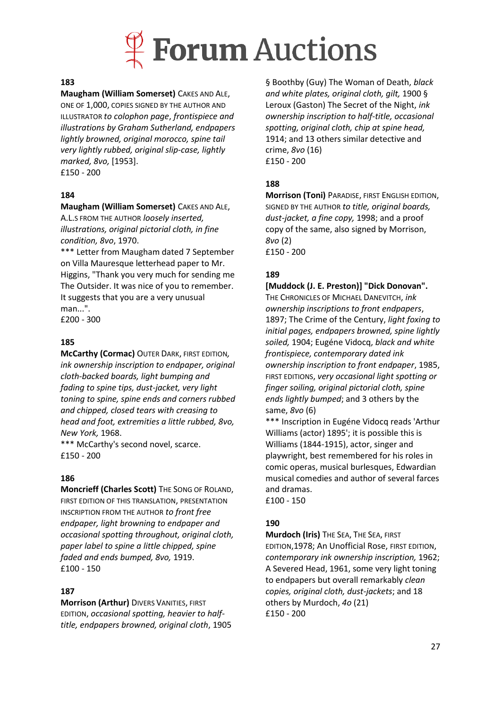

#### **183**

**Maugham (William Somerset)** CAKES AND ALE, ONE OF 1,000, COPIES SIGNED BY THE AUTHOR AND ILLUSTRATOR *to colophon page*, *frontispiece and illustrations by Graham Sutherland, endpapers lightly browned, original morocco, spine tail very lightly rubbed, original slip-case, lightly marked, 8vo,* [1953]. £150 - 200

#### **184**

### **Maugham (William Somerset)** CAKES AND ALE,

A.L.S FROM THE AUTHOR *loosely inserted, illustrations, original pictorial cloth, in fine condition, 8vo*, 1970.

\*\*\* Letter from Maugham dated 7 September on Villa Mauresque letterhead paper to Mr. Higgins, "Thank you very much for sending me The Outsider. It was nice of you to remember. It suggests that you are a very unusual man...".

£200 - 300

#### **185**

**McCarthy (Cormac)** OUTER DARK, FIRST EDITION*, ink ownership inscription to endpaper, original cloth-backed boards, light bumping and fading to spine tips, dust-jacket, very light toning to spine, spine ends and corners rubbed and chipped, closed tears with creasing to head and foot, extremities a little rubbed, 8vo, New York,* 1968.

\*\*\* McCarthy's second novel, scarce. £150 - 200

#### **186**

**Moncrieff (Charles Scott)** THE SONG OF ROLAND, FIRST EDITION OF THIS TRANSLATION, PRESENTATION INSCRIPTION FROM THE AUTHOR *to front free endpaper, light browning to endpaper and occasional spotting throughout, original cloth, paper label to spine a little chipped, spine faded and ends bumped, 8vo,* 1919. £100 - 150

#### **187**

**Morrison (Arthur)** DIVERS VANITIES, FIRST EDITION, *occasional spotting, heavier to halftitle, endpapers browned, original cloth*, 1905

§ Boothby (Guy) The Woman of Death, *black and white plates, original cloth, gilt,* 1900 § Leroux (Gaston) The Secret of the Night, *ink ownership inscription to half-title, occasional spotting, original cloth, chip at spine head,*  1914; and 13 others similar detective and crime, *8vo* (16) £150 - 200

#### **188**

**Morrison (Toni)** PARADISE, FIRST ENGLISH EDITION, SIGNED BY THE AUTHOR *to title, original boards, dust-jacket, a fine copy,* 1998; and a proof copy of the same, also signed by Morrison, *8vo* (2) £150 - 200

#### **189**

## **[Muddock (J. E. Preston)] "Dick Donovan".**

THE CHRONICLES OF MICHAEL DANEVITCH, *ink ownership inscriptions to front endpapers*, 1897; The Crime of the Century, *light foxing to initial pages, endpapers browned, spine lightly soiled,* 1904; Eugéne Vidocq, *black and white frontispiece, contemporary dated ink ownership inscription to front endpaper*, 1985, FIRST EDITIONS, *very occasional light spotting or finger soiling, original pictorial cloth, spine ends lightly bumped*; and 3 others by the same, *8vo* (6)

\*\*\* Inscription in Eugéne Vidocq reads 'Arthur Williams (actor) 1895'; it is possible this is Williams (1844-1915), actor, singer and playwright, best remembered for his roles in comic operas, musical burlesques, Edwardian musical comedies and author of several farces and dramas.

£100 - 150

#### **190**

**Murdoch (Iris)** THE SEA, THE SEA, FIRST EDITION,1978; An Unofficial Rose, FIRST EDITION, *contemporary ink ownership inscription,* 1962; A Severed Head, 1961, some very light toning to endpapers but overall remarkably *clean copies, original cloth, dust-jackets*; and 18 others by Murdoch, *4o* (21) £150 - 200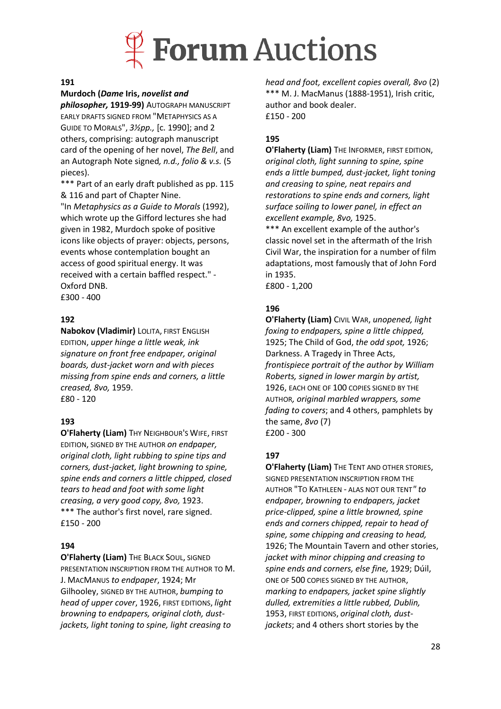

#### **191**

#### **Murdoch (***Dame* **Iris,** *novelist and*

*philosopher,* **1919-99)** AUTOGRAPH MANUSCRIPT EARLY DRAFTS SIGNED FROM "METAPHYSICS AS A GUIDE TO MORALS", *3½pp.,* [c. 1990]; and 2 others, comprising: autograph manuscript card of the opening of her novel, *The Bell*, and an Autograph Note signed*, n.d., folio & v.s.* (5 pieces).

\*\*\* Part of an early draft published as pp. 115 & 116 and part of Chapter Nine.

"In *Metaphysics as a Guide to Morals* (1992), which wrote up the Gifford lectures she had given in 1982, Murdoch spoke of positive icons like objects of prayer: objects, persons, events whose contemplation bought an access of good spiritual energy. It was received with a certain baffled respect." - Oxford DNB.

£300 - 400

#### **192**

**Nabokov (Vladimir)** LOLITA, FIRST ENGLISH EDITION, *upper hinge a little weak, ink signature on front free endpaper, original boards, dust-jacket worn and with pieces missing from spine ends and corners, a little creased, 8vo,* 1959. £80 - 120

#### **193**

**O'Flaherty (Liam)** THY NEIGHBOUR'S WIFE, FIRST EDITION, SIGNED BY THE AUTHOR *on endpaper, original cloth, light rubbing to spine tips and corners, dust-jacket, light browning to spine, spine ends and corners a little chipped, closed tears to head and foot with some light creasing, a very good copy, 8vo,* 1923. \*\*\* The author's first novel, rare signed. £150 - 200

#### **194**

**O'Flaherty (Liam)** THE BLACK SOUL, SIGNED PRESENTATION INSCRIPTION FROM THE AUTHOR TO M. J. MACMANUS *to endpaper*, 1924; Mr Gilhooley, SIGNED BY THE AUTHOR, *bumping to head of upper cover*, 1926, FIRST EDITIONS, *light browning to endpapers, original cloth, dustjackets, light toning to spine, light creasing to* 

*head and foot, excellent copies overall, 8vo* (2) \*\*\* M. J. MacManus (1888-1951), Irish critic, author and book dealer. £150 - 200

#### **195**

**O'Flaherty (Liam)** THE INFORMER, FIRST EDITION, *original cloth, light sunning to spine, spine ends a little bumped, dust-jacket, light toning and creasing to spine, neat repairs and restorations to spine ends and corners, light surface soiling to lower panel, in effect an excellent example, 8vo,* 1925.

\*\*\* An excellent example of the author's classic novel set in the aftermath of the Irish Civil War, the inspiration for a number of film adaptations, most famously that of John Ford in 1935.

£800 - 1,200

### **196**

**O'Flaherty (Liam)** CIVIL WAR, *unopened, light foxing to endpapers, spine a little chipped,*  1925; The Child of God, *the odd spot,* 1926; Darkness. A Tragedy in Three Acts, *frontispiece portrait of the author by William Roberts, signed in lower margin by artist,*  1926, EACH ONE OF 100 COPIES SIGNED BY THE AUTHOR*, original marbled wrappers, some fading to covers*; and 4 others, pamphlets by the same, *8vo* (7) £200 - 300

#### **197**

**O'Flaherty (Liam)** THE TENT AND OTHER STORIES, SIGNED PRESENTATION INSCRIPTION FROM THE AUTHOR "TO KATHLEEN - ALAS NOT OUR TENT*" to endpaper, browning to endpapers, jacket price-clipped, spine a little browned, spine ends and corners chipped, repair to head of spine, some chipping and creasing to head,*  1926; The Mountain Tavern and other stories, *jacket with minor chipping and creasing to spine ends and corners, else fine,* 1929; Dúil, ONE OF 500 COPIES SIGNED BY THE AUTHOR, *marking to endpapers, jacket spine slightly dulled, extremities a little rubbed, Dublin,*  1953, FIRST EDITIONS, *original cloth, dustjackets*; and 4 others short stories by the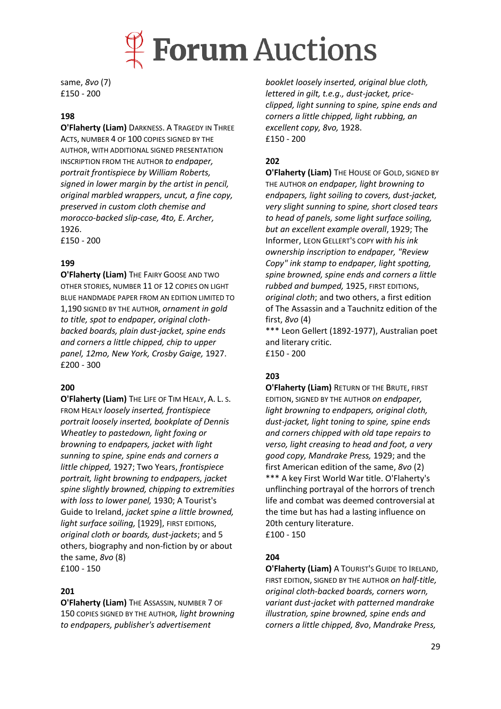

same, *8vo* (7) £150 - 200

#### **198**

**O'Flaherty (Liam)** DARKNESS. A TRAGEDY IN THREE ACTS, NUMBER 4 OF 100 COPIES SIGNED BY THE AUTHOR, WITH ADDITIONAL SIGNED PRESENTATION INSCRIPTION FROM THE AUTHOR *to endpaper, portrait frontispiece by William Roberts, signed in lower margin by the artist in pencil, original marbled wrappers, uncut, a fine copy, preserved in custom cloth chemise and morocco-backed slip-case, 4to, E. Archer,* 1926.

£150 - 200

#### **199**

**O'Flaherty (Liam)** THE FAIRY GOOSE AND TWO OTHER STORIES, NUMBER 11 OF 12 COPIES ON LIGHT BLUE HANDMADE PAPER FROM AN EDITION LIMITED TO 1,190 SIGNED BY THE AUTHOR*, ornament in gold to title, spot to endpaper, original clothbacked boards, plain dust-jacket, spine ends and corners a little chipped, chip to upper panel, 12mo, New York, Crosby Gaige,* 1927. £200 - 300

#### **200**

**O'Flaherty (Liam)** THE LIFE OF TIM HEALY, A. L. S. FROM HEALY *loosely inserted, frontispiece portrait loosely inserted, bookplate of Dennis Wheatley to pastedown, light foxing or browning to endpapers, jacket with light sunning to spine, spine ends and corners a little chipped,* 1927; Two Years, *frontispiece portrait, light browning to endpapers, jacket spine slightly browned, chipping to extremities with loss to lower panel,* 1930; A Tourist's Guide to Ireland, *jacket spine a little browned, light surface soiling,* [1929], FIRST EDITIONS, *original cloth or boards, dust-jackets*; and 5 others, biography and non-fiction by or about the same, *8vo* (8) £100 - 150

#### **201**

**O'Flaherty (Liam)** THE ASSASSIN, NUMBER 7 OF 150 COPIES SIGNED BY THE AUTHOR*, light browning to endpapers, publisher's advertisement* 

*booklet loosely inserted, original blue cloth, lettered in gilt, t.e.g., dust-jacket, priceclipped, light sunning to spine, spine ends and corners a little chipped, light rubbing, an excellent copy, 8vo,* 1928. £150 - 200

### **202**

**O'Flaherty (Liam)** THE HOUSE OF GOLD, SIGNED BY THE AUTHOR *on endpaper, light browning to endpapers, light soiling to covers, dust-jacket, very slight sunning to spine, short closed tears to head of panels, some light surface soiling, but an excellent example overall*, 1929; The Informer, LEON GELLERT'S COPY *with his ink ownership inscription to endpaper, "Review Copy" ink stamp to endpaper, light spotting, spine browned, spine ends and corners a little rubbed and bumped,* 1925, FIRST EDITIONS, *original cloth*; and two others, a first edition of The Assassin and a Tauchnitz edition of the first, *8vo* (4)

\*\*\* Leon Gellert (1892-1977), Australian poet and literary critic. £150 - 200

#### **203**

**O'Flaherty (Liam)** RETURN OF THE BRUTE, FIRST EDITION, SIGNED BY THE AUTHOR *on endpaper, light browning to endpapers, original cloth, dust-jacket, light toning to spine, spine ends and corners chipped with old tape repairs to verso, light creasing to head and foot, a very good copy, Mandrake Press,* 1929; and the first American edition of the same, *8vo* (2) \*\*\* A key First World War title. O'Flaherty's unflinching portrayal of the horrors of trench life and combat was deemed controversial at the time but has had a lasting influence on 20th century literature. £100 - 150

#### **204**

**O'Flaherty (Liam)** A TOURIST'S GUIDE TO IRELAND, FIRST EDITION, SIGNED BY THE AUTHOR *on half-title, original cloth-backed boards, corners worn, variant dust-jacket with patterned mandrake illustration, spine browned, spine ends and corners a little chipped, 8vo*, *Mandrake Press,*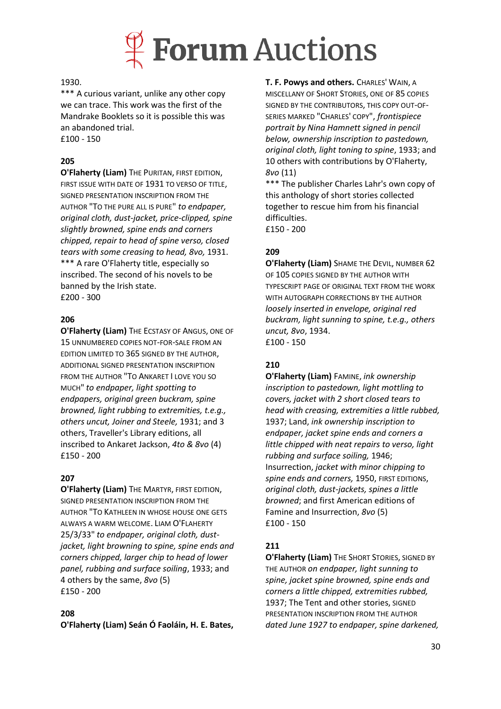

#### 1930.

\*\*\* A curious variant, unlike any other copy we can trace. This work was the first of the Mandrake Booklets so it is possible this was an abandoned trial.

£100 - 150

## **205**

**O'Flaherty (Liam)** THE PURITAN, FIRST EDITION, FIRST ISSUE WITH DATE OF 1931 TO VERSO OF TITLE, SIGNED PRESENTATION INSCRIPTION FROM THE AUTHOR "TO THE PURE ALL IS PURE" *to endpaper, original cloth, dust-jacket, price-clipped, spine slightly browned, spine ends and corners chipped, repair to head of spine verso, closed tears with some creasing to head, 8vo,* 1931. \*\*\* A rare O'Flaherty title, especially so inscribed. The second of his novels to be banned by the Irish state. £200 - 300

#### **206**

**O'Flaherty (Liam)** THE ECSTASY OF ANGUS, ONE OF 15 UNNUMBERED COPIES NOT-FOR-SALE FROM AN EDITION LIMITED TO 365 SIGNED BY THE AUTHOR, ADDITIONAL SIGNED PRESENTATION INSCRIPTION FROM THE AUTHOR "TO ANKARET I LOVE YOU SO MUCH" *to endpaper, light spotting to endpapers, original green buckram, spine browned, light rubbing to extremities, t.e.g., others uncut, Joiner and Steele,* 1931; and 3 others, Traveller's Library editions, all inscribed to Ankaret Jackson, *4to & 8vo* (4) £150 - 200

#### **207**

**O'Flaherty (Liam)** THE MARTYR, FIRST EDITION, SIGNED PRESENTATION INSCRIPTION FROM THE AUTHOR "TO KATHLEEN IN WHOSE HOUSE ONE GETS ALWAYS A WARM WELCOME. LIAM O'FLAHERTY 25/3/33" *to endpaper, original cloth, dustjacket, light browning to spine, spine ends and corners chipped, larger chip to head of lower panel, rubbing and surface soiling*, 1933; and 4 others by the same, *8vo* (5) £150 - 200

#### **208**

**O'Flaherty (Liam) Seán Ó Faoláin, H. E. Bates,** 

**T. F. Powys and others.** CHARLES' WAIN, A MISCELLANY OF SHORT STORIES, ONE OF 85 COPIES SIGNED BY THE CONTRIBUTORS, THIS COPY OUT-OF-SERIES MARKED "CHARLES' COPY", *frontispiece portrait by Nina Hamnett signed in pencil below, ownership inscription to pastedown, original cloth, light toning to spine*, 1933; and 10 others with contributions by O'Flaherty, *8vo* (11)

\*\*\* The publisher Charles Lahr's own copy of this anthology of short stories collected together to rescue him from his financial difficulties.

£150 - 200

#### **209**

**O'Flaherty (Liam)** SHAME THE DEVIL, NUMBER 62 OF 105 COPIES SIGNED BY THE AUTHOR WITH TYPESCRIPT PAGE OF ORIGINAL TEXT FROM THE WORK WITH AUTOGRAPH CORRECTIONS BY THE AUTHOR *loosely inserted in envelope, original red buckram, light sunning to spine, t.e.g., others uncut, 8vo*, 1934. £100 - 150

#### **210**

**O'Flaherty (Liam)** FAMINE, *ink ownership inscription to pastedown, light mottling to covers, jacket with 2 short closed tears to head with creasing, extremities a little rubbed,*  1937; Land, *ink ownership inscription to endpaper, jacket spine ends and corners a little chipped with neat repairs to verso, light rubbing and surface soiling,* 1946; Insurrection, *jacket with minor chipping to spine ends and corners,* 1950, FIRST EDITIONS, *original cloth, dust-jackets, spines a little browned*; and first American editions of Famine and Insurrection, *8vo* (5) £100 - 150

#### **211**

**O'Flaherty (Liam)** THE SHORT STORIES, SIGNED BY THE AUTHOR *on endpaper, light sunning to spine, jacket spine browned, spine ends and corners a little chipped, extremities rubbed,*  1937; The Tent and other stories, SIGNED PRESENTATION INSCRIPTION FROM THE AUTHOR *dated June 1927 to endpaper, spine darkened,*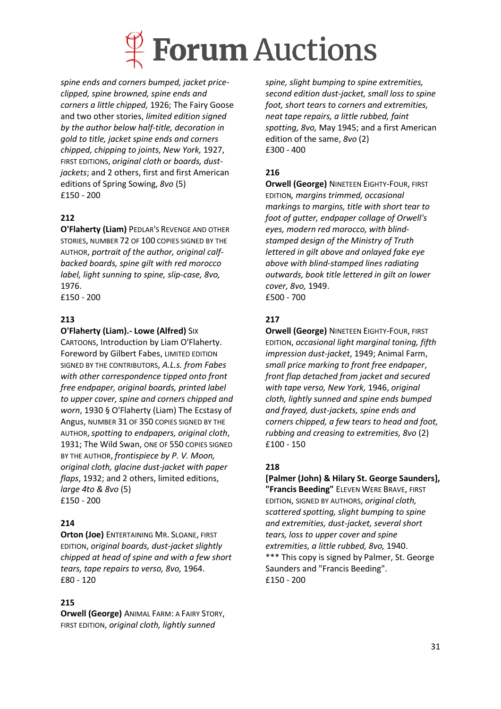

*spine ends and corners bumped, jacket priceclipped, spine browned, spine ends and corners a little chipped,* 1926; The Fairy Goose and two other stories, *limited edition signed by the author below half-title, decoration in gold to title, jacket spine ends and corners chipped, chipping to joints, New York,* 1927, FIRST EDITIONS, *original cloth or boards, dustjackets*; and 2 others, first and first American editions of Spring Sowing, *8vo* (5) £150 - 200

## **212**

**O'Flaherty (Liam)** PEDLAR'S REVENGE AND OTHER STORIES, NUMBER 72 OF 100 COPIES SIGNED BY THE AUTHOR, *portrait of the author, original calfbacked boards, spine gilt with red morocco label, light sunning to spine, slip-case, 8vo,*  1976. £150 - 200

#### **213**

#### **O'Flaherty (Liam).- Lowe (Alfred)** SIX

CARTOONS, Introduction by Liam O'Flaherty. Foreword by Gilbert Fabes, LIMITED EDITION SIGNED BY THE CONTRIBUTORS, *A.L.s. from Fabes with other correspondence tipped onto front free endpaper, original boards, printed label to upper cover, spine and corners chipped and worn*, 1930 § O'Flaherty (Liam) The Ecstasy of Angus, NUMBER 31 OF 350 COPIES SIGNED BY THE AUTHOR,*spotting to endpapers, original cloth*, 1931; The Wild Swan, ONE OF 550 COPIES SIGNED BY THE AUTHOR, *frontispiece by P. V. Moon, original cloth, glacine dust-jacket with paper flaps*, 1932; and 2 others, limited editions, *large 4to & 8vo* (5) £150 - 200

#### **214**

**Orton (Joe)** ENTERTAINING MR. SLOANE, FIRST EDITION, *original boards, dust-jacket slightly chipped at head of spine and with a few short tears, tape repairs to verso, 8vo,* 1964. £80 - 120

#### **215**

**Orwell (George)** ANIMAL FARM: A FAIRY STORY, FIRST EDITION, *original cloth, lightly sunned* 

*spine, slight bumping to spine extremities, second edition dust-jacket, small loss to spine foot, short tears to corners and extremities, neat tape repairs, a little rubbed, faint spotting, 8vo,* May 1945; and a first American edition of the same, *8vo* (2) £300 - 400

#### **216**

**Orwell (George)** NINETEEN EIGHTY-FOUR, FIRST EDITION*, margins trimmed, occasional markings to margins, title with short tear to foot of gutter, endpaper collage of Orwell's eyes, modern red morocco, with blindstamped design of the Ministry of Truth lettered in gilt above and onlayed fake eye above with blind-stamped lines radiating outwards, book title lettered in gilt on lower cover, 8vo,* 1949. £500 - 700

#### **217**

**Orwell (George)** NINETEEN EIGHTY-FOUR, FIRST EDITION, *occasional light marginal toning, fifth impression dust-jacket*, 1949; Animal Farm, *small price marking to front free endpaper*, *front flap detached from jacket and secured with tape verso, New York,* 1946, *original cloth, lightly sunned and spine ends bumped and frayed, dust-jackets, spine ends and corners chipped, a few tears to head and foot, rubbing and creasing to extremities, 8vo* (2) £100 - 150

#### **218**

**[Palmer (John) & Hilary St. George Saunders], "Francis Beeding"** ELEVEN WERE BRAVE, FIRST EDITION, SIGNED BY AUTHORS, *original cloth, scattered spotting, slight bumping to spine and extremities, dust-jacket, several short tears, loss to upper cover and spine extremities, a little rubbed, 8vo,* 1940. \*\*\* This copy is signed by Palmer, St. George Saunders and "Francis Beeding". £150 - 200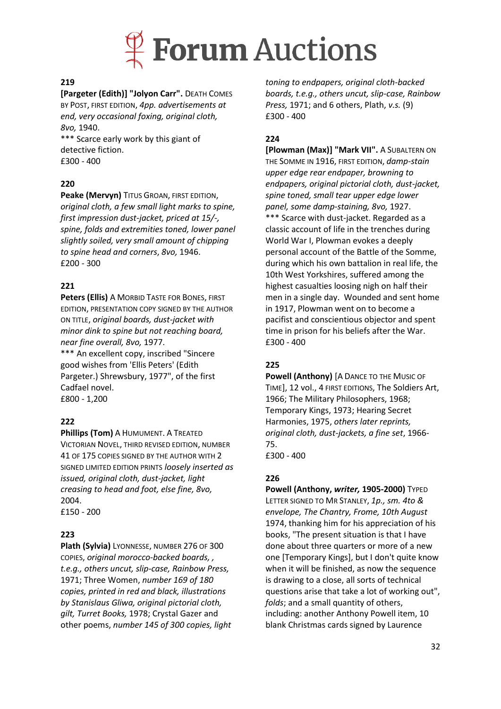

#### **219**

**[Pargeter (Edith)] "Jolyon Carr".** DEATH COMES BY POST, FIRST EDITION, *4pp. advertisements at end, very occasional foxing, original cloth, 8vo,* 1940.

\*\*\* Scarce early work by this giant of detective fiction. £300 - 400

#### **220**

**Peake (Mervyn)** TITUS GROAN, FIRST EDITION, *original cloth, a few small light marks to spine, first impression dust-jacket, priced at 15/-, spine, folds and extremities toned, lower panel slightly soiled, very small amount of chipping to spine head and corners*, *8vo,* 1946. £200 - 300

#### **221**

**Peters (Ellis)** A MORBID TASTE FOR BONES, FIRST EDITION, PRESENTATION COPY SIGNED BY THE AUTHOR ON TITLE, *original boards, dust-jacket with minor dink to spine but not reaching board, near fine overall, 8vo,* 1977.

\*\*\* An excellent copy, inscribed "Sincere good wishes from 'Ellis Peters' (Edith Pargeter.) Shrewsbury, 1977", of the first Cadfael novel. £800 - 1,200

**222**

**Phillips (Tom)** A HUMUMENT. A TREATED VICTORIAN NOVEL, THIRD REVISED EDITION, NUMBER 41 OF 175 COPIES SIGNED BY THE AUTHOR WITH 2 SIGNED LIMITED EDITION PRINTS *loosely inserted as issued, original cloth, dust-jacket, light creasing to head and foot, else fine, 8vo,*  2004.

£150 - 200

#### **223**

**Plath (Sylvia)** LYONNESSE, NUMBER 276 OF 300 COPIES, *original morocco-backed boards, , t.e.g., others uncut, slip-case, Rainbow Press,* 1971; Three Women, *number 169 of 180 copies, printed in red and black, illustrations by Stanislaus Gliwa, original pictorial cloth, gilt, Turret Books,* 1978; Crystal Gazer and other poems, *number 145 of 300 copies, light* 

*toning to endpapers, original cloth-backed boards, t.e.g., others uncut, slip-case, Rainbow Press,* 1971; and 6 others, Plath, *v.s.* (9) £300 - 400

#### **224**

**[Plowman (Max)] "Mark VII".** A SUBALTERN ON THE SOMME IN 1916, FIRST EDITION, *damp-stain upper edge rear endpaper, browning to endpapers, original pictorial cloth, dust-jacket, spine toned, small tear upper edge lower panel, some damp-staining, 8vo,* 1927. \*\*\* Scarce with dust-jacket. Regarded as a classic account of life in the trenches during World War I, Plowman evokes a deeply personal account of the Battle of the Somme, during which his own battalion in real life, the 10th West Yorkshires, suffered among the highest casualties loosing nigh on half their men in a single day. Wounded and sent home in 1917, Plowman went on to become a pacifist and conscientious objector and spent time in prison for his beliefs after the War. £300 - 400

#### **225**

**Powell (Anthony)** [A DANCE TO THE MUSIC OF TIME], 12 vol., 4 FIRST EDITIONS, The Soldiers Art, 1966; The Military Philosophers, 1968; Temporary Kings, 1973; Hearing Secret Harmonies, 1975, *others later reprints, original cloth, dust-jackets, a fine set*, 1966- 75.

£300 - 400

#### **226**

**Powell (Anthony,** *writer,* **1905-2000)** TYPED LETTER SIGNED TO MR STANLEY, *1p., sm. 4to & envelope, The Chantry, Frome, 10th August*  1974, thanking him for his appreciation of his books, "The present situation is that I have done about three quarters or more of a new one [Temporary Kings], but I don't quite know when it will be finished, as now the sequence is drawing to a close, all sorts of technical questions arise that take a lot of working out", *folds*; and a small quantity of others, including: another Anthony Powell item, 10 blank Christmas cards signed by Laurence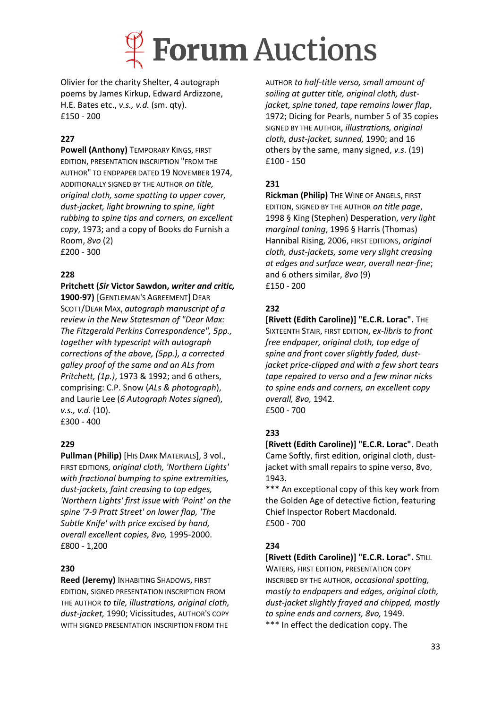

Olivier for the charity Shelter, 4 autograph poems by James Kirkup, Edward Ardizzone, H.E. Bates etc., *v.s., v.d.* (sm. qty). £150 - 200

### **227**

**Powell (Anthony)** TEMPORARY KINGS, FIRST EDITION, PRESENTATION INSCRIPTION "FROM THE AUTHOR" TO ENDPAPER DATED 19 NOVEMBER 1974, ADDITIONALLY SIGNED BY THE AUTHOR *on title, original cloth, some spotting to upper cover, dust-jacket, light browning to spine, light rubbing to spine tips and corners, an excellent copy*, 1973; and a copy of Books do Furnish a Room, *8vo* (2) £200 - 300

#### **228**

**Pritchett (***Sir* **Victor Sawdon,** *writer and critic,*  **1900-97)** [GENTLEMAN'S AGREEMENT] DEAR SCOTT/DEAR MAX, *autograph manuscript of a review in the New Statesman of "Dear Max: The Fitzgerald Perkins Correspondence", 5pp., together with typescript with autograph corrections of the above, (5pp.), a corrected galley proof of the same and an ALs from Pritchett, (1p.)*, 1973 & 1992; and 6 others, comprising: C.P. Snow (*ALs & photograph*), and Laurie Lee (*6 Autograph Notes signed*), *v.s., v.d.* (10). £300 - 400

#### **229**

**Pullman (Philip)** [HIS DARK MATERIALS], 3 vol., FIRST EDITIONS, *original cloth, 'Northern Lights' with fractional bumping to spine extremities, dust-jackets, faint creasing to top edges, 'Northern Lights' first issue with 'Point' on the spine '7-9 Pratt Street' on lower flap, 'The Subtle Knife' with price excised by hand, overall excellent copies, 8vo,* 1995-2000. £800 - 1,200

#### **230**

**Reed (Jeremy)** INHABITING SHADOWS, FIRST EDITION, SIGNED PRESENTATION INSCRIPTION FROM THE AUTHOR *to tile, illustrations, original cloth, dust-jacket,* 1990; Vicissitudes, AUTHOR'S COPY WITH SIGNED PRESENTATION INSCRIPTION FROM THE

AUTHOR *to half-title verso, small amount of soiling at gutter title, original cloth, dustjacket, spine toned, tape remains lower flap*, 1972; Dicing for Pearls, number 5 of 35 copies SIGNED BY THE AUTHOR, *illustrations, original cloth, dust-jacket, sunned,* 1990; and 16 others by the same, many signed, *v.s*. (19) £100 - 150

#### **231**

**Rickman (Philip)** THE WINE OF ANGELS, FIRST EDITION, SIGNED BY THE AUTHOR *on title page*, 1998 § King (Stephen) Desperation, *very light marginal toning*, 1996 § Harris (Thomas) Hannibal Rising, 2006, FIRST EDITIONS, *original cloth, dust-jackets, some very slight creasing at edges and surface wear, overall near-fine*; and 6 others similar, *8vo* (9) £150 - 200

### **232**

**[Rivett (Edith Caroline)] "E.C.R. Lorac".** THE SIXTEENTH STAIR, FIRST EDITION, *ex-libris to front free endpaper, original cloth, top edge of spine and front cover slightly faded, dustjacket price-clipped and with a few short tears tape repaired to verso and a few minor nicks to spine ends and corners, an excellent copy overall, 8vo,* 1942. £500 - 700

#### **233**

**[Rivett (Edith Caroline)] "E.C.R. Lorac".** Death Came Softly, first edition, original cloth, dustjacket with small repairs to spine verso, 8vo, 1943.

\*\*\* An exceptional copy of this key work from the Golden Age of detective fiction, featuring Chief Inspector Robert Macdonald. £500 - 700

#### **234**

**[Rivett (Edith Caroline)] "E.C.R. Lorac".** STILL WATERS, FIRST EDITION, PRESENTATION COPY INSCRIBED BY THE AUTHOR, *occasional spotting, mostly to endpapers and edges, original cloth, dust-jacket slightly frayed and chipped, mostly to spine ends and corners, 8vo,* 1949. \*\*\* In effect the dedication copy. The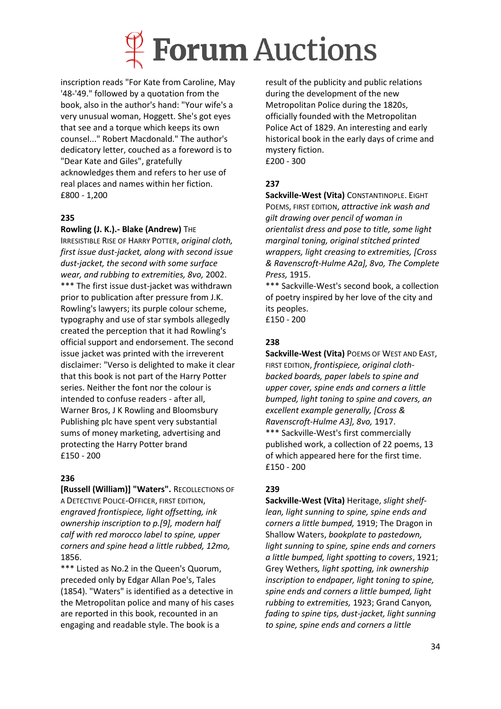

inscription reads "For Kate from Caroline, May '48-'49." followed by a quotation from the book, also in the author's hand: "Your wife's a very unusual woman, Hoggett. She's got eyes that see and a torque which keeps its own counsel..." Robert Macdonald." The author's dedicatory letter, couched as a foreword is to "Dear Kate and Giles", gratefully acknowledges them and refers to her use of real places and names within her fiction. £800 - 1,200

#### **235**

#### **Rowling (J. K.).- Blake (Andrew)** THE

IRRESISTIBLE RISE OF HARRY POTTER, *original cloth, first issue dust-jacket, along with second issue dust-jacket, the second with some surface wear, and rubbing to extremities, 8vo,* 2002. \*\*\* The first issue dust-jacket was withdrawn prior to publication after pressure from J.K. Rowling's lawyers; its purple colour scheme, typography and use of star symbols allegedly created the perception that it had Rowling's official support and endorsement. The second issue jacket was printed with the irreverent disclaimer: "Verso is delighted to make it clear that this book is not part of the Harry Potter series. Neither the font nor the colour is intended to confuse readers - after all, Warner Bros, J K Rowling and Bloomsbury Publishing plc have spent very substantial sums of money marketing, advertising and protecting the Harry Potter brand £150 - 200

#### **236**

**[Russell (William)] "Waters".** RECOLLECTIONS OF A DETECTIVE POLICE-OFFICER, FIRST EDITION, *engraved frontispiece, light offsetting, ink ownership inscription to p.[9], modern half calf with red morocco label to spine, upper corners and spine head a little rubbed, 12mo,* 1856.

\*\*\* Listed as No.2 in the Queen's Quorum, preceded only by Edgar Allan Poe's, Tales (1854). "Waters" is identified as a detective in the Metropolitan police and many of his cases are reported in this book, recounted in an engaging and readable style. The book is a

result of the publicity and public relations during the development of the new Metropolitan Police during the 1820s, officially founded with the Metropolitan Police Act of 1829. An interesting and early historical book in the early days of crime and mystery fiction. £200 - 300

### **237**

**Sackville-West (Vita)** CONSTANTINOPLE. EIGHT POEMS, FIRST EDITION, *attractive ink wash and gilt drawing over pencil of woman in orientalist dress and pose to title, some light marginal toning, original stitched printed wrappers, light creasing to extremities, [Cross & Ravenscroft-Hulme A2a], 8vo, The Complete Press,* 1915.

\*\*\* Sackville-West's second book, a collection of poetry inspired by her love of the city and its peoples. £150 - 200

#### **238**

**Sackville-West (Vita)** POEMS OF WEST AND EAST, FIRST EDITION, *frontispiece, original clothbacked boards, paper labels to spine and upper cover, spine ends and corners a little bumped, light toning to spine and covers, an excellent example generally, [Cross & Ravenscroft-Hulme A3], 8vo,* 1917. \*\*\* Sackville-West's first commercially published work, a collection of 22 poems, 13 of which appeared here for the first time. £150 - 200

### **239**

**Sackville-West (Vita)** Heritage, *slight shelflean, light sunning to spine, spine ends and corners a little bumped,* 1919; The Dragon in Shallow Waters, *bookplate to pastedown, light sunning to spine, spine ends and corners a little bumped, light spotting to covers*, 1921; Grey Wethers*, light spotting, ink ownership inscription to endpaper, light toning to spine, spine ends and corners a little bumped, light rubbing to extremities,* 1923; Grand Canyon*, fading to spine tips, dust-jacket, light sunning to spine, spine ends and corners a little*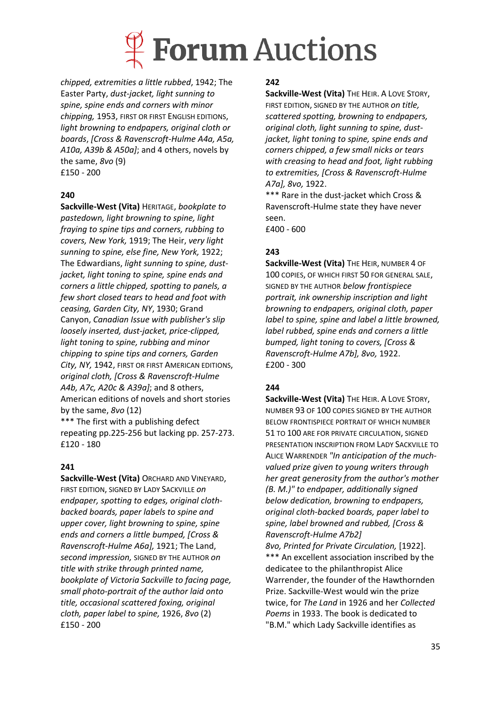

*chipped, extremities a little rubbed*, 1942; The Easter Party, *dust-jacket, light sunning to spine, spine ends and corners with minor chipping,* 1953, FIRST OR FIRST ENGLISH EDITIONS, *light browning to endpapers, original cloth or boards*, *[Cross & Ravenscroft-Hulme A4a, A5a, A10a, A39b & A50a]*; and 4 others, novels by the same, *8vo* (9) £150 - 200

#### **240**

**Sackville-West (Vita)** HERITAGE, *bookplate to pastedown, light browning to spine, light fraying to spine tips and corners, rubbing to covers, New York,* 1919; The Heir, *very light sunning to spine, else fine, New York,* 1922; The Edwardians, *light sunning to spine, dustjacket, light toning to spine, spine ends and corners a little chipped, spotting to panels, a few short closed tears to head and foot with ceasing, Garden City, NY*, 1930; Grand Canyon, *Canadian Issue with publisher's slip loosely inserted, dust-jacket, price-clipped, light toning to spine, rubbing and minor chipping to spine tips and corners, Garden City, NY,* 1942, FIRST OR FIRST AMERICAN EDITIONS, *original cloth, [Cross & Ravenscroft-Hulme A4b, A7c, A20c & A39a]*; and 8 others, American editions of novels and short stories by the same, *8vo* (12)

\*\*\* The first with a publishing defect repeating pp.225-256 but lacking pp. 257-273. £120 - 180

#### **241**

**Sackville-West (Vita)** ORCHARD AND VINEYARD, FIRST EDITION, SIGNED BY LADY SACKVILLE *on endpaper, spotting to edges, original clothbacked boards, paper labels to spine and upper cover, light browning to spine, spine ends and corners a little bumped, [Cross & Ravenscroft-Hulme A6a],* 1921; The Land, *second impression,* SIGNED BY THE AUTHOR *on title with strike through printed name, bookplate of Victoria Sackville to facing page, small photo-portrait of the author laid onto title, occasional scattered foxing, original cloth, paper label to spine,* 1926, *8vo* (2) £150 - 200

#### **242**

**Sackville-West (Vita)** THE HEIR. A LOVE STORY, FIRST EDITION, SIGNED BY THE AUTHOR *on title, scattered spotting, browning to endpapers, original cloth, light sunning to spine, dustjacket, light toning to spine, spine ends and corners chipped, a few small nicks or tears with creasing to head and foot, light rubbing to extremities, [Cross & Ravenscroft-Hulme A7a], 8vo,* 1922.

\*\*\* Rare in the dust-jacket which Cross & Ravenscroft-Hulme state they have never seen.

£400 - 600

### **243**

**Sackville-West (Vita)** THE HEIR, NUMBER 4 OF 100 COPIES, OF WHICH FIRST 50 FOR GENERAL SALE, SIGNED BY THE AUTHOR *below frontispiece portrait, ink ownership inscription and light browning to endpapers, original cloth, paper label to spine, spine and label a little browned, label rubbed, spine ends and corners a little bumped, light toning to covers, [Cross & Ravenscroft-Hulme A7b], 8vo,* 1922. £200 - 300

### **244**

**Sackville-West (Vita)** THE HEIR. A LOVE STORY, NUMBER 93 OF 100 COPIES SIGNED BY THE AUTHOR BELOW FRONTISPIECE PORTRAIT OF WHICH NUMBER 51 TO 100 ARE FOR PRIVATE CIRCULATION, SIGNED PRESENTATION INSCRIPTION FROM LADY SACKVILLE TO ALICE WARRENDER *"In anticipation of the muchvalued prize given to young writers through her great generosity from the author's mother (B. M.)" to endpaper, additionally signed below dedication, browning to endpapers, original cloth-backed boards, paper label to spine, label browned and rubbed, [Cross & Ravenscroft-Hulme A7b2]*

*8vo, Printed for Private Circulation,* [1922]. \*\*\* An excellent association inscribed by the dedicatee to the philanthropist Alice Warrender, the founder of the Hawthornden Prize. Sackville-West would win the prize twice, for *The Land* in 1926 and her *Collected Poems* in 1933. The book is dedicated to "B.M." which Lady Sackville identifies as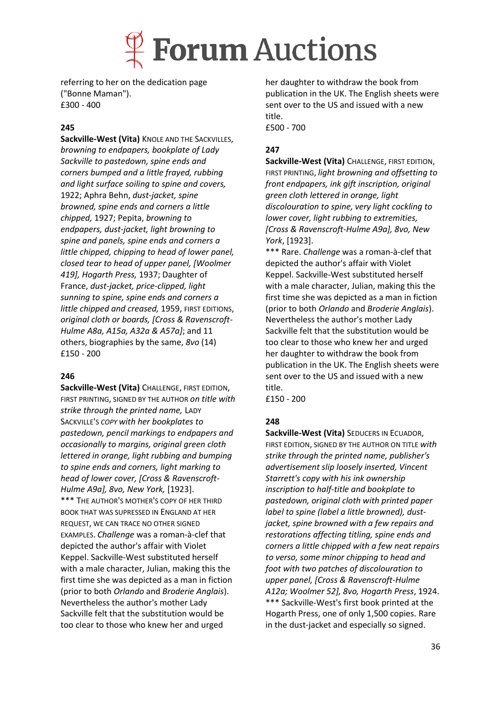

referring to her on the dedication page ("Bonne Maman"). £300 - 400

#### **245**

**Sackville-West (Vita)** KNOLE AND THE SACKVILLES, *browning to endpapers, bookplate of Lady Sackville to pastedown, spine ends and corners bumped and a little frayed, rubbing and light surface soiling to spine and covers,*  1922; Aphra Behn, *dust-jacket, spine browned, spine ends and corners a little chipped,* 1927; Pepita, *browning to endpapers, dust-jacket, light browning to spine and panels, spine ends and corners a little chipped, chipping to head of lower panel, closed tear to head of upper panel, [Woolmer 419], Hogarth Press,* 1937; Daughter of France, *dust-jacket, price-clipped, light sunning to spine, spine ends and corners a little chipped and creased,* 1959, FIRST EDITIONS, *original cloth or boards, [Cross & Ravenscroft-Hulme A8a, A15a, A32a & A57a]*; and 11 others, biographies by the same, *8vo* (14) £150 - 200

#### **246**

**Sackville-West (Vita)** CHALLENGE, FIRST EDITION, FIRST PRINTING, SIGNED BY THE AUTHOR *on title with strike through the printed name,* LADY SACKVILLE'S *COPY with her bookplates to pastedown, pencil markings to endpapers and occasionally to margins, original green cloth lettered in orange, light rubbing and bumping to spine ends and corners, light marking to head of lower cover, [Cross & Ravenscroft-Hulme A9a], 8vo, New York,* [1923]. \*\*\* THE AUTHOR'S MOTHER'S COPY OF HER THIRD BOOK THAT WAS SUPRESSED IN ENGLAND AT HER REQUEST, WE CAN TRACE NO OTHER SIGNED EXAMPLES. *Challenge* was a roman-à-clef that depicted the author's affair with Violet Keppel. Sackville-West substituted herself with a male character, Julian, making this the first time she was depicted as a man in fiction (prior to both *Orlando* and *Broderie Anglais*). Nevertheless the author's mother Lady Sackville felt that the substitution would be too clear to those who knew her and urged

her daughter to withdraw the book from publication in the UK. The English sheets were sent over to the US and issued with a new title. £500 - 700

#### **247**

**Sackville-West (Vita)** CHALLENGE, FIRST EDITION, FIRST PRINTING, *light browning and offsetting to front endpapers, ink gift inscription, original green cloth lettered in orange, light discolouration to spine, very light cockling to lower cover, light rubbing to extremities, [Cross & Ravenscroft-Hulme A9a], 8vo, New York*, [1923].

\*\*\* Rare. *Challenge* was a roman-à-clef that depicted the author's affair with Violet Keppel. Sackville-West substituted herself with a male character, Julian, making this the first time she was depicted as a man in fiction (prior to both *Orlando* and *Broderie Anglais*). Nevertheless the author's mother Lady Sackville felt that the substitution would be too clear to those who knew her and urged her daughter to withdraw the book from publication in the UK. The English sheets were sent over to the US and issued with a new title.

£150 - 200

#### **248**

**Sackville-West (Vita)** SEDUCERS IN ECUADOR, FIRST EDITION, SIGNED BY THE AUTHOR ON TITLE *with strike through the printed name, publisher's advertisement slip loosely inserted, Vincent Starrett's copy with his ink ownership inscription to half-title and bookplate to pastedown, original cloth with printed paper label to spine (label a little browned), dustjacket, spine browned with a few repairs and restorations affecting titling, spine ends and corners a little chipped with a few neat repairs to verso, some minor chipping to head and foot with two patches of discolouration to upper panel, [Cross & Ravenscroft-Hulme A12a; Woolmer 52], 8vo, Hogarth Press*, 1924. \*\*\* Sackville-West's first book printed at the Hogarth Press, one of only 1,500 copies. Rare in the dust-jacket and especially so signed.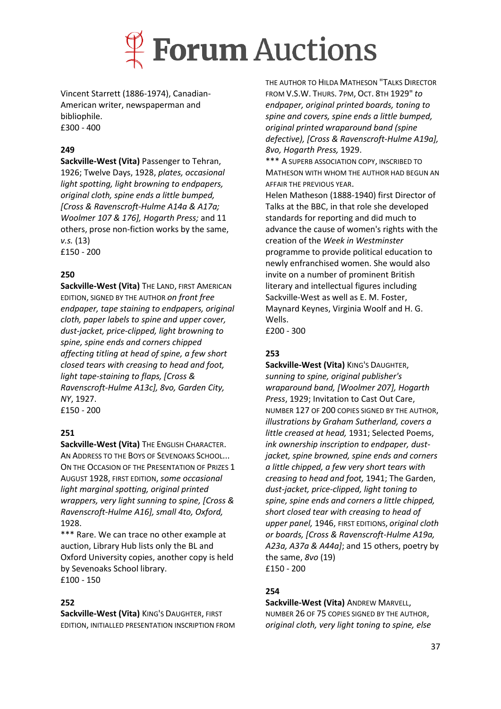

Vincent Starrett (1886-1974), Canadian-American writer, newspaperman and bibliophile. £300 - 400

#### **249**

**Sackville-West (Vita)** Passenger to Tehran, 1926; Twelve Days, 1928, *plates, occasional light spotting, light browning to endpapers, original cloth, spine ends a little bumped, [Cross & Ravenscroft-Hulme A14a & A17a; Woolmer 107 & 176], Hogarth Press;* and 11 others, prose non-fiction works by the same, *v.s.* (13) £150 - 200

#### **250**

**Sackville-West (Vita) THE LAND, FIRST AMERICAN** EDITION, SIGNED BY THE AUTHOR *on front free endpaper, tape staining to endpapers, original cloth, paper labels to spine and upper cover, dust-jacket, price-clipped, light browning to spine, spine ends and corners chipped affecting titling at head of spine, a few short closed tears with creasing to head and foot, light tape-staining to flaps, [Cross & Ravenscroft-Hulme A13c], 8vo, Garden City, NY*, 1927. £150 - 200

#### **251**

**Sackville-West (Vita)** THE ENGLISH CHARACTER. AN ADDRESS TO THE BOYS OF SEVENOAKS SCHOOL... ON THE OCCASION OF THE PRESENTATION OF PRIZES 1 AUGUST 1928, FIRST EDITION, *some occasional light marginal spotting, original printed wrappers, very light sunning to spine, [Cross & Ravenscroft-Hulme A16], small 4to, Oxford,*  1928.

\*\*\* Rare. We can trace no other example at auction, Library Hub lists only the BL and Oxford University copies, another copy is held by Sevenoaks School library. £100 - 150

#### **252**

**Sackville-West (Vita)** KING'S DAUGHTER, FIRST EDITION, INITIALLED PRESENTATION INSCRIPTION FROM

THE AUTHOR TO HILDA MATHESON "TALKS DIRECTOR FROM V.S.W. THURS. 7PM, OCT. 8TH 1929" *to endpaper, original printed boards, toning to spine and covers, spine ends a little bumped, original printed wraparound band (spine defective), [Cross & Ravenscroft-Hulme A19a], 8vo, Hogarth Press,* 1929.

\*\*\* A SUPERB ASSOCIATION COPY, INSCRIBED TO MATHESON WITH WHOM THE AUTHOR HAD BEGUN AN AFFAIR THE PREVIOUS YEAR.

Helen Matheson (1888-1940) first Director of Talks at the BBC, in that role she developed standards for reporting and did much to advance the cause of women's rights with the creation of the *Week in Westminster*  programme to provide political education to newly enfranchised women. She would also invite on a number of prominent British literary and intellectual figures including Sackville-West as well as E. M. Foster, Maynard Keynes, Virginia Woolf and H. G. Wells.

£200 - 300

#### **253**

**Sackville-West (Vita)** KING'S DAUGHTER, *sunning to spine, original publisher's wraparound band, [Woolmer 207], Hogarth Press*, 1929; Invitation to Cast Out Care, NUMBER 127 OF 200 COPIES SIGNED BY THE AUTHOR, *illustrations by Graham Sutherland, covers a little creased at head,* 1931; Selected Poems, *ink ownership inscription to endpaper, dustjacket, spine browned, spine ends and corners a little chipped, a few very short tears with creasing to head and foot,* 1941; The Garden, *dust-jacket, price-clipped, light toning to spine, spine ends and corners a little chipped, short closed tear with creasing to head of upper panel,* 1946, FIRST EDITIONS, *original cloth or boards, [Cross & Ravenscroft-Hulme A19a, A23a, A37a & A44a]*; and 15 others, poetry by the same, *8vo* (19) £150 - 200

## **254**

**Sackville-West (Vita)** ANDREW MARVELL, NUMBER 26 OF 75 COPIES SIGNED BY THE AUTHOR, *original cloth, very light toning to spine, else*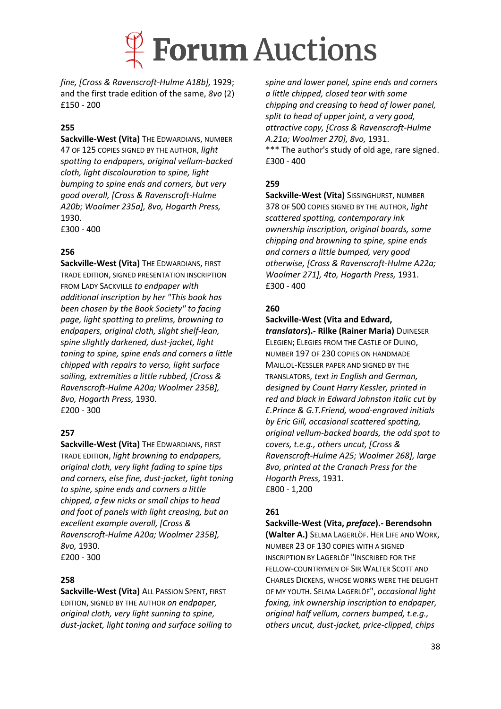

*fine, [Cross & Ravenscroft-Hulme A18b],* 1929; and the first trade edition of the same, *8vo* (2) £150 - 200

#### **255**

**Sackville-West (Vita)** THE EDWARDIANS, NUMBER 47 OF 125 COPIES SIGNED BY THE AUTHOR, *light spotting to endpapers, original vellum-backed cloth, light discolouration to spine, light bumping to spine ends and corners, but very good overall, [Cross & Ravenscroft-Hulme A20b; Woolmer 235a], 8vo, Hogarth Press,*  1930. £300 - 400

#### **256**

**Sackville-West (Vita)** THE EDWARDIANS, FIRST TRADE EDITION, SIGNED PRESENTATION INSCRIPTION FROM LADY SACKVILLE *to endpaper with additional inscription by her "This book has been chosen by the Book Society" to facing page, light spotting to prelims, browning to endpapers, original cloth, slight shelf-lean, spine slightly darkened, dust-jacket, light toning to spine, spine ends and corners a little chipped with repairs to verso, light surface soiling, extremities a little rubbed, [Cross & Ravenscroft-Hulme A20a; Woolmer 235B], 8vo, Hogarth Press,* 1930. £200 - 300

#### **257**

**Sackville-West (Vita)** THE EDWARDIANS, FIRST TRADE EDITION, *light browning to endpapers, original cloth, very light fading to spine tips and corners, else fine, dust-jacket, light toning to spine, spine ends and corners a little chipped, a few nicks or small chips to head and foot of panels with light creasing, but an excellent example overall, [Cross & Ravenscroft-Hulme A20a; Woolmer 235B], 8vo,* 1930. £200 - 300

#### **258**

**Sackville-West (Vita)** ALL PASSION SPENT, FIRST EDITION, SIGNED BY THE AUTHOR *on endpaper, original cloth, very light sunning to spine, dust-jacket, light toning and surface soiling to* 

*spine and lower panel, spine ends and corners a little chipped, closed tear with some chipping and creasing to head of lower panel, split to head of upper joint, a very good, attractive copy, [Cross & Ravenscroft-Hulme A.21a; Woolmer 270], 8vo,* 1931. \*\*\* The author's study of old age, rare signed. £300 - 400

#### **259**

**Sackville-West (Vita)** SISSINGHURST, NUMBER 378 OF 500 COPIES SIGNED BY THE AUTHOR, *light scattered spotting, contemporary ink ownership inscription, original boards, some chipping and browning to spine, spine ends and corners a little bumped, very good otherwise, [Cross & Ravenscroft-Hulme A22a; Woolmer 271], 4to, Hogarth Press,* 1931. £300 - 400

#### **260**

#### **Sackville-West (Vita and Edward,**

*translators***).- Rilke (Rainer Maria)** DUINESER ELEGIEN; ELEGIES FROM THE CASTLE OF DUINO, NUMBER 197 OF 230 COPIES ON HANDMADE MAILLOL-KESSLER PAPER AND SIGNED BY THE TRANSLATORS, *text in English and German, designed by Count Harry Kessler, printed in red and black in Edward Johnston italic cut by E.Prince & G.T.Friend, wood-engraved initials by Eric Gill, occasional scattered spotting, original vellum-backed boards, the odd spot to covers, t.e.g., others uncut, [Cross & Ravenscroft-Hulme A25; Woolmer 268], large 8vo, printed at the Cranach Press for the Hogarth Press,* 1931. £800 - 1,200

#### **261**

**Sackville-West (Vita,** *preface***).- Berendsohn** 

**(Walter A.)** SELMA LAGERLÖF. HER LIFE AND WORK, NUMBER 23 OF 130 COPIES WITH A SIGNED INSCRIPTION BY LAGERLÖF "INSCRIBED FOR THE FELLOW-COUNTRYMEN OF SIR WALTER SCOTT AND CHARLES DICKENS, WHOSE WORKS WERE THE DELIGHT OF MY YOUTH. SELMA LAGERLÖF", *occasional light foxing, ink ownership inscription to endpaper, original half vellum, corners bumped, t.e.g., others uncut, dust-jacket, price-clipped, chips*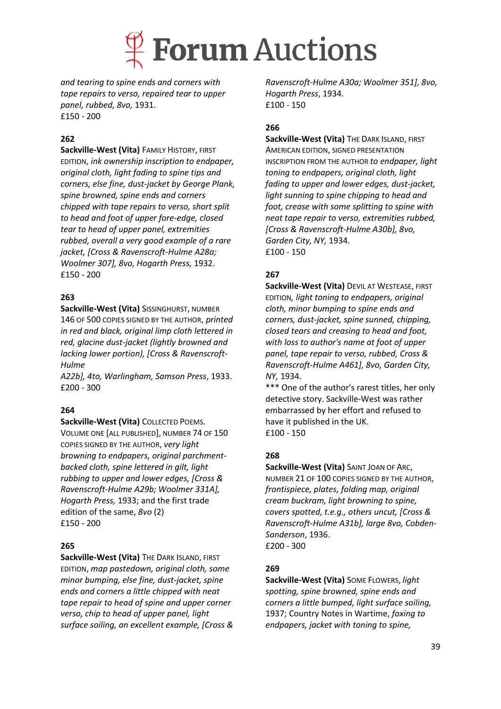

*and tearing to spine ends and corners with tape repairs to verso, repaired tear to upper panel, rubbed, 8vo,* 1931. £150 - 200

#### **262**

**Sackville-West (Vita)** FAMILY HISTORY, FIRST EDITION, *ink ownership inscription to endpaper, original cloth, light fading to spine tips and corners, else fine, dust-jacket by George Plank, spine browned, spine ends and corners chipped with tape repairs to verso, short split to head and foot of upper fore-edge, closed tear to head of upper panel, extremities rubbed, overall a very good example of a rare jacket, [Cross & Ravenscroft-Hulme A28a; Woolmer 307], 8vo, Hogarth Press,* 1932. £150 - 200

#### **263**

**Sackville-West (Vita)** SISSINGHURST, NUMBER 146 OF 500 COPIES SIGNED BY THE AUTHOR, *printed in red and black, original limp cloth lettered in red, glacine dust-jacket (lightly browned and lacking lower portion), [Cross & Ravenscroft-Hulme*

*A22b], 4to, Warlingham, Samson Press*, 1933. £200 - 300

#### **264**

**Sackville-West (Vita)** COLLECTED POEMS. VOLUME ONE [ALL PUBLISHED], NUMBER 74 OF 150 COPIES SIGNED BY THE AUTHOR, *very light browning to endpapers, original parchmentbacked cloth, spine lettered in gilt, light rubbing to upper and lower edges, [Cross & Ravenscroft-Hulme A29b; Woolmer 331A], Hogarth Press,* 1933; and the first trade edition of the same, *8vo* (2) £150 - 200

#### **265**

**Sackville-West (Vita)** THE DARK ISLAND, FIRST EDITION, *map pastedown, original cloth, some minor bumping, else fine, dust-jacket, spine ends and corners a little chipped with neat tape repair to head of spine and upper corner verso, chip to head of upper panel, light surface soiling, an excellent example, [Cross &* 

*Ravenscroft-Hulme A30a; Woolmer 351], 8vo, Hogarth Press*, 1934. £100 - 150

#### **266**

**Sackville-West (Vita)** THE DARK ISLAND, FIRST AMERICAN EDITION, SIGNED PRESENTATION INSCRIPTION FROM THE AUTHOR *to endpaper, light toning to endpapers, original cloth, light fading to upper and lower edges, dust-jacket, light sunning to spine chipping to head and foot, crease with some splitting to spine with neat tape repair to verso, extremities rubbed, [Cross & Ravenscroft-Hulme A30b], 8vo, Garden City, NY,* 1934. £100 - 150

#### **267**

**Sackville-West (Vita)** DEVIL AT WESTEASE, FIRST EDITION*, light toning to endpapers, original cloth, minor bumping to spine ends and corners, dust-jacket, spine sunned, chipping, closed tears and creasing to head and foot, with loss to author's name at foot of upper panel, tape repair to verso, rubbed, Cross & Ravenscroft-Hulme A461], 8vo, Garden City, NY,* 1934.

\*\*\* One of the author's rarest titles, her only detective story. Sackville-West was rather embarrassed by her effort and refused to have it published in the UK. £100 - 150

#### **268**

**Sackville-West (Vita)** SAINT JOAN OF ARC, NUMBER 21 OF 100 COPIES SIGNED BY THE AUTHOR, *frontispiece, plates, folding map, original cream buckram, light browning to spine, covers spotted, t.e.g., others uncut, [Cross & Ravenscroft-Hulme A31b], large 8vo, Cobden-Sanderson*, 1936. £200 - 300

#### **269**

**Sackville-West (Vita)** SOME FLOWERS, *light spotting, spine browned, spine ends and corners a little bumped, light surface soiling,*  1937; Country Notes in Wartime, *foxing to endpapers, jacket with toning to spine,*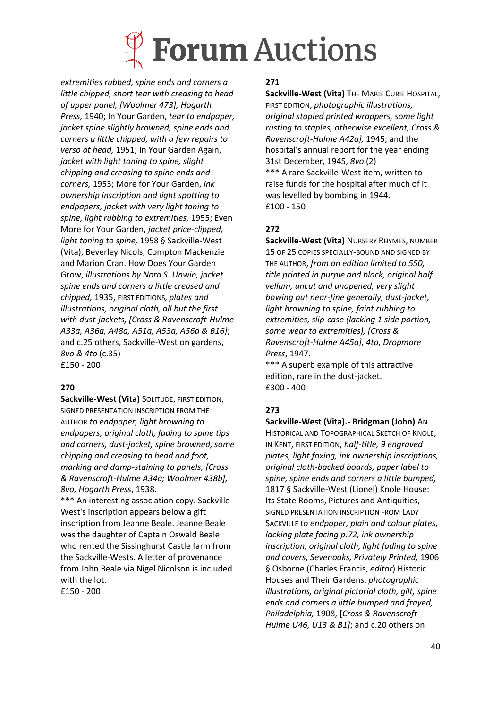# **Forum Auctions**

*extremities rubbed, spine ends and corners a little chipped, short tear with creasing to head of upper panel, [Woolmer 473], Hogarth Press,* 1940; In Your Garden, *tear to endpaper, jacket spine slightly browned, spine ends and corners a little chipped, with a few repairs to verso at head,* 1951; In Your Garden Again, *jacket with light toning to spine, slight chipping and creasing to spine ends and corners,* 1953; More for Your Garden, *ink ownership inscription and light spotting to endpapers, jacket with very light toning to spine, light rubbing to extremities,* 1955; Even More for Your Garden, *jacket price-clipped, light toning to spine,* 1958 § Sackville-West (Vita), Beverley Nicols, Compton Mackenzie and Marion Cran. How Does Your Garden Grow, *illustrations by Nora S. Unwin, jacket spine ends and corners a little creased and chipped,* 1935, FIRST EDITIONS*, plates and illustrations, original cloth, all but the first with dust-jackets, [Cross & Ravenscroft-Hulme A33a, A36a, A48a, A51a, A53a, A56a & B16]*; and c.25 others, Sackville-West on gardens, *8vo & 4to* (c.35) £150 - 200

### **270**

**Sackville-West (Vita)** SOLITUDE, FIRST EDITION, SIGNED PRESENTATION INSCRIPTION FROM THE AUTHOR *to endpaper, light browning to endpapers, original cloth, fading to spine tips and corners, dust-jacket, spine browned, some chipping and creasing to head and foot, marking and damp-staining to panels, [Cross & Ravenscroft-Hulme A34a; Woolmer 438b], 8vo, Hogarth Press*, 1938.

\*\*\* An interesting association copy. Sackville-West's inscription appears below a gift inscription from Jeanne Beale. Jeanne Beale was the daughter of Captain Oswald Beale who rented the Sissinghurst Castle farm from the Sackville-Wests. A letter of provenance from John Beale via Nigel Nicolson is included with the lot.

£150 - 200

#### **271**

**Sackville-West (Vita)** THE MARIE CURIE HOSPITAL, FIRST EDITION, *photographic illustrations, original stapled printed wrappers, some light rusting to staples, otherwise excellent, Cross & Ravenscroft-Hulme A42a],* 1945; and the hospital's annual report for the year ending 31st December, 1945, *8vo* (2) \*\*\* A rare Sackville-West item, written to raise funds for the hospital after much of it was levelled by bombing in 1944. £100 - 150

## **272**

**Sackville-West (Vita)** NURSERY RHYMES, NUMBER 15 OF 25 COPIES SPECIALLY-BOUND AND SIGNED BY THE AUTHOR, *from an edition limited to 550, title printed in purple and black, original half vellum, uncut and unopened, very slight bowing but near-fine generally, dust-jacket, light browning to spine, faint rubbing to extremities, slip-case (lacking 1 side portion, some wear to extremities), [Cross & Ravenscroft-Hulme A45a], 4to, Dropmore Press*, 1947.

\*\*\* A superb example of this attractive edition, rare in the dust-jacket. £300 - 400

## **273**

**Sackville-West (Vita).- Bridgman (John)** AN HISTORICAL AND TOPOGRAPHICAL SKETCH OF KNOLE, IN KENT, FIRST EDITION, *half-title, 9 engraved plates, light foxing, ink ownership inscriptions, original cloth-backed boards, paper label to spine, spine ends and corners a little bumped,*  1817 § Sackville-West (Lionel) Knole House: Its State Rooms, Pictures and Antiquities, SIGNED PRESENTATION INSCRIPTION FROM LADY SACKVILLE *to endpaper, plain and colour plates, lacking plate facing p.72, ink ownership inscription, original cloth, light fading to spine and covers, Sevenoaks, Privately Printed,* 1906 § Osborne (Charles Francis, *editor*) Historic Houses and Their Gardens, *photographic illustrations, original pictorial cloth, gilt, spine ends and corners a little bumped and frayed, Philadelphia,* 1908, [*Cross & Ravenscroft-Hulme U46, U13 & B1]*; and c.20 others on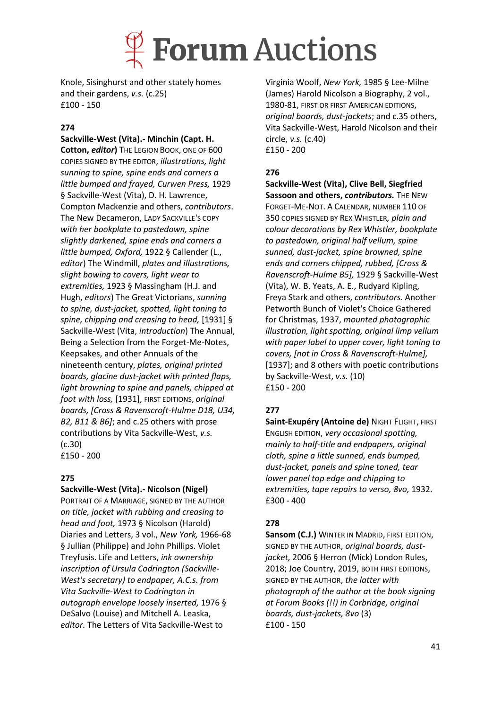## **Forum Auctions**

Knole, Sisinghurst and other stately homes and their gardens, *v.s.* (c.25) £100 - 150

### **274**

**Sackville-West (Vita).- Minchin (Capt. H.** 

**Cotton,** *editor***)** THE LEGION BOOK, ONE OF 600 COPIES SIGNED BY THE EDITOR, *illustrations, light sunning to spine, spine ends and corners a little bumped and frayed, Curwen Press,* 1929 § Sackville-West (Vita), D. H. Lawrence, Compton Mackenzie and others, *contributors*. The New Decameron, LADY SACKVILLE'S COPY *with her bookplate to pastedown, spine slightly darkened, spine ends and corners a little bumped, Oxford,* 1922 § Callender (L., *editor*) The Windmill, *plates and illustrations, slight bowing to covers, light wear to extremities,* 1923 § Massingham (H.J. and Hugh, *editors*) The Great Victorians, *sunning to spine, dust-jacket, spotted, light toning to spine, chipping and creasing to head,* [1931] § Sackville-West (Vita, *introduction*) The Annual, Being a Selection from the Forget-Me-Notes, Keepsakes, and other Annuals of the nineteenth century, *plates, original printed boards, glacine dust-jacket with printed flaps, light browning to spine and panels, chipped at foot with loss,* [1931], FIRST EDITIONS, *original boards, [Cross & Ravenscroft-Hulme D18, U34, B2, B11 & B6]*; and c.25 others with prose contributions by Vita Sackville-West, *v.s.*  (c.30) £150 - 200

### **275**

#### **Sackville-West (Vita).- Nicolson (Nigel)**

PORTRAIT OF A MARRIAGE, SIGNED BY THE AUTHOR *on title, jacket with rubbing and creasing to head and foot,* 1973 § Nicolson (Harold) Diaries and Letters, 3 vol., *New York,* 1966-68 § Jullian (Philippe) and John Phillips. Violet Treyfusis. Life and Letters, *ink ownership inscription of Ursula Codrington (Sackville-West's secretary) to endpaper, A.C.s. from Vita Sackville-West to Codrington in autograph envelope loosely inserted,* 1976 § DeSalvo (Louise) and Mitchell A. Leaska, *editor.* The Letters of Vita Sackville-West to

Virginia Woolf, *New York,* 1985 § Lee-Milne (James) Harold Nicolson a Biography, 2 vol., 1980-81, FIRST OR FIRST AMERICAN EDITIONS, *original boards, dust-jackets*; and c.35 others, Vita Sackville-West, Harold Nicolson and their circle, *v.s.* (c.40) £150 - 200

## **276**

**Sackville-West (Vita), Clive Bell, Siegfried Sassoon and others,** *contributors.* THE NEW FORGET-ME-NOT. A CALENDAR, NUMBER 110 OF 350 COPIES SIGNED BY REX WHISTLER*, plain and colour decorations by Rex Whistler, bookplate to pastedown, original half vellum, spine sunned, dust-jacket, spine browned, spine ends and corners chipped, rubbed, [Cross & Ravenscroft-Hulme B5],* 1929 § Sackville-West (Vita), W. B. Yeats, A. E., Rudyard Kipling, Freya Stark and others, *contributors.* Another Petworth Bunch of Violet's Choice Gathered for Christmas, 1937, *mounted photographic illustration, light spotting, original limp vellum with paper label to upper cover, light toning to covers, [not in Cross & Ravenscroft-Hulme],*  [1937]; and 8 others with poetic contributions by Sackville-West, *v.s.* (10) £150 - 200

## **277**

**Saint-Exupéry (Antoine de)** NIGHT FLIGHT, FIRST ENGLISH EDITION, *very occasional spotting, mainly to half-title and endpapers, original cloth, spine a little sunned, ends bumped, dust-jacket, panels and spine toned, tear lower panel top edge and chipping to extremities, tape repairs to verso, 8vo,* 1932. £300 - 400

### **278**

**Sansom (C.J.)** WINTER IN MADRID, FIRST EDITION, SIGNED BY THE AUTHOR, *original boards, dustjacket,* 2006 § Herron (Mick) London Rules, 2018; Joe Country, 2019, BOTH FIRST EDITIONS, SIGNED BY THE AUTHOR, *the latter with photograph of the author at the book signing at Forum Books (!!) in Corbridge, original boards, dust-jackets, 8vo* (3) £100 - 150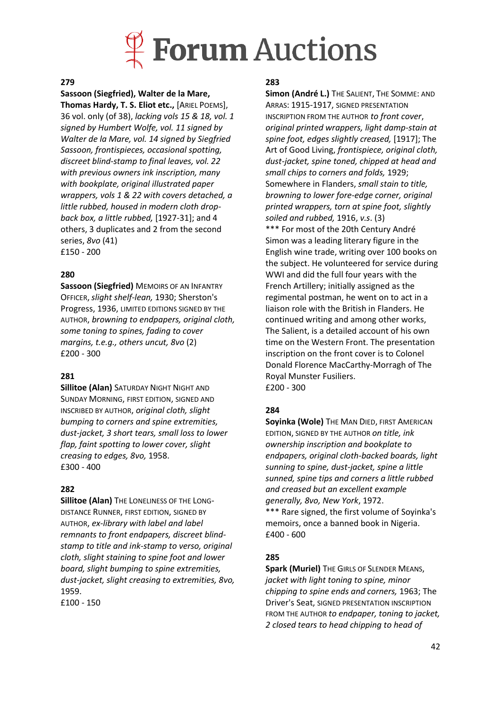

#### **279**

#### **Sassoon (Siegfried), Walter de la Mare,**

**Thomas Hardy, T. S. Eliot etc.,** [ARIEL POEMS], 36 vol. only (of 38), *lacking vols 15 & 18, vol. 1 signed by Humbert Wolfe, vol. 11 signed by Walter de la Mare, vol. 14 signed by Siegfried Sassoon, frontispieces, occasional spotting, discreet blind-stamp to final leaves, vol. 22 with previous owners ink inscription, many with bookplate, original illustrated paper wrappers, vols 1 & 22 with covers detached, a little rubbed, housed in modern cloth dropback box, a little rubbed,* [1927-31]; and 4 others, 3 duplicates and 2 from the second series, *8vo* (41) £150 - 200

#### **280**

**Sassoon (Siegfried)** MEMOIRS OF AN INFANTRY OFFICER,*slight shelf-lean,* 1930; Sherston's Progress, 1936, LIMITED EDITIONS SIGNED BY THE AUTHOR, *browning to endpapers, original cloth, some toning to spines, fading to cover margins, t.e.g., others uncut, 8vo* (2) £200 - 300

#### **281**

**Sillitoe (Alan)** SATURDAY NIGHT NIGHT AND SUNDAY MORNING, FIRST EDITION, SIGNED AND INSCRIBED BY AUTHOR, *original cloth, slight bumping to corners and spine extremities, dust-jacket, 3 short tears, small loss to lower flap, faint spotting to lower cover, slight creasing to edges, 8vo,* 1958. £300 - 400

#### **282**

**Sillitoe (Alan)** THE LONELINESS OF THE LONG-DISTANCE RUNNER, FIRST EDITION, SIGNED BY AUTHOR, *ex-library with label and label remnants to front endpapers, discreet blindstamp to title and ink-stamp to verso, original cloth, slight staining to spine foot and lower board, slight bumping to spine extremities, dust-jacket, slight creasing to extremities, 8vo,* 1959.

£100 - 150

#### **283**

**Simon (André L.)** THE SALIENT, THE SOMME: AND ARRAS: 1915-1917, SIGNED PRESENTATION INSCRIPTION FROM THE AUTHOR *to front cover*, *original printed wrappers, light damp-stain at spine foot, edges slightly creased,* [1917]; The Art of Good Living, *frontispiece, original cloth, dust-jacket, spine toned, chipped at head and small chips to corners and folds,* 1929; Somewhere in Flanders, *small stain to title, browning to lower fore-edge corner, original printed wrappers, torn at spine foot, slightly soiled and rubbed,* 1916, *v.s*. (3) \*\*\* For most of the 20th Century André Simon was a leading literary figure in the English wine trade, writing over 100 books on the subject. He volunteered for service during WWI and did the full four years with the French Artillery; initially assigned as the regimental postman, he went on to act in a liaison role with the British in Flanders. He continued writing and among other works, The Salient, is a detailed account of his own time on the Western Front. The presentation inscription on the front cover is to Colonel Donald Florence MacCarthy-Morragh of The Royal Munster Fusiliers. £200 - 300

#### **284**

**Soyinka (Wole)** THE MAN DIED, FIRST AMERICAN EDITION, SIGNED BY THE AUTHOR *on title, ink ownership inscription and bookplate to endpapers, original cloth-backed boards, light sunning to spine, dust-jacket, spine a little sunned, spine tips and corners a little rubbed and creased but an excellent example generally, 8vo, New York*, 1972. \*\*\* Rare signed, the first volume of Soyinka's memoirs, once a banned book in Nigeria. £400 - 600

#### **285**

**Spark (Muriel)** THE GIRLS OF SLENDER MEANS. *jacket with light toning to spine, minor chipping to spine ends and corners,* 1963; The Driver's Seat, SIGNED PRESENTATION INSCRIPTION FROM THE AUTHOR *to endpaper, toning to jacket, 2 closed tears to head chipping to head of*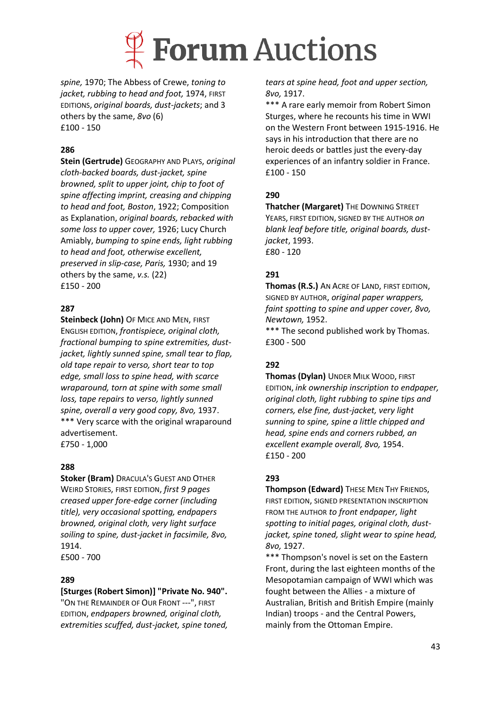

*spine,* 1970; The Abbess of Crewe, *toning to jacket, rubbing to head and foot,* 1974, FIRST EDITIONS, *original boards, dust-jackets*; and 3 others by the same, *8vo* (6) £100 - 150

#### **286**

**Stein (Gertrude)** GEOGRAPHY AND PLAYS, *original cloth-backed boards, dust-jacket, spine browned, split to upper joint, chip to foot of spine affecting imprint, creasing and chipping to head and foot, Boston*, 1922; Composition as Explanation, *original boards, rebacked with some loss to upper cover,* 1926; Lucy Church Amiably, *bumping to spine ends, light rubbing to head and foot, otherwise excellent, preserved in slip-case, Paris,* 1930; and 19 others by the same, *v.s.* (22) £150 - 200

#### **287**

**Steinbeck (John)** OF MICE AND MEN, FIRST ENGLISH EDITION, *frontispiece, original cloth, fractional bumping to spine extremities, dustjacket, lightly sunned spine, small tear to flap, old tape repair to verso, short tear to top edge, small loss to spine head, with scarce wraparound, torn at spine with some small loss, tape repairs to verso, lightly sunned spine, overall a very good copy, 8vo,* 1937. \*\*\* Very scarce with the original wraparound advertisement. £750 - 1,000

#### **288**

**Stoker (Bram)** DRACULA'S GUEST AND OTHER WEIRD STORIES, FIRST EDITION, *first 9 pages creased upper fore-edge corner (including title), very occasional spotting, endpapers browned, original cloth, very light surface soiling to spine, dust-jacket in facsimile, 8vo,* 1914. £500 - 700

#### **289**

#### **[Sturges (Robert Simon)] "Private No. 940".**

"ON THE REMAINDER OF OUR FRONT ---", FIRST EDITION, *endpapers browned, original cloth, extremities scuffed, dust-jacket, spine toned,*  *tears at spine head, foot and upper section, 8vo,* 1917.

\*\*\* A rare early memoir from Robert Simon Sturges, where he recounts his time in WWI on the Western Front between 1915-1916. He says in his introduction that there are no heroic deeds or battles just the every-day experiences of an infantry soldier in France. £100 - 150

#### **290**

**Thatcher (Margaret)** THE DOWNING STREET YEARS, FIRST EDITION, SIGNED BY THE AUTHOR *on blank leaf before title, original boards, dustjacket*, 1993. £80 - 120

#### **291**

**Thomas (R.S.)** AN ACRE OF LAND, FIRST EDITION, SIGNED BY AUTHOR, *original paper wrappers, faint spotting to spine and upper cover, 8vo, Newtown,* 1952.

\*\*\* The second published work by Thomas. £300 - 500

#### **292**

**Thomas (Dylan)** UNDER MILK WOOD, FIRST EDITION, *ink ownership inscription to endpaper, original cloth, light rubbing to spine tips and corners, else fine, dust-jacket, very light sunning to spine, spine a little chipped and head, spine ends and corners rubbed, an excellent example overall, 8vo,* 1954. £150 - 200

#### **293**

**Thompson (Edward)** THESE MEN THY FRIENDS, FIRST EDITION, SIGNED PRESENTATION INSCRIPTION FROM THE AUTHOR *to front endpaper, light spotting to initial pages, original cloth, dustjacket, spine toned, slight wear to spine head, 8vo,* 1927.

\*\*\* Thompson's novel is set on the Eastern Front, during the last eighteen months of the Mesopotamian campaign of WWI which was fought between the Allies - a mixture of Australian, British and British Empire (mainly Indian) troops - and the Central Powers, mainly from the Ottoman Empire.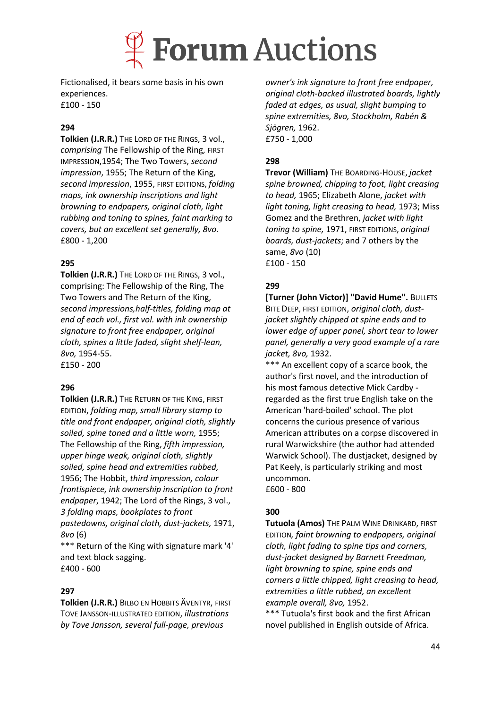

Fictionalised, it bears some basis in his own experiences. £100 - 150

#### **294**

**Tolkien (J.R.R.)** THE LORD OF THE RINGS, 3 vol., *comprising* The Fellowship of the Ring, FIRST IMPRESSION,1954; The Two Towers, *second impression*, 1955; The Return of the King, *second impression*, 1955, FIRST EDITIONS, *folding maps, ink ownership inscriptions and light browning to endpapers, original cloth, light rubbing and toning to spines, faint marking to covers, but an excellent set generally, 8vo.* £800 - 1,200

#### **295**

**Tolkien (J.R.R.)** THE LORD OF THE RINGS, 3 vol., comprising: The Fellowship of the Ring, The Two Towers and The Return of the King, *second impressions,half-titles, folding map at end of each vol., first vol. with ink ownership signature to front free endpaper, original cloth, spines a little faded, slight shelf-lean, 8vo,* 1954-55. £150 - 200

#### **296**

**Tolkien (J.R.R.)** THE RETURN OF THE KING, FIRST EDITION, *folding map, small library stamp to title and front endpaper, original cloth, slightly soiled, spine toned and a little worn,* 1955; The Fellowship of the Ring, *fifth impression, upper hinge weak, original cloth, slightly soiled, spine head and extremities rubbed,* 1956; The Hobbit, *third impression, colour frontispiece, ink ownership inscription to front endpaper*, 1942; The Lord of the Rings, 3 vol., *3 folding maps, bookplates to front pastedowns, original cloth, dust-jackets,* 1971, *8vo* (6)

\*\*\* Return of the King with signature mark '4' and text block sagging. £400 - 600

#### **297**

**Tolkien (J.R.R.)** BILBO EN HOBBITS ÄVENTYR, FIRST TOVE JANSSON-ILLUSTRATED EDITION, *illustrations by Tove Jansson, several full-page, previous* 

*owner's ink signature to front free endpaper, original cloth-backed illustrated boards, lightly faded at edges, as usual, slight bumping to spine extremities, 8vo, Stockholm, Rabén & Sjögren,* 1962. £750 - 1,000

### **298**

**Trevor (William)** THE BOARDING-HOUSE, *jacket spine browned, chipping to foot, light creasing to head,* 1965; Elizabeth Alone, *jacket with light toning, light creasing to head,* 1973; Miss Gomez and the Brethren, *jacket with light toning to spine,* 1971, FIRST EDITIONS, *original boards, dust-jackets*; and 7 others by the same, *8vo* (10) £100 - 150

### **299**

**[Turner (John Victor)] "David Hume".** BULLETS BITE DEEP, FIRST EDITION, *original cloth, dustjacket slightly chipped at spine ends and to lower edge of upper panel, short tear to lower panel, generally a very good example of a rare jacket, 8vo,* 1932.

\*\*\* An excellent copy of a scarce book, the author's first novel, and the introduction of his most famous detective Mick Cardby regarded as the first true English take on the American 'hard-boiled' school. The plot concerns the curious presence of various American attributes on a corpse discovered in rural Warwickshire (the author had attended Warwick School). The dustjacket, designed by Pat Keely, is particularly striking and most uncommon. £600 - 800

#### **300**

**Tutuola (Amos)** THE PALM WINE DRINKARD, FIRST EDITION*, faint browning to endpapers, original cloth, light fading to spine tips and corners, dust-jacket designed by Barnett Freedman, light browning to spine, spine ends and corners a little chipped, light creasing to head, extremities a little rubbed, an excellent example overall, 8vo,* 1952.

\*\*\* Tutuola's first book and the first African novel published in English outside of Africa.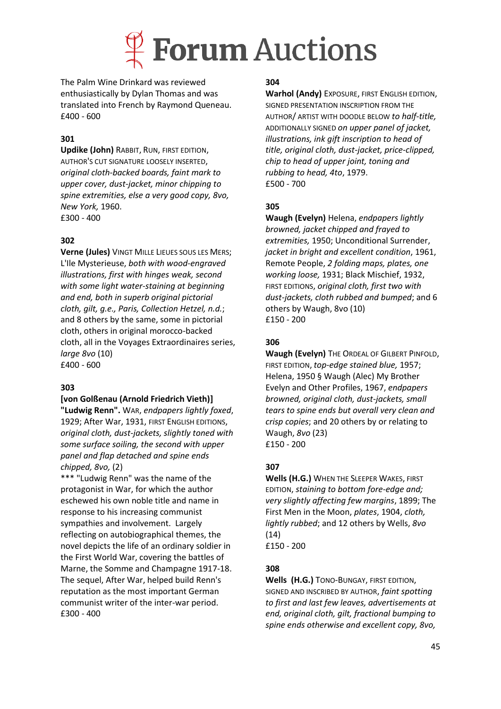

The Palm Wine Drinkard was reviewed enthusiastically by Dylan Thomas and was translated into French by Raymond Queneau. £400 - 600

### **301**

**Updike (John)** RABBIT, RUN, FIRST EDITION, AUTHOR'S CUT SIGNATURE LOOSELY INSERTED, *original cloth-backed boards, faint mark to upper cover, dust-jacket, minor chipping to spine extremities, else a very good copy, 8vo, New York,* 1960. £300 - 400

#### **302**

**Verne (Jules)** VINGT MILLE LIEUES SOUS LES MERS; L'Ile Mysterieuse, *both with wood-engraved illustrations, first with hinges weak, second with some light water-staining at beginning and end, both in superb original pictorial cloth, gilt, g.e., Paris, Collection Hetzel, n.d.*; and 8 others by the same, some in pictorial cloth, others in original morocco-backed cloth, all in the Voyages Extraordinaires series, *large 8vo* (10) £400 - 600

#### **303**

#### **[von Golßenau (Arnold Friedrich Vieth)]**

**"Ludwig Renn".** WAR, *endpapers lightly foxed*, 1929; After War, 1931, FIRST ENGLISH EDITIONS, *original cloth, dust-jackets, slightly toned with some surface soiling, the second with upper panel and flap detached and spine ends chipped, 8vo,* (2)

\*\*\* "Ludwig Renn" was the name of the protagonist in War, for which the author eschewed his own noble title and name in response to his increasing communist sympathies and involvement. Largely reflecting on autobiographical themes, the novel depicts the life of an ordinary soldier in the First World War, covering the battles of Marne, the Somme and Champagne 1917-18. The sequel, After War, helped build Renn's reputation as the most important German communist writer of the inter-war period. £300 - 400

#### **304**

**Warhol (Andy)** EXPOSURE, FIRST ENGLISH EDITION, SIGNED PRESENTATION INSCRIPTION FROM THE AUTHOR/ ARTIST WITH DOODLE BELOW *to half-title,*  ADDITIONALLY SIGNED *on upper panel of jacket, illustrations, ink gift inscription to head of title, original cloth, dust-jacket, price-clipped, chip to head of upper joint, toning and rubbing to head, 4to*, 1979. £500 - 700

#### **305**

**Waugh (Evelyn)** Helena, *endpapers lightly browned, jacket chipped and frayed to extremities,* 1950; Unconditional Surrender, *jacket in bright and excellent condition*, 1961, Remote People, *2 folding maps, plates, one working loose,* 1931; Black Mischief, 1932, FIRST EDITIONS, *original cloth, first two with dust-jackets, cloth rubbed and bumped*; and 6 others by Waugh, 8vo (10) £150 - 200

#### **306**

**Waugh (Evelyn)** THE ORDEAL OF GILBERT PINFOLD, FIRST EDITION, *top-edge stained blue,* 1957; Helena, 1950 § Waugh (Alec) My Brother Evelyn and Other Profiles, 1967, *endpapers browned, original cloth, dust-jackets, small tears to spine ends but overall very clean and crisp copies*; and 20 others by or relating to Waugh, *8vo* (23) £150 - 200

#### **307**

**Wells (H.G.)** WHEN THE SLEEPER WAKES, FIRST EDITION, *staining to bottom fore-edge and; very slightly affecting few margins*, 1899; The First Men in the Moon, *plates*, 1904, *cloth, lightly rubbed*; and 12 others by Wells, *8vo*  (14) £150 - 200

#### **308**

**Wells (H.G.)** TONO-BUNGAY, FIRST EDITION, SIGNED AND INSCRIBED BY AUTHOR, *faint spotting to first and last few leaves, advertisements at end, original cloth, gilt, fractional bumping to spine ends otherwise and excellent copy, 8vo,*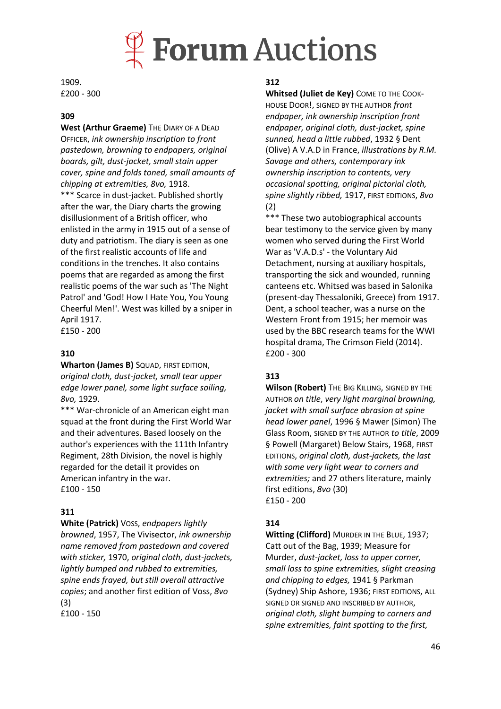

1909. £200 - 300

#### **309**

West (Arthur Graeme) THE DIARY OF A DEAD OFFICER, *ink ownership inscription to front pastedown, browning to endpapers, original boards, gilt, dust-jacket, small stain upper cover, spine and folds toned, small amounts of chipping at extremities, 8vo,* 1918. \*\*\* Scarce in dust-jacket. Published shortly after the war, the Diary charts the growing disillusionment of a British officer, who enlisted in the army in 1915 out of a sense of duty and patriotism. The diary is seen as one of the first realistic accounts of life and conditions in the trenches. It also contains poems that are regarded as among the first realistic poems of the war such as 'The Night Patrol' and 'God! How I Hate You, You Young Cheerful Men!'. West was killed by a sniper in April 1917.

£150 - 200

#### **310**

**Wharton (James B)** SQUAD, FIRST EDITION, *original cloth, dust-jacket, small tear upper edge lower panel, some light surface soiling, 8vo,* 1929.

\*\*\* War-chronicle of an American eight man squad at the front during the First World War and their adventures. Based loosely on the author's experiences with the 111th Infantry Regiment, 28th Division, the novel is highly regarded for the detail it provides on American infantry in the war. £100 - 150

#### **311**

**White (Patrick)** VOSS, *endpapers lightly browned*, 1957, The Vivisector, *ink ownership name removed from pastedown and covered with sticker,* 1970, *original cloth, dust-jackets, lightly bumped and rubbed to extremities, spine ends frayed, but still overall attractive copies*; and another first edition of Voss, *8vo*  (3)

£100 - 150

#### **312**

**Whitsed (Juliet de Key)** COME TO THE COOK-HOUSE DOOR!, SIGNED BY THE AUTHOR *front endpaper, ink ownership inscription front endpaper, original cloth, dust-jacket, spine sunned, head a little rubbed*, 1932 § Dent (Olive) A V.A.D in France, *illustrations by R.M. Savage and others, contemporary ink ownership inscription to contents, very occasional spotting, original pictorial cloth, spine slightly ribbed,* 1917, FIRST EDITIONS, *8vo* (2)

\*\*\* These two autobiographical accounts bear testimony to the service given by many women who served during the First World War as 'V.A.D.s' - the Voluntary Aid Detachment, nursing at auxiliary hospitals, transporting the sick and wounded, running canteens etc. Whitsed was based in Salonika (present-day Thessaloniki, Greece) from 1917. Dent, a school teacher, was a nurse on the Western Front from 1915; her memoir was used by the BBC research teams for the WWI hospital drama, The Crimson Field (2014). £200 - 300

#### **313**

**Wilson (Robert)** THE BIG KILLING, SIGNED BY THE AUTHOR *on title*, *very light marginal browning, jacket with small surface abrasion at spine head lower panel*, 1996 § Mawer (Simon) The Glass Room, SIGNED BY THE AUTHOR *to title*, 2009 § Powell (Margaret) Below Stairs, 1968, FIRST EDITIONS, *original cloth, dust-jackets, the last with some very light wear to corners and extremities;* and 27 others literature, mainly first editions, *8vo* (30) £150 - 200

#### **314**

**Witting (Clifford)** MURDER IN THE BLUE, 1937; Catt out of the Bag, 1939; Measure for Murder, *dust-jacket, loss to upper corner, small loss to spine extremities, slight creasing and chipping to edges,* 1941 § Parkman (Sydney) Ship Ashore, 1936; FIRST EDITIONS, ALL SIGNED OR SIGNED AND INSCRIBED BY AUTHOR, *original cloth, slight bumping to corners and spine extremities, faint spotting to the first,*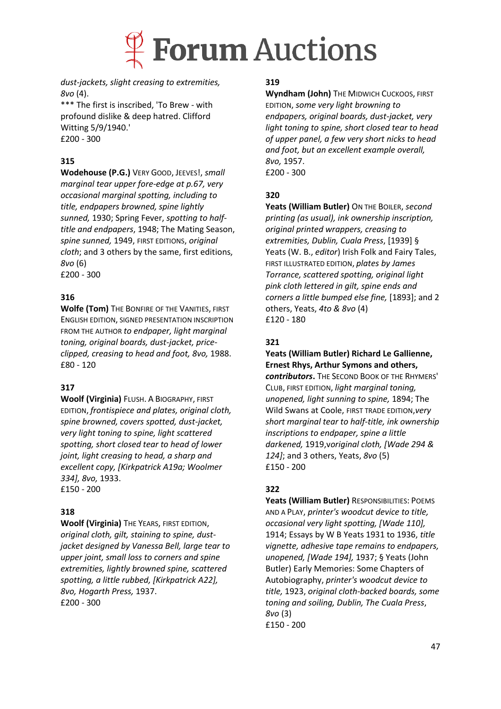

*dust-jackets, slight creasing to extremities, 8vo* (4).

\*\*\* The first is inscribed, 'To Brew - with profound dislike & deep hatred. Clifford Witting 5/9/1940.' £200 - 300

## **315**

**Wodehouse (P.G.)** VERY GOOD, JEEVES!, *small marginal tear upper fore-edge at p.67, very occasional marginal spotting, including to title, endpapers browned, spine lightly sunned,* 1930; Spring Fever, *spotting to halftitle and endpapers*, 1948; The Mating Season, *spine sunned,* 1949, FIRST EDITIONS, *original cloth*; and 3 others by the same, first editions, *8vo* (6) £200 - 300

### **316**

**Wolfe (Tom)** THE BONFIRE OF THE VANITIES, FIRST ENGLISH EDITION, SIGNED PRESENTATION INSCRIPTION FROM THE AUTHOR *to endpaper, light marginal toning, original boards, dust-jacket, priceclipped, creasing to head and foot, 8vo,* 1988. £80 - 120

### **317**

**Woolf (Virginia)** FLUSH. A BIOGRAPHY, FIRST EDITION, *frontispiece and plates, original cloth, spine browned, covers spotted, dust-jacket, very light toning to spine, light scattered spotting, short closed tear to head of lower joint, light creasing to head, a sharp and excellent copy, [Kirkpatrick A19a; Woolmer 334], 8vo,* 1933. £150 - 200

### **318**

**Woolf (Virginia)** THE YEARS, FIRST EDITION, *original cloth, gilt, staining to spine, dustjacket designed by Vanessa Bell, large tear to upper joint, small loss to corners and spine extremities, lightly browned spine, scattered spotting, a little rubbed, [Kirkpatrick A22], 8vo, Hogarth Press,* 1937. £200 - 300

#### **319**

**Wyndham (John)** THE MIDWICH CUCKOOS, FIRST EDITION, *some very light browning to endpapers, original boards, dust-jacket, very light toning to spine, short closed tear to head of upper panel, a few very short nicks to head and foot, but an excellent example overall, 8vo,* 1957. £200 - 300

### **320**

**Yeats (William Butler)** ON THE BOILER, *second printing (as usual), ink ownership inscription, original printed wrappers, creasing to extremities, Dublin, Cuala Press*, [1939] § Yeats (W. B., *editor*) Irish Folk and Fairy Tales, FIRST ILLUSTRATED EDITION, *plates by James Torrance, scattered spotting, original light pink cloth lettered in gilt, spine ends and corners a little bumped else fine,* [1893]; and 2 others, Yeats, *4to & 8vo* (4) £120 - 180

### **321**

**Yeats (William Butler) Richard Le Gallienne, Ernest Rhys, Arthur Symons and others,**  *contributors***.** THE SECOND BOOK OF THE RHYMERS'

CLUB, FIRST EDITION, *light marginal toning, unopened, light sunning to spine,* 1894; The Wild Swans at Coole, FIRST TRADE EDITION,*very short marginal tear to half-title, ink ownership inscriptions to endpaper, spine a little darkened,* 1919,v*original cloth, [Wade 294 & 124]*; and 3 others, Yeats, *8vo* (5) £150 - 200

### **322**

**Yeats (William Butler)** RESPONSIBILITIES: POEMS AND A PLAY, *printer's woodcut device to title, occasional very light spotting, [Wade 110],*  1914; Essays by W B Yeats 1931 to 1936, *title vignette, adhesive tape remains to endpapers, unopened, [Wade 194],* 1937; § Yeats (John Butler) Early Memories: Some Chapters of Autobiography, *printer's woodcut device to title,* 1923, *original cloth-backed boards, some toning and soiling, Dublin, The Cuala Press*, *8vo* (3) £150 - 200